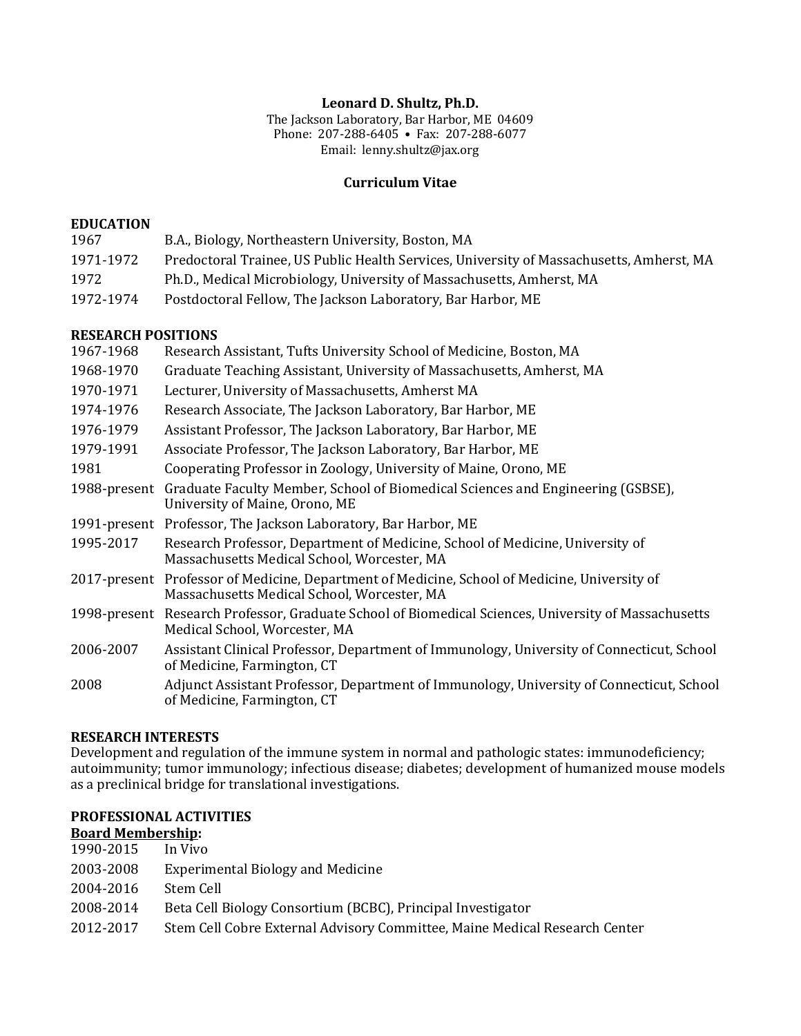#### Leonard D. Shultz, Ph.D.

The Jackson Laboratory, Bar Harbor, ME 04609 Phone: 207-288-6405 • Fax: 207-288-6077 Email: lenny.shultz@jax.org

#### **Curriculum Vitae**

#### **EDUCATION**

| 1967      | B.A., Biology, Northeastern University, Boston, MA                                       |
|-----------|------------------------------------------------------------------------------------------|
| 1971-1972 | Predoctoral Trainee, US Public Health Services, University of Massachusetts, Amherst, MA |
| 1972      | Ph.D., Medical Microbiology, University of Massachusetts, Amherst, MA                    |
| 1972-1974 | Postdoctoral Fellow, The Jackson Laboratory, Bar Harbor, ME                              |

#### **RESEARCH POSITIONS**

| 1967-1968    | Research Assistant, Tufts University School of Medicine, Boston, MA                                                                          |  |
|--------------|----------------------------------------------------------------------------------------------------------------------------------------------|--|
| 1968-1970    | Graduate Teaching Assistant, University of Massachusetts, Amherst, MA                                                                        |  |
| 1970-1971    | Lecturer, University of Massachusetts, Amherst MA                                                                                            |  |
| 1974-1976    | Research Associate, The Jackson Laboratory, Bar Harbor, ME                                                                                   |  |
| 1976-1979    | Assistant Professor, The Jackson Laboratory, Bar Harbor, ME                                                                                  |  |
| 1979-1991    | Associate Professor, The Jackson Laboratory, Bar Harbor, ME                                                                                  |  |
| 1981         | Cooperating Professor in Zoology, University of Maine, Orono, ME                                                                             |  |
| 1988-present | Graduate Faculty Member, School of Biomedical Sciences and Engineering (GSBSE),<br>University of Maine, Orono, ME                            |  |
|              | 1991-present Professor, The Jackson Laboratory, Bar Harbor, ME                                                                               |  |
| 1995-2017    | Research Professor, Department of Medicine, School of Medicine, University of<br>Massachusetts Medical School, Worcester, MA                 |  |
|              | 2017-present Professor of Medicine, Department of Medicine, School of Medicine, University of<br>Massachusetts Medical School, Worcester, MA |  |
| 1998-present | Research Professor, Graduate School of Biomedical Sciences, University of Massachusetts<br>Medical School, Worcester, MA                     |  |
| 2006-2007    | Assistant Clinical Professor, Department of Immunology, University of Connecticut, School<br>of Medicine, Farmington, CT                     |  |
| 2008         | Adjunct Assistant Professor, Department of Immunology, University of Connecticut, School<br>of Medicine, Farmington, CT                      |  |
|              |                                                                                                                                              |  |

#### **RESEARCH INTERESTS**

Development and regulation of the immune system in normal and pathologic states: immunodeficiency; autoimmunity; tumor immunology; infectious disease; diabetes; development of humanized mouse models as a preclinical bridge for translational investigations.

#### **PROFESSIONAL ACTIVITIES Board Membership:**

| 1990-2015 | In Vivo                                                                    |
|-----------|----------------------------------------------------------------------------|
| 2003-2008 | <b>Experimental Biology and Medicine</b>                                   |
| 2004-2016 | Stem Cell                                                                  |
| 2008-2014 | Beta Cell Biology Consortium (BCBC), Principal Investigator                |
| 2012-2017 | Stem Cell Cobre External Advisory Committee, Maine Medical Research Center |
|           |                                                                            |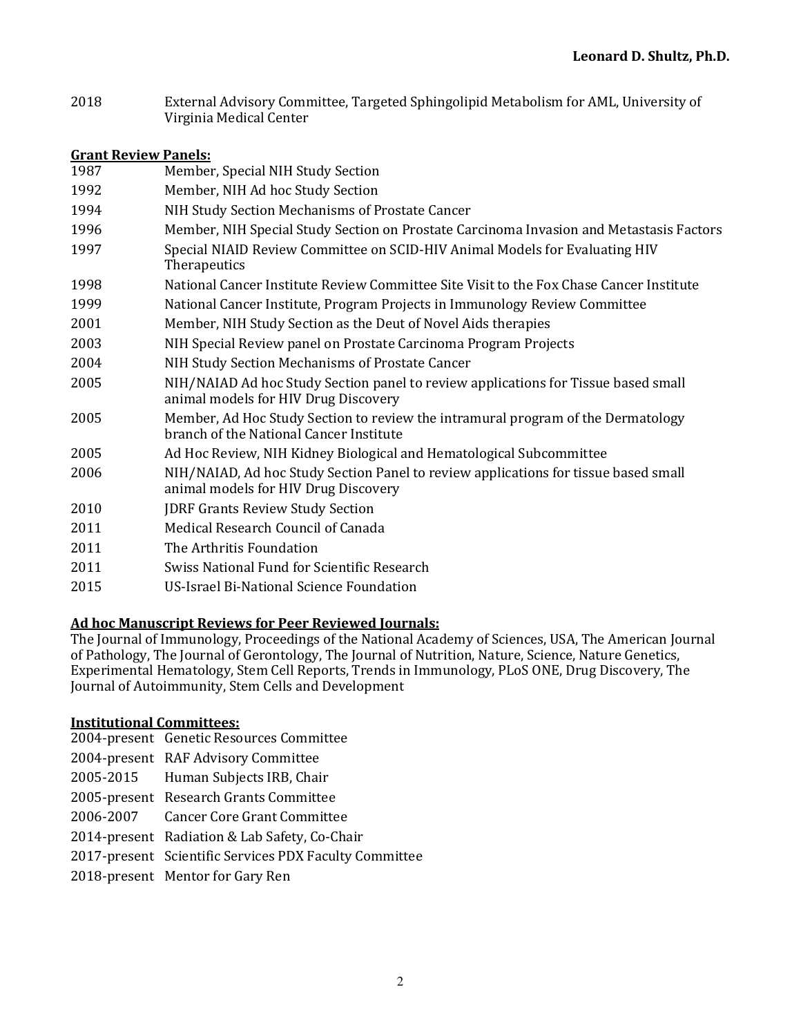2018 External Advisory Committee, Targeted Sphingolipid Metabolism for AML, University of Virginia Medical Center

### **Grant Review Panels:**

| 1987 | Member, Special NIH Study Section                                                                                           |
|------|-----------------------------------------------------------------------------------------------------------------------------|
| 1992 | Member, NIH Ad hoc Study Section                                                                                            |
| 1994 | NIH Study Section Mechanisms of Prostate Cancer                                                                             |
| 1996 | Member, NIH Special Study Section on Prostate Carcinoma Invasion and Metastasis Factors                                     |
| 1997 | Special NIAID Review Committee on SCID-HIV Animal Models for Evaluating HIV<br>Therapeutics                                 |
| 1998 | National Cancer Institute Review Committee Site Visit to the Fox Chase Cancer Institute                                     |
| 1999 | National Cancer Institute, Program Projects in Immunology Review Committee                                                  |
| 2001 | Member, NIH Study Section as the Deut of Novel Aids therapies                                                               |
| 2003 | NIH Special Review panel on Prostate Carcinoma Program Projects                                                             |
| 2004 | NIH Study Section Mechanisms of Prostate Cancer                                                                             |
| 2005 | NIH/NAIAD Ad hoc Study Section panel to review applications for Tissue based small<br>animal models for HIV Drug Discovery  |
| 2005 | Member, Ad Hoc Study Section to review the intramural program of the Dermatology<br>branch of the National Cancer Institute |
| 2005 | Ad Hoc Review, NIH Kidney Biological and Hematological Subcommittee                                                         |
| 2006 | NIH/NAIAD, Ad hoc Study Section Panel to review applications for tissue based small<br>animal models for HIV Drug Discovery |
| 2010 | <b>JDRF Grants Review Study Section</b>                                                                                     |
| 2011 | Medical Research Council of Canada                                                                                          |
| 2011 | The Arthritis Foundation                                                                                                    |
| 2011 | Swiss National Fund for Scientific Research                                                                                 |
| 2015 | US-Israel Bi-National Science Foundation                                                                                    |

# **Ad hoc Manuscript Reviews for Peer Reviewed Journals:**

The Journal of Immunology, Proceedings of the National Academy of Sciences, USA, The American Journal of Pathology, The Journal of Gerontology, The Journal of Nutrition, Nature, Science, Nature Genetics, Experimental Hematology, Stem Cell Reports, Trends in Immunology, PLoS ONE, Drug Discovery, The Journal of Autoimmunity, Stem Cells and Development

# **Institutional Committees:**

- 2004-present Genetic Resources Committee
- 2004-present RAF Advisory Committee
- 2005-2015 Human Subjects IRB, Chair
- 2005-present Research Grants Committee
- 2006-2007 Cancer Core Grant Committee
- 2014-present Radiation & Lab Safety, Co-Chair
- 2017-present Scientific Services PDX Faculty Committee
- 2018-present Mentor for Gary Ren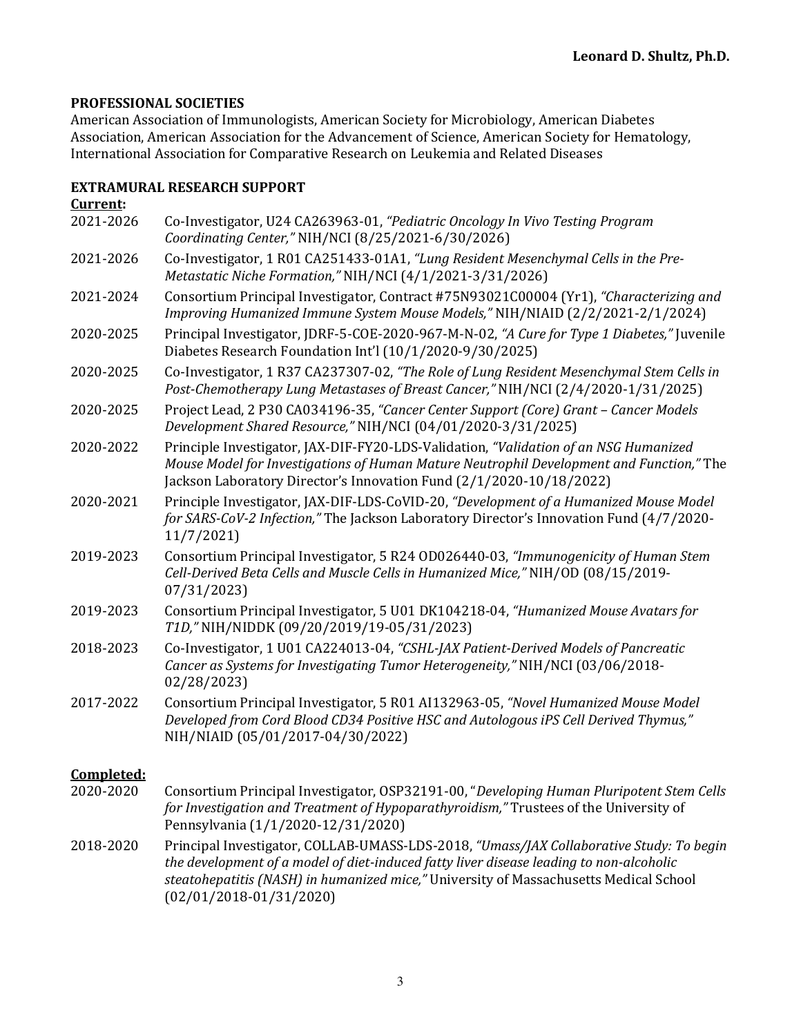# **PROFESSIONAL SOCIETIES**

American Association of Immunologists, American Society for Microbiology, American Diabetes Association, American Association for the Advancement of Science, American Society for Hematology, International Association for Comparative Research on Leukemia and Related Diseases

#### **EXTRAMURAL RESEARCH SUPPORT Current:**

| <u>uulellu</u> |                                                                                                                                                                                                                                                                                                          |
|----------------|----------------------------------------------------------------------------------------------------------------------------------------------------------------------------------------------------------------------------------------------------------------------------------------------------------|
| 2021-2026      | Co-Investigator, U24 CA263963-01, "Pediatric Oncology In Vivo Testing Program<br>Coordinating Center," NIH/NCI (8/25/2021-6/30/2026)                                                                                                                                                                     |
| 2021-2026      | Co-Investigator, 1 R01 CA251433-01A1, "Lung Resident Mesenchymal Cells in the Pre-<br>Metastatic Niche Formation," NIH/NCI (4/1/2021-3/31/2026)                                                                                                                                                          |
| 2021-2024      | Consortium Principal Investigator, Contract #75N93021C00004 (Yr1), "Characterizing and<br>Improving Humanized Immune System Mouse Models," NIH/NIAID (2/2/2021-2/1/2024)                                                                                                                                 |
| 2020-2025      | Principal Investigator, JDRF-5-COE-2020-967-M-N-02, "A Cure for Type 1 Diabetes," Juvenile<br>Diabetes Research Foundation Int'l (10/1/2020-9/30/2025)                                                                                                                                                   |
| 2020-2025      | Co-Investigator, 1 R37 CA237307-02, "The Role of Lung Resident Mesenchymal Stem Cells in<br>Post-Chemotherapy Lung Metastases of Breast Cancer," NIH/NCI (2/4/2020-1/31/2025)                                                                                                                            |
| 2020-2025      | Project Lead, 2 P30 CA034196-35, "Cancer Center Support (Core) Grant - Cancer Models<br>Development Shared Resource," NIH/NCI (04/01/2020-3/31/2025)                                                                                                                                                     |
| 2020-2022      | Principle Investigator, JAX-DIF-FY20-LDS-Validation, "Validation of an NSG Humanized<br>Mouse Model for Investigations of Human Mature Neutrophil Development and Function," The<br>Jackson Laboratory Director's Innovation Fund (2/1/2020-10/18/2022)                                                  |
| 2020-2021      | Principle Investigator, JAX-DIF-LDS-CoVID-20, "Development of a Humanized Mouse Model<br>for SARS-CoV-2 Infection," The Jackson Laboratory Director's Innovation Fund (4/7/2020-<br>11/7/2021                                                                                                            |
| 2019-2023      | Consortium Principal Investigator, 5 R24 OD026440-03, "Immunogenicity of Human Stem<br>Cell-Derived Beta Cells and Muscle Cells in Humanized Mice," NIH/OD (08/15/2019-<br>07/31/2023)                                                                                                                   |
| 2019-2023      | Consortium Principal Investigator, 5 U01 DK104218-04, "Humanized Mouse Avatars for<br>T1D," NIH/NIDDK (09/20/2019/19-05/31/2023)                                                                                                                                                                         |
| 2018-2023      | Co-Investigator, 1 U01 CA224013-04, "CSHL-JAX Patient-Derived Models of Pancreatic<br>Cancer as Systems for Investigating Tumor Heterogeneity," NIH/NCI (03/06/2018-<br>02/28/2023                                                                                                                       |
| 2017-2022      | Consortium Principal Investigator, 5 R01 AI132963-05, "Novel Humanized Mouse Model<br>Developed from Cord Blood CD34 Positive HSC and Autologous iPS Cell Derived Thymus,"<br>NIH/NIAID (05/01/2017-04/30/2022)                                                                                          |
| Completed:     |                                                                                                                                                                                                                                                                                                          |
| 2020-2020      | Consortium Principal Investigator, OSP32191-00, "Developing Human Pluripotent Stem Cells<br>for Investigation and Treatment of Hypoparathyroidism," Trustees of the University of<br>Pennsylvania (1/1/2020-12/31/2020)                                                                                  |
| 2018-2020      | Principal Investigator, COLLAB-UMASS-LDS-2018, "Umass/JAX Collaborative Study: To begin<br>the development of a model of diet-induced fatty liver disease leading to non-alcoholic<br>steatohepatitis (NASH) in humanized mice," University of Massachusetts Medical School<br>$(02/01/2018-01/31/2020)$ |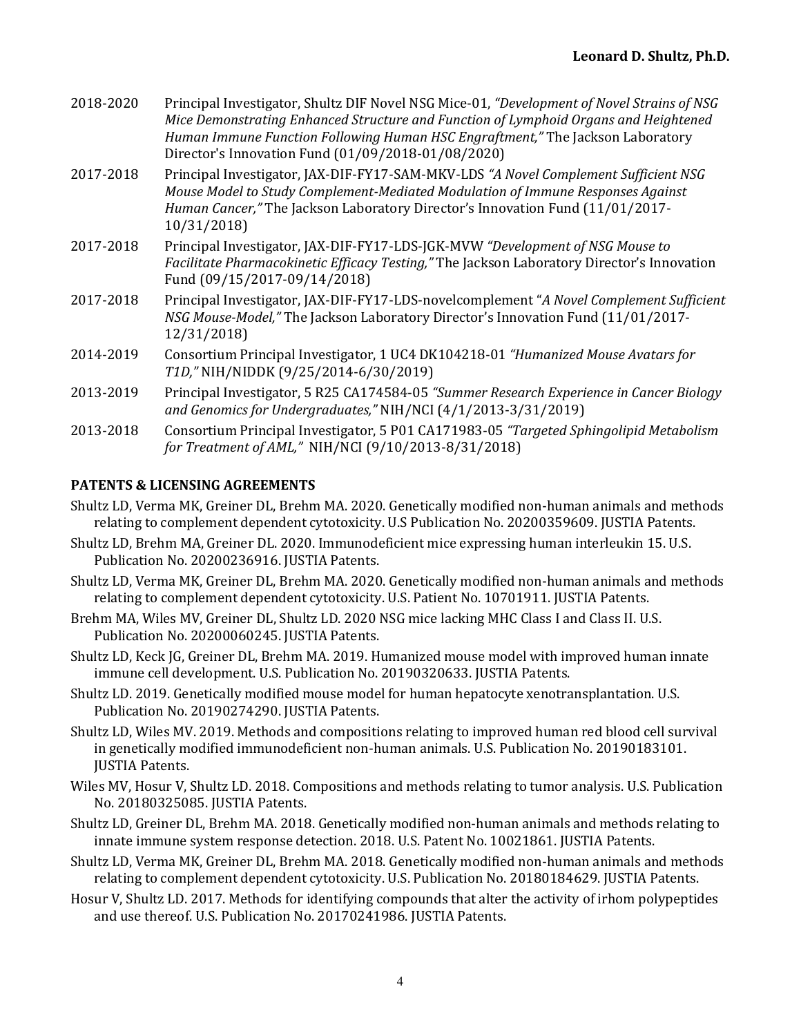| 2018-2020 | Principal Investigator, Shultz DIF Novel NSG Mice-01, "Development of Novel Strains of NSG<br>Mice Demonstrating Enhanced Structure and Function of Lymphoid Organs and Heightened<br>Human Immune Function Following Human HSC Engraftment," The Jackson Laboratory<br>Director's Innovation Fund (01/09/2018-01/08/2020) |
|-----------|----------------------------------------------------------------------------------------------------------------------------------------------------------------------------------------------------------------------------------------------------------------------------------------------------------------------------|
| 2017-2018 | Principal Investigator, JAX-DIF-FY17-SAM-MKV-LDS "A Novel Complement Sufficient NSG<br>Mouse Model to Study Complement-Mediated Modulation of Immune Responses Against<br>Human Cancer," The Jackson Laboratory Director's Innovation Fund (11/01/2017-<br>10/31/2018)                                                     |
| 2017-2018 | Principal Investigator, JAX-DIF-FY17-LDS-JGK-MVW "Development of NSG Mouse to<br>Facilitate Pharmacokinetic Efficacy Testing," The Jackson Laboratory Director's Innovation<br>Fund (09/15/2017-09/14/2018)                                                                                                                |
| 2017-2018 | Principal Investigator, JAX-DIF-FY17-LDS-novelcomplement "A Novel Complement Sufficient"<br>NSG Mouse-Model," The Jackson Laboratory Director's Innovation Fund (11/01/2017-<br>12/31/2018)                                                                                                                                |
| 2014-2019 | Consortium Principal Investigator, 1 UC4 DK104218-01 "Humanized Mouse Avatars for<br>T1D," NIH/NIDDK (9/25/2014-6/30/2019)                                                                                                                                                                                                 |
| 2013-2019 | Principal Investigator, 5 R25 CA174584-05 "Summer Research Experience in Cancer Biology<br>and Genomics for Undergraduates," NIH/NCI (4/1/2013-3/31/2019)                                                                                                                                                                  |
| 2013-2018 | Consortium Principal Investigator, 5 P01 CA171983-05 "Targeted Sphingolipid Metabolism<br>for Treatment of AML," NIH/NCI (9/10/2013-8/31/2018)                                                                                                                                                                             |

# **PATENTS & LICENSING AGREEMENTS**

- Shultz LD, Verma MK, Greiner DL, Brehm MA. 2020. Genetically modified non-human animals and methods relating to complement dependent cytotoxicity. U.S Publication No. 20200359609. JUSTIA Patents.
- Shultz LD, Brehm MA, Greiner DL. 2020. Immunodeficient mice expressing human interleukin 15. U.S. Publication No. 20200236916. JUSTIA Patents.
- Shultz LD, Verma MK, Greiner DL, Brehm MA. 2020. Genetically modified non-human animals and methods relating to complement dependent cytotoxicity. U.S. Patient No. 10701911. JUSTIA Patents.
- Brehm MA, Wiles MV, Greiner DL, Shultz LD. 2020 NSG mice lacking MHC Class I and Class II. U.S. Publication No. 20200060245. JUSTIA Patents.
- Shultz LD, Keck JG, Greiner DL, Brehm MA. 2019. Humanized mouse model with improved human innate immune cell development. U.S. Publication No. 20190320633. JUSTIA Patents.
- Shultz LD. 2019. Genetically modified mouse model for human hepatocyte xenotransplantation. U.S. Publication No. 20190274290. JUSTIA Patents.
- Shultz LD, Wiles MV. 2019. Methods and compositions relating to improved human red blood cell survival in genetically modified immunodeficient non-human animals. U.S. Publication No. 20190183101. JUSTIA Patents.
- Wiles MV, Hosur V, Shultz LD. 2018. Compositions and methods relating to tumor analysis. U.S. Publication No. 20180325085. JUSTIA Patents.
- Shultz LD, Greiner DL, Brehm MA. 2018. Genetically modified non-human animals and methods relating to innate immune system response detection. 2018. U.S. Patent No. 10021861. JUSTIA Patents.
- Shultz LD, Verma MK, Greiner DL, Brehm MA. 2018. Genetically modified non-human animals and methods relating to complement dependent cytotoxicity. U.S. Publication No. 20180184629. JUSTIA Patents.
- Hosur V, Shultz LD. 2017. Methods for identifying compounds that alter the activity of irhom polypeptides and use thereof. U.S. Publication No. 20170241986. JUSTIA Patents.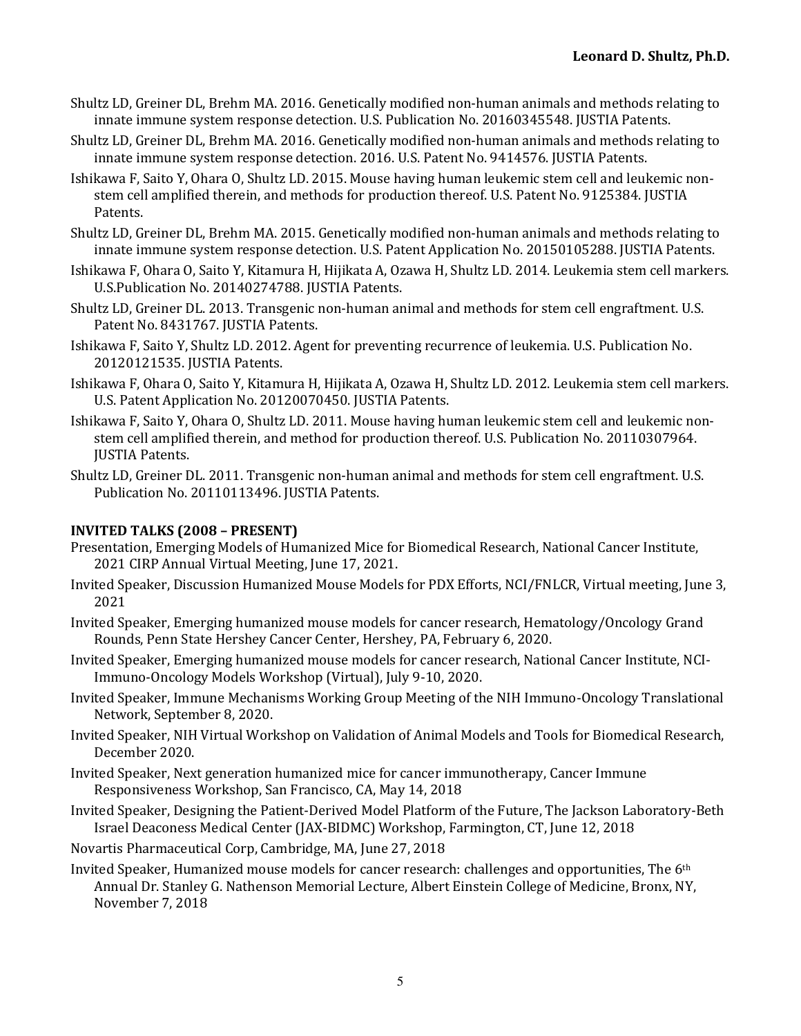- Shultz LD, Greiner DL, Brehm MA, 2016. Genetically modified non-human animals and methods relating to innate immune system response detection. U.S. Publication No. 20160345548. JUSTIA Patents.
- Shultz LD, Greiner DL, Brehm MA. 2016. Genetically modified non-human animals and methods relating to innate immune system response detection. 2016. U.S. Patent No. 9414576. JUSTIA Patents.
- Ishikawa F, Saito Y, Ohara O, Shultz LD. 2015. Mouse having human leukemic stem cell and leukemic nonstem cell amplified therein, and methods for production thereof. U.S. Patent No. 9125384. JUSTIA Patents.
- Shultz LD, Greiner DL, Brehm MA. 2015. Genetically modified non-human animals and methods relating to innate immune system response detection. U.S. Patent Application No. 20150105288. JUSTIA Patents.
- Ishikawa F, Ohara O, Saito Y, Kitamura H, Hijikata A, Ozawa H, Shultz LD. 2014. Leukemia stem cell markers. U.S.Publication No. 20140274788. JUSTIA Patents.
- Shultz LD, Greiner DL. 2013. Transgenic non-human animal and methods for stem cell engraftment. U.S. Patent No. 8431767. JUSTIA Patents.
- Ishikawa F, Saito Y, Shultz LD. 2012. Agent for preventing recurrence of leukemia. U.S. Publication No. 20120121535. JUSTIA Patents.
- Ishikawa F, Ohara O, Saito Y, Kitamura H, Hijikata A, Ozawa H, Shultz LD. 2012. Leukemia stem cell markers. U.S. Patent Application No. 20120070450. JUSTIA Patents.
- Ishikawa F, Saito Y, Ohara O, Shultz LD. 2011. Mouse having human leukemic stem cell and leukemic nonstem cell amplified therein, and method for production thereof. U.S. Publication No. 20110307964. **IUSTIA** Patents.
- Shultz LD, Greiner DL. 2011. Transgenic non-human animal and methods for stem cell engraftment. U.S. Publication No. 20110113496. JUSTIA Patents.

# **INVITED TALKS (2008 – PRESENT)**

- Presentation, Emerging Models of Humanized Mice for Biomedical Research, National Cancer Institute, 2021 CIRP Annual Virtual Meeting, June 17, 2021.
- Invited Speaker, Discussion Humanized Mouse Models for PDX Efforts, NCI/FNLCR, Virtual meeting, June 3, 2021
- Invited Speaker, Emerging humanized mouse models for cancer research, Hematology/Oncology Grand Rounds, Penn State Hershey Cancer Center, Hershey, PA, February 6, 2020.
- Invited Speaker, Emerging humanized mouse models for cancer research, National Cancer Institute, NCI-Immuno-Oncology Models Workshop (Virtual), July 9-10, 2020.
- Invited Speaker, Immune Mechanisms Working Group Meeting of the NIH Immuno-Oncology Translational Network, September 8, 2020.
- Invited Speaker, NIH Virtual Workshop on Validation of Animal Models and Tools for Biomedical Research, December 2020.
- Invited Speaker, Next generation humanized mice for cancer immunotherapy, Cancer Immune Responsiveness Workshop, San Francisco, CA, May 14, 2018
- Invited Speaker, Designing the Patient-Derived Model Platform of the Future, The Jackson Laboratory-Beth Israel Deaconess Medical Center (JAX-BIDMC) Workshop, Farmington, CT, June 12, 2018
- Novartis Pharmaceutical Corp, Cambridge, MA, June 27, 2018
- Invited Speaker, Humanized mouse models for cancer research: challenges and opportunities, The  $6<sup>th</sup>$ Annual Dr. Stanley G. Nathenson Memorial Lecture, Albert Einstein College of Medicine, Bronx, NY, November 7, 2018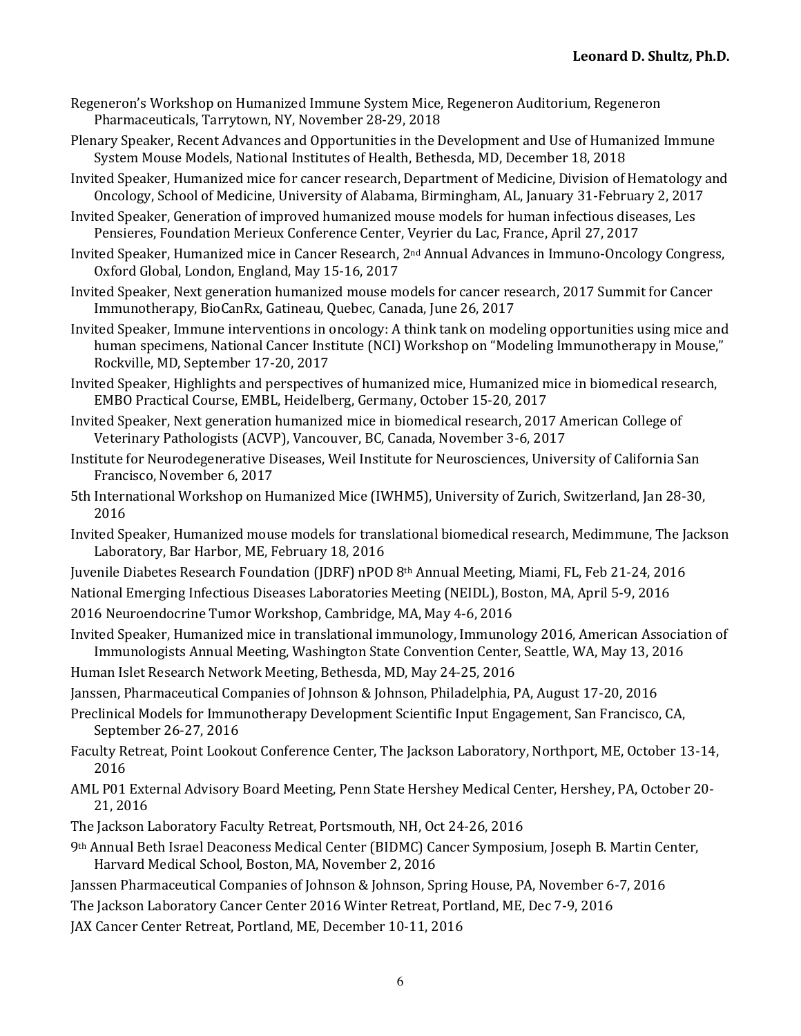- Regeneron's Workshop on Humanized Immune System Mice, Regeneron Auditorium, Regeneron Pharmaceuticals, Tarrytown, NY, November 28-29, 2018
- Plenary Speaker, Recent Advances and Opportunities in the Development and Use of Humanized Immune System Mouse Models, National Institutes of Health, Bethesda, MD, December 18, 2018
- Invited Speaker, Humanized mice for cancer research, Department of Medicine, Division of Hematology and Oncology, School of Medicine, University of Alabama, Birmingham, AL, January 31-February 2, 2017
- Invited Speaker, Generation of improved humanized mouse models for human infectious diseases, Les Pensieres, Foundation Merieux Conference Center, Veyrier du Lac, France, April 27, 2017
- Invited Speaker, Humanized mice in Cancer Research, 2<sup>nd</sup> Annual Advances in Immuno-Oncology Congress, Oxford Global, London, England, May 15-16, 2017
- Invited Speaker, Next generation humanized mouse models for cancer research, 2017 Summit for Cancer Immunotherapy, BioCanRx, Gatineau, Quebec, Canada, June 26, 2017
- Invited Speaker, Immune interventions in oncology: A think tank on modeling opportunities using mice and human specimens, National Cancer Institute (NCI) Workshop on "Modeling Immunotherapy in Mouse," Rockville, MD, September 17-20, 2017
- Invited Speaker, Highlights and perspectives of humanized mice, Humanized mice in biomedical research, EMBO Practical Course, EMBL, Heidelberg, Germany, October 15-20, 2017
- Invited Speaker, Next generation humanized mice in biomedical research, 2017 American College of Veterinary Pathologists (ACVP), Vancouver, BC, Canada, November 3-6, 2017
- Institute for Neurodegenerative Diseases, Weil Institute for Neurosciences, University of California San Francisco, November 6, 2017
- 5th International Workshop on Humanized Mice (IWHM5), University of Zurich, Switzerland, Jan 28-30, 2016
- Invited Speaker, Humanized mouse models for translational biomedical research, Medimmune, The Jackson Laboratory, Bar Harbor, ME, February 18, 2016
- Juvenile Diabetes Research Foundation (JDRF) nPOD 8<sup>th</sup> Annual Meeting, Miami, FL, Feb 21-24, 2016
- National Emerging Infectious Diseases Laboratories Meeting (NEIDL), Boston, MA, April 5-9, 2016
- 2016 Neuroendocrine Tumor Workshop, Cambridge, MA, May 4-6, 2016
- Invited Speaker, Humanized mice in translational immunology, Immunology 2016, American Association of Immunologists Annual Meeting, Washington State Convention Center, Seattle, WA, May 13, 2016
- Human Islet Research Network Meeting, Bethesda, MD, May 24-25, 2016
- Janssen, Pharmaceutical Companies of Johnson & Johnson, Philadelphia, PA, August 17-20, 2016
- Preclinical Models for Immunotherapy Development Scientific Input Engagement, San Francisco, CA, September 26-27, 2016
- Faculty Retreat, Point Lookout Conference Center, The Jackson Laboratory, Northport, ME, October 13-14, 2016
- AML P01 External Advisory Board Meeting, Penn State Hershey Medical Center, Hershey, PA, October 20-21, 2016
- The Jackson Laboratory Faculty Retreat, Portsmouth, NH, Oct 24-26, 2016
- 9th Annual Beth Israel Deaconess Medical Center (BIDMC) Cancer Symposium, Joseph B. Martin Center, Harvard Medical School, Boston, MA, November 2, 2016
- Janssen Pharmaceutical Companies of Johnson & Johnson, Spring House, PA, November 6-7, 2016
- The Jackson Laboratory Cancer Center 2016 Winter Retreat, Portland, ME, Dec 7-9, 2016
- JAX Cancer Center Retreat, Portland, ME, December 10-11, 2016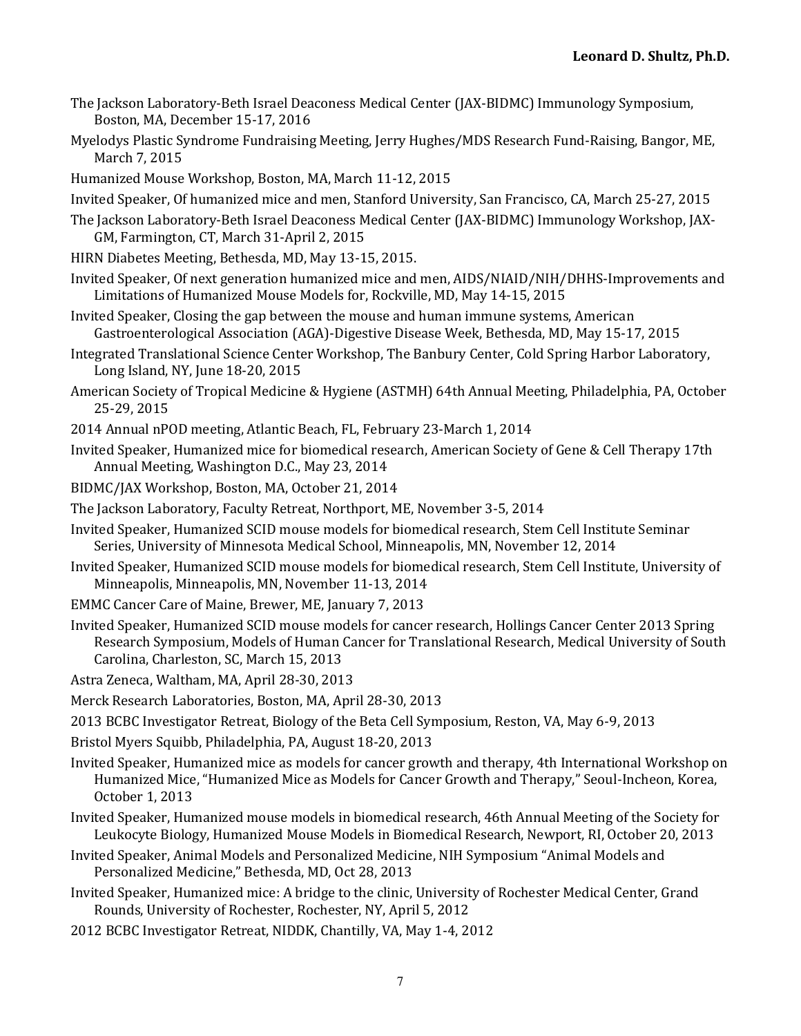- The Jackson Laboratory-Beth Israel Deaconess Medical Center (JAX-BIDMC) Immunology Symposium, Boston, MA, December 15-17, 2016
- Myelodys Plastic Syndrome Fundraising Meeting, Jerry Hughes/MDS Research Fund-Raising, Bangor, ME, March 7, 2015
- Humanized Mouse Workshop, Boston, MA, March 11-12, 2015
- Invited Speaker, Of humanized mice and men, Stanford University, San Francisco, CA, March 25-27, 2015
- The Jackson Laboratory-Beth Israel Deaconess Medical Center (JAX-BIDMC) Immunology Workshop, JAX-GM, Farmington, CT, March 31-April 2, 2015
- HIRN Diabetes Meeting, Bethesda, MD, May 13-15, 2015.
- Invited Speaker, Of next generation humanized mice and men, AIDS/NIAID/NIH/DHHS-Improvements and Limitations of Humanized Mouse Models for, Rockville, MD, May 14-15, 2015
- Invited Speaker, Closing the gap between the mouse and human immune systems, American Gastroenterological Association (AGA)-Digestive Disease Week, Bethesda, MD, May 15-17, 2015
- Integrated Translational Science Center Workshop, The Banbury Center, Cold Spring Harbor Laboratory, Long Island, NY, June 18-20, 2015
- American Society of Tropical Medicine & Hygiene (ASTMH) 64th Annual Meeting, Philadelphia, PA, October 25-29, 2015
- 2014 Annual nPOD meeting, Atlantic Beach, FL, February 23-March 1, 2014
- Invited Speaker, Humanized mice for biomedical research, American Society of Gene & Cell Therapy 17th Annual Meeting, Washington D.C., May 23, 2014
- BIDMC/JAX Workshop, Boston, MA, October 21, 2014
- The Jackson Laboratory, Faculty Retreat, Northport, ME, November 3-5, 2014
- Invited Speaker, Humanized SCID mouse models for biomedical research, Stem Cell Institute Seminar Series, University of Minnesota Medical School, Minneapolis, MN, November 12, 2014
- Invited Speaker, Humanized SCID mouse models for biomedical research, Stem Cell Institute, University of Minneapolis, Minneapolis, MN, November 11-13, 2014
- EMMC Cancer Care of Maine, Brewer, ME, January 7, 2013
- Invited Speaker, Humanized SCID mouse models for cancer research, Hollings Cancer Center 2013 Spring Research Symposium, Models of Human Cancer for Translational Research, Medical University of South Carolina, Charleston, SC, March 15, 2013
- Astra Zeneca, Waltham, MA, April 28-30, 2013
- Merck Research Laboratories, Boston, MA, April 28-30, 2013
- 2013 BCBC Investigator Retreat, Biology of the Beta Cell Symposium, Reston, VA, May 6-9, 2013
- Bristol Myers Squibb, Philadelphia, PA, August 18-20, 2013
- Invited Speaker, Humanized mice as models for cancer growth and therapy, 4th International Workshop on Humanized Mice, "Humanized Mice as Models for Cancer Growth and Therapy," Seoul-Incheon, Korea, October 1, 2013
- Invited Speaker, Humanized mouse models in biomedical research, 46th Annual Meeting of the Society for Leukocyte Biology, Humanized Mouse Models in Biomedical Research, Newport, RI, October 20, 2013
- Invited Speaker, Animal Models and Personalized Medicine, NIH Symposium "Animal Models and Personalized Medicine," Bethesda, MD, Oct 28, 2013
- Invited Speaker, Humanized mice: A bridge to the clinic, University of Rochester Medical Center, Grand Rounds, University of Rochester, Rochester, NY, April 5, 2012
- 2012 BCBC Investigator Retreat, NIDDK, Chantilly, VA, May 1-4, 2012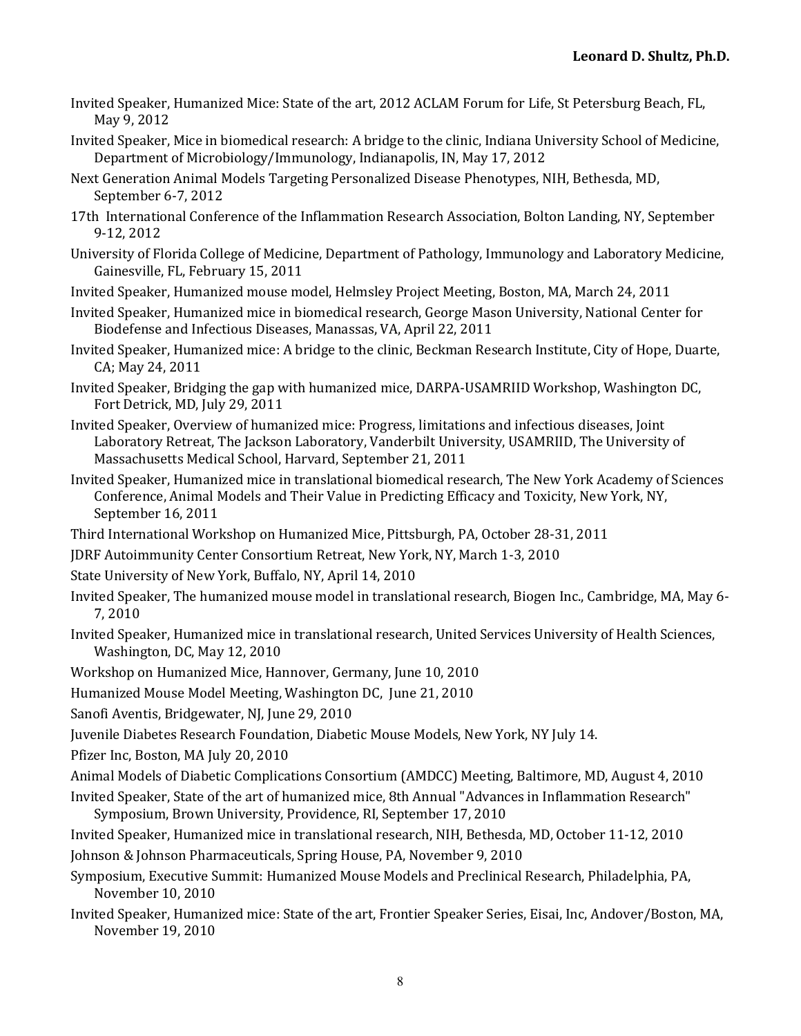- Invited Speaker, Humanized Mice: State of the art, 2012 ACLAM Forum for Life, St Petersburg Beach, FL, May 9, 2012
- Invited Speaker, Mice in biomedical research: A bridge to the clinic, Indiana University School of Medicine, Department of Microbiology/Immunology, Indianapolis, IN, May 17, 2012
- Next Generation Animal Models Targeting Personalized Disease Phenotypes, NIH, Bethesda, MD, September 6-7, 2012
- 17th International Conference of the Inflammation Research Association, Bolton Landing, NY, September 9-12, 2012
- University of Florida College of Medicine, Department of Pathology, Immunology and Laboratory Medicine, Gainesville, FL, February 15, 2011
- Invited Speaker, Humanized mouse model, Helmsley Project Meeting, Boston, MA, March 24, 2011
- Invited Speaker, Humanized mice in biomedical research, George Mason University, National Center for Biodefense and Infectious Diseases, Manassas, VA, April 22, 2011
- Invited Speaker, Humanized mice: A bridge to the clinic, Beckman Research Institute, City of Hope, Duarte, CA; May 24, 2011
- Invited Speaker, Bridging the gap with humanized mice, DARPA-USAMRIID Workshop, Washington DC, Fort Detrick, MD, July 29, 2011
- Invited Speaker, Overview of humanized mice: Progress, limitations and infectious diseases, Joint Laboratory Retreat, The Jackson Laboratory, Vanderbilt University, USAMRIID, The University of Massachusetts Medical School, Harvard, September 21, 2011
- Invited Speaker, Humanized mice in translational biomedical research, The New York Academy of Sciences Conference, Animal Models and Their Value in Predicting Efficacy and Toxicity, New York, NY, September 16, 2011
- Third International Workshop on Humanized Mice, Pittsburgh, PA, October 28-31, 2011
- JDRF Autoimmunity Center Consortium Retreat, New York, NY, March 1-3, 2010
- State University of New York, Buffalo, NY, April 14, 2010
- Invited Speaker, The humanized mouse model in translational research, Biogen Inc., Cambridge, MA, May 6-7, 2010
- Invited Speaker, Humanized mice in translational research, United Services University of Health Sciences, Washington, DC, May 12, 2010
- Workshop on Humanized Mice, Hannover, Germany, June 10, 2010
- Humanized Mouse Model Meeting, Washington DC, June 21, 2010
- Sanofi Aventis, Bridgewater, NJ, June 29, 2010
- Juvenile Diabetes Research Foundation, Diabetic Mouse Models, New York, NY July 14.
- Pfizer Inc, Boston, MA July 20, 2010
- Animal Models of Diabetic Complications Consortium (AMDCC) Meeting, Baltimore, MD, August 4, 2010
- Invited Speaker, State of the art of humanized mice, 8th Annual "Advances in Inflammation Research" Symposium, Brown University, Providence, RI, September 17, 2010
- Invited Speaker, Humanized mice in translational research, NIH, Bethesda, MD, October 11-12, 2010
- Johnson & Johnson Pharmaceuticals, Spring House, PA, November 9, 2010
- Symposium, Executive Summit: Humanized Mouse Models and Preclinical Research, Philadelphia, PA, November 10, 2010
- Invited Speaker, Humanized mice: State of the art, Frontier Speaker Series, Eisai, Inc, Andover/Boston, MA, November 19, 2010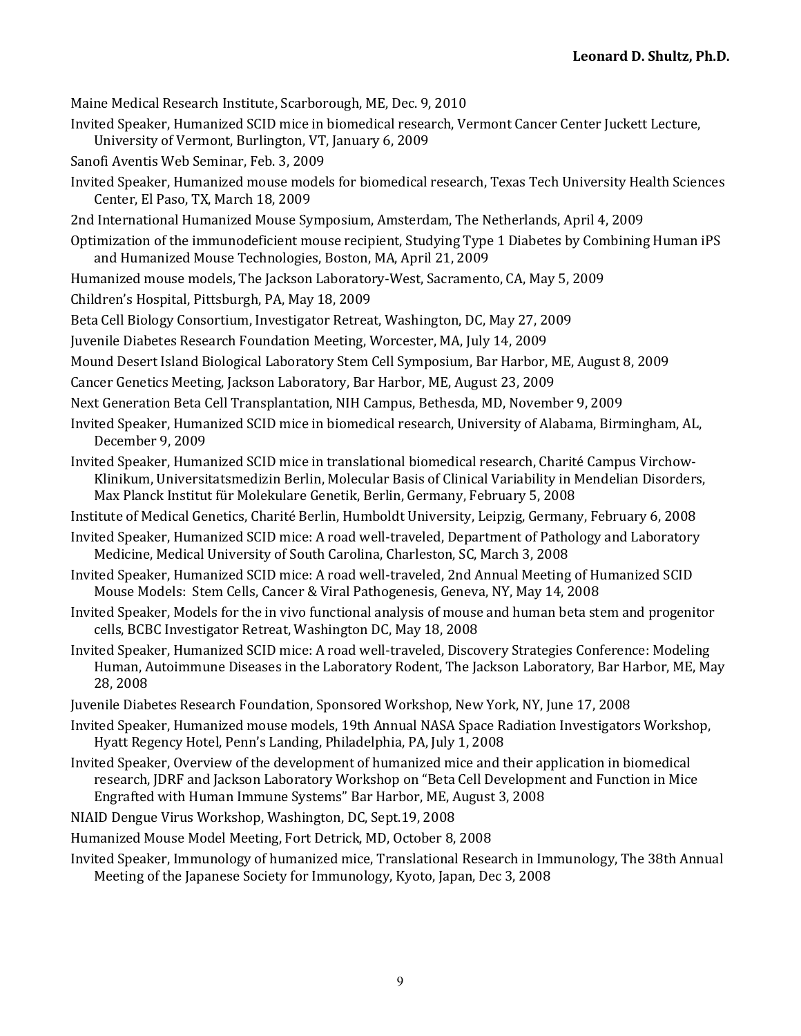Maine Medical Research Institute, Scarborough, ME, Dec. 9, 2010

Invited Speaker, Humanized SCID mice in biomedical research, Vermont Cancer Center Juckett Lecture,

University of Vermont, Burlington, VT, January 6, 2009

- Sanofi Aventis Web Seminar, Feb. 3, 2009
- Invited Speaker, Humanized mouse models for biomedical research, Texas Tech University Health Sciences Center, El Paso, TX, March 18, 2009
- 2nd International Humanized Mouse Symposium, Amsterdam, The Netherlands, April 4, 2009
- Optimization of the immunodeficient mouse recipient, Studying Type 1 Diabetes by Combining Human iPS and Humanized Mouse Technologies, Boston, MA, April 21, 2009
- Humanized mouse models, The Jackson Laboratory-West, Sacramento, CA, May 5, 2009

Children's Hospital, Pittsburgh, PA, May 18, 2009

Beta Cell Biology Consortium, Investigator Retreat, Washington, DC, May 27, 2009

Juvenile Diabetes Research Foundation Meeting, Worcester, MA, July 14, 2009

Mound Desert Island Biological Laboratory Stem Cell Symposium, Bar Harbor, ME, August 8, 2009

Cancer Genetics Meeting, Jackson Laboratory, Bar Harbor, ME, August 23, 2009

- Next Generation Beta Cell Transplantation, NIH Campus, Bethesda, MD, November 9, 2009
- Invited Speaker, Humanized SCID mice in biomedical research, University of Alabama, Birmingham, AL, December 9, 2009
- Invited Speaker, Humanized SCID mice in translational biomedical research, Charité Campus Virchow-Klinikum, Universitatsmedizin Berlin, Molecular Basis of Clinical Variability in Mendelian Disorders, Max Planck Institut für Molekulare Genetik, Berlin, Germany, February 5, 2008

Institute of Medical Genetics, Charité Berlin, Humboldt University, Leipzig, Germany, February 6, 2008

- Invited Speaker, Humanized SCID mice: A road well-traveled, Department of Pathology and Laboratory Medicine, Medical University of South Carolina, Charleston, SC, March 3, 2008
- Invited Speaker, Humanized SCID mice: A road well-traveled, 2nd Annual Meeting of Humanized SCID Mouse Models: Stem Cells, Cancer & Viral Pathogenesis, Geneva, NY, May 14, 2008
- Invited Speaker, Models for the in vivo functional analysis of mouse and human beta stem and progenitor cells, BCBC Investigator Retreat, Washington DC, May 18, 2008
- Invited Speaker, Humanized SCID mice: A road well-traveled, Discovery Strategies Conference: Modeling Human, Autoimmune Diseases in the Laboratory Rodent, The Jackson Laboratory, Bar Harbor, ME, May 28, 2008
- Juvenile Diabetes Research Foundation, Sponsored Workshop, New York, NY, June 17, 2008
- Invited Speaker, Humanized mouse models, 19th Annual NASA Space Radiation Investigators Workshop, Hyatt Regency Hotel, Penn's Landing, Philadelphia, PA, July 1, 2008
- Invited Speaker, Overview of the development of humanized mice and their application in biomedical research, JDRF and Jackson Laboratory Workshop on "Beta Cell Development and Function in Mice Engrafted with Human Immune Systems" Bar Harbor, ME, August 3, 2008
- NIAID Dengue Virus Workshop, Washington, DC, Sept.19, 2008

Humanized Mouse Model Meeting, Fort Detrick, MD, October 8, 2008

Invited Speaker, Immunology of humanized mice, Translational Research in Immunology, The 38th Annual Meeting of the Japanese Society for Immunology, Kyoto, Japan, Dec 3, 2008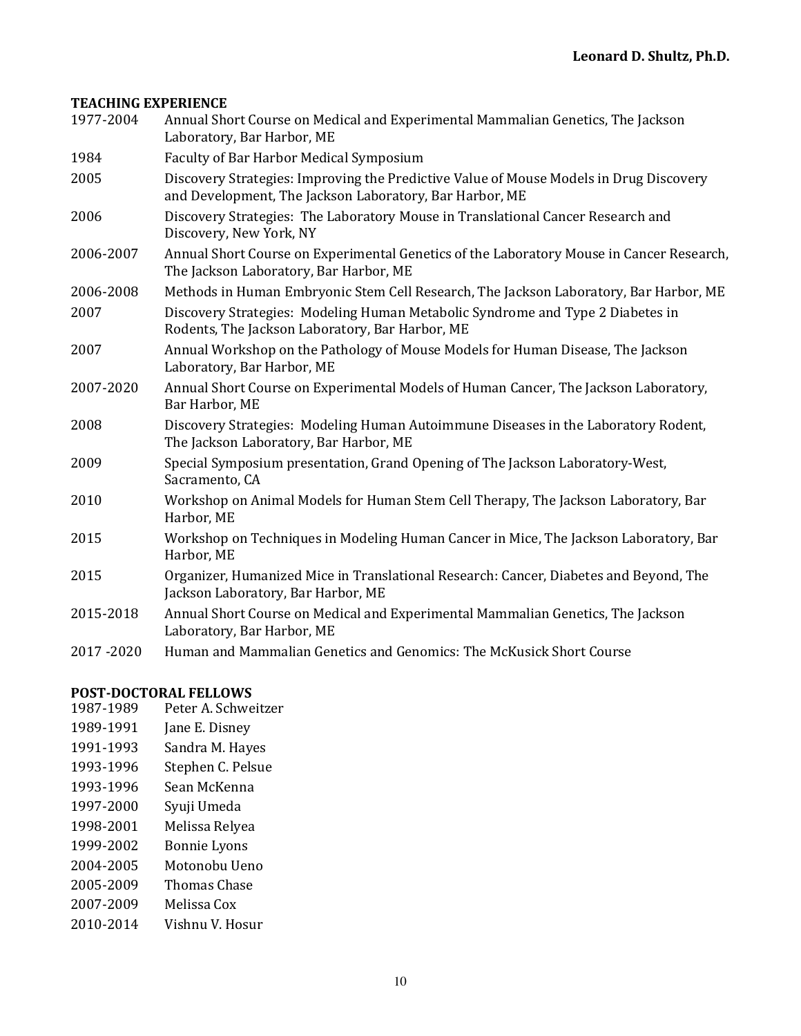### **TEACHING EXPERIENCE**

| 1977-2004 | Annual Short Course on Medical and Experimental Mammalian Genetics, The Jackson<br>Laboratory, Bar Harbor, ME                                     |
|-----------|---------------------------------------------------------------------------------------------------------------------------------------------------|
| 1984      | <b>Faculty of Bar Harbor Medical Symposium</b>                                                                                                    |
| 2005      | Discovery Strategies: Improving the Predictive Value of Mouse Models in Drug Discovery<br>and Development, The Jackson Laboratory, Bar Harbor, ME |
| 2006      | Discovery Strategies: The Laboratory Mouse in Translational Cancer Research and<br>Discovery, New York, NY                                        |
| 2006-2007 | Annual Short Course on Experimental Genetics of the Laboratory Mouse in Cancer Research,<br>The Jackson Laboratory, Bar Harbor, ME                |
| 2006-2008 | Methods in Human Embryonic Stem Cell Research, The Jackson Laboratory, Bar Harbor, ME                                                             |
| 2007      | Discovery Strategies: Modeling Human Metabolic Syndrome and Type 2 Diabetes in<br>Rodents, The Jackson Laboratory, Bar Harbor, ME                 |
| 2007      | Annual Workshop on the Pathology of Mouse Models for Human Disease, The Jackson<br>Laboratory, Bar Harbor, ME                                     |
| 2007-2020 | Annual Short Course on Experimental Models of Human Cancer, The Jackson Laboratory,<br>Bar Harbor, ME                                             |
| 2008      | Discovery Strategies: Modeling Human Autoimmune Diseases in the Laboratory Rodent,<br>The Jackson Laboratory, Bar Harbor, ME                      |
| 2009      | Special Symposium presentation, Grand Opening of The Jackson Laboratory-West,<br>Sacramento, CA                                                   |
| 2010      | Workshop on Animal Models for Human Stem Cell Therapy, The Jackson Laboratory, Bar<br>Harbor, ME                                                  |
| 2015      | Workshop on Techniques in Modeling Human Cancer in Mice, The Jackson Laboratory, Bar<br>Harbor, ME                                                |
| 2015      | Organizer, Humanized Mice in Translational Research: Cancer, Diabetes and Beyond, The<br>Jackson Laboratory, Bar Harbor, ME                       |
| 2015-2018 | Annual Short Course on Medical and Experimental Mammalian Genetics, The Jackson<br>Laboratory, Bar Harbor, ME                                     |
| 2017-2020 | Human and Mammalian Genetics and Genomics: The McKusick Short Course                                                                              |

#### **POST-DOCTORAL FELLOWS**

- 1987-1989 Peter A. Schweitzer
- 1989-1991 Jane E. Disney
- 1991-1993 Sandra M. Hayes
- 1993-1996 Stephen C. Pelsue
- 1993-1996 Sean McKenna
- 1997-2000 Syuji Umeda
- 1998-2001 Melissa Relyea
- 1999-2002 Bonnie Lyons
- 2004-2005 Motonobu Ueno
- 2005-2009 Thomas Chase
- 2007-2009 Melissa Cox
- 2010-2014 Vishnu V. Hosur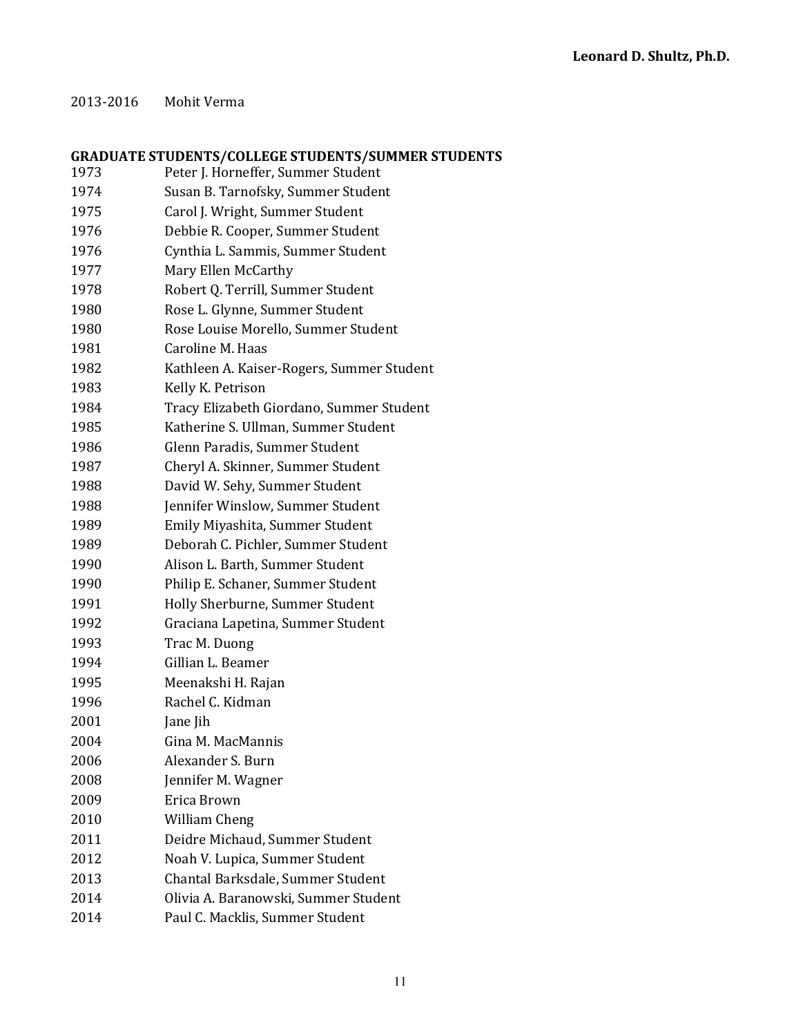#### 2013-2016 Mohit Verma

# **GRADUATE STUDENTS/COLLEGE STUDENTS/SUMMER STUDENTS**

| 1973 | Peter J. Horneffer, Summer Student        |
|------|-------------------------------------------|
| 1974 | Susan B. Tarnofsky, Summer Student        |
| 1975 | Carol J. Wright, Summer Student           |
| 1976 | Debbie R. Cooper, Summer Student          |
| 1976 | Cynthia L. Sammis, Summer Student         |
| 1977 | Mary Ellen McCarthy                       |
| 1978 | Robert Q. Terrill, Summer Student         |
| 1980 | Rose L. Glynne, Summer Student            |
| 1980 | Rose Louise Morello, Summer Student       |
| 1981 | Caroline M. Haas                          |
| 1982 | Kathleen A. Kaiser-Rogers, Summer Student |
| 1983 | Kelly K. Petrison                         |
| 1984 | Tracy Elizabeth Giordano, Summer Student  |
| 1985 | Katherine S. Ullman, Summer Student       |
| 1986 | Glenn Paradis, Summer Student             |
| 1987 | Cheryl A. Skinner, Summer Student         |
| 1988 | David W. Sehy, Summer Student             |
| 1988 | Jennifer Winslow, Summer Student          |
| 1989 | Emily Miyashita, Summer Student           |
| 1989 | Deborah C. Pichler, Summer Student        |
| 1990 | Alison L. Barth, Summer Student           |
| 1990 | Philip E. Schaner, Summer Student         |
| 1991 | Holly Sherburne, Summer Student           |
| 1992 | Graciana Lapetina, Summer Student         |
| 1993 | Trac M. Duong                             |
| 1994 | Gillian L. Beamer                         |
| 1995 | Meenakshi H. Rajan                        |
| 1996 | Rachel C. Kidman                          |
| 2001 | Jane Jih                                  |
| 2004 | Gina M. MacMannis                         |
| 2006 | Alexander S. Burn                         |
| 2008 | Jennifer M. Wagner                        |
| 2009 | Erica Brown                               |
| 2010 | William Cheng                             |
| 2011 | Deidre Michaud, Summer Student            |
| 2012 | Noah V. Lupica, Summer Student            |
| 2013 | Chantal Barksdale, Summer Student         |
| 2014 | Olivia A. Baranowski, Summer Student      |
| 2014 | Paul C. Macklis, Summer Student           |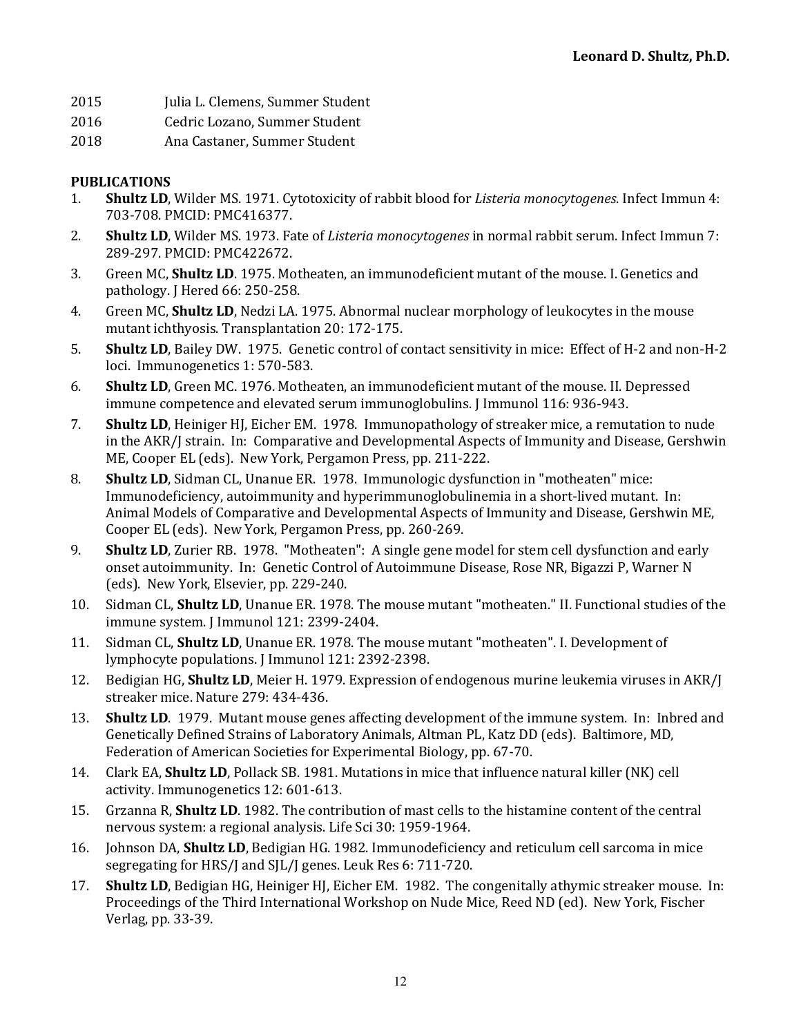- 2015 Julia L. Clemens, Summer Student
- 2016 Cedric Lozano, Summer Student
- 2018 Ana Castaner, Summer Student

## **PUBLICATIONS**

- 1. **Shultz LD**, Wilder MS. 1971. Cytotoxicity of rabbit blood for *Listeria monocytogenes*. Infect Immun 4: 703-708. PMCID: PMC416377.
- 2. **Shultz LD**, Wilder MS. 1973. Fate of *Listeria monocytogenes* in normal rabbit serum. Infect Immun 7: 289-297. PMCID: PMC422672.
- 3. Green MC, **Shultz LD**. 1975. Motheaten, an immunodeficient mutant of the mouse. I. Genetics and pathology. J Hered 66: 250-258.
- 4. Green MC, **Shultz LD**, Nedzi LA. 1975. Abnormal nuclear morphology of leukocytes in the mouse mutant ichthyosis. Transplantation 20: 172-175.
- 5. **Shultz LD**, Bailey DW. 1975. Genetic control of contact sensitivity in mice: Effect of H-2 and non-H-2 loci. Immunogenetics 1: 570-583.
- 6. **Shultz LD**, Green MC. 1976. Motheaten, an immunodeficient mutant of the mouse. II. Depressed immune competence and elevated serum immunoglobulins. J Immunol 116: 936-943.
- 7. **Shultz LD**, Heiniger HJ, Eicher EM. 1978. Immunopathology of streaker mice, a remutation to nude in the AKR/J strain. In: Comparative and Developmental Aspects of Immunity and Disease, Gershwin ME, Cooper EL (eds). New York, Pergamon Press, pp. 211-222.
- 8. **Shultz LD**, Sidman CL, Unanue ER. 1978. Immunologic dysfunction in "motheaten" mice: Immunodeficiency, autoimmunity and hyperimmunoglobulinemia in a short-lived mutant. In: Animal Models of Comparative and Developmental Aspects of Immunity and Disease, Gershwin ME, Cooper EL (eds). New York, Pergamon Press, pp. 260-269.
- 9. **Shultz LD**, Zurier RB. 1978. "Motheaten": A single gene model for stem cell dysfunction and early onset autoimmunity. In: Genetic Control of Autoimmune Disease, Rose NR, Bigazzi P, Warner N (eds). New York, Elsevier, pp. 229-240.
- 10. Sidman CL, **Shultz LD**, Unanue ER. 1978. The mouse mutant "motheaten." II. Functional studies of the immune system. J Immunol 121: 2399-2404.
- 11. Sidman CL, **Shultz LD**, Unanue ER. 1978. The mouse mutant "motheaten". I. Development of lymphocyte populations. J Immunol 121: 2392-2398.
- 12. Bedigian HG, **Shultz LD**, Meier H. 1979. Expression of endogenous murine leukemia viruses in AKR/J streaker mice. Nature 279: 434-436.
- 13. **Shultz LD**. 1979. Mutant mouse genes affecting development of the immune system. In: Inbred and Genetically Defined Strains of Laboratory Animals, Altman PL, Katz DD (eds). Baltimore, MD, Federation of American Societies for Experimental Biology, pp. 67-70.
- 14. Clark EA, **Shultz LD**, Pollack SB. 1981. Mutations in mice that influence natural killer (NK) cell activity. Immunogenetics 12: 601-613.
- 15. Grzanna R, **Shultz LD**. 1982. The contribution of mast cells to the histamine content of the central nervous system: a regional analysis. Life Sci 30: 1959-1964.
- 16. Johnson DA, **Shultz LD**, Bedigian HG. 1982. Immunodeficiency and reticulum cell sarcoma in mice segregating for HRS/J and SJL/J genes. Leuk Res 6: 711-720.
- 17. **Shultz LD**, Bedigian HG, Heiniger HJ, Eicher EM. 1982. The congenitally athymic streaker mouse. In: Proceedings of the Third International Workshop on Nude Mice, Reed ND (ed). New York, Fischer Verlag, pp. 33-39.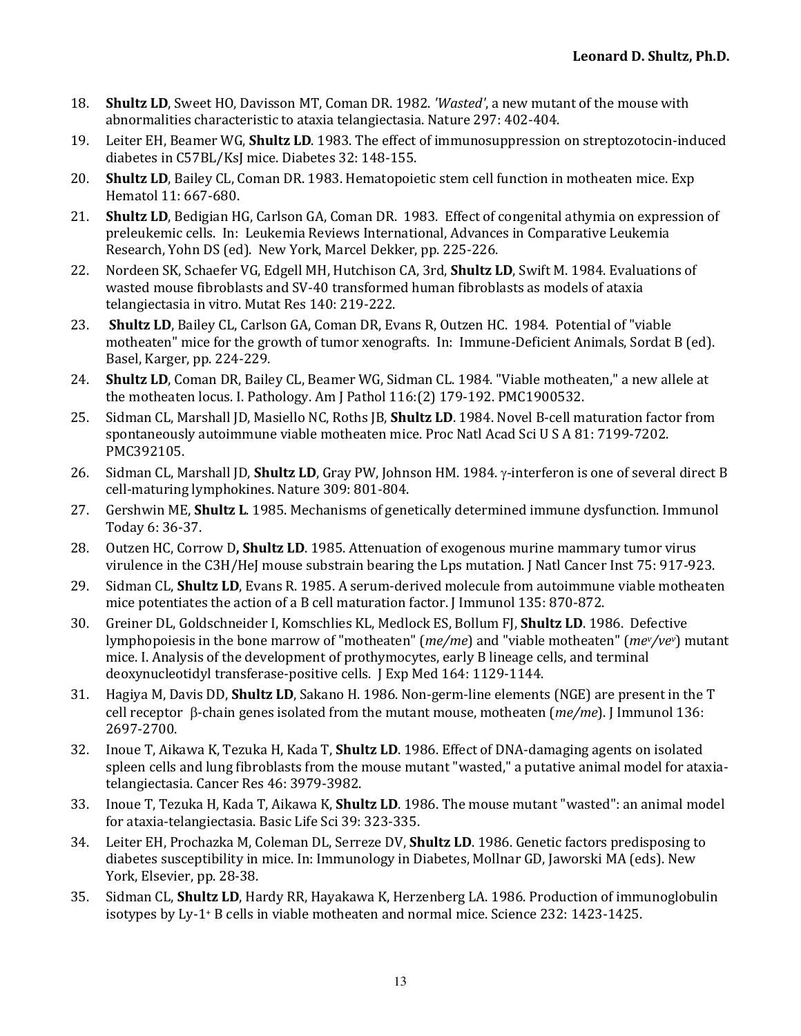- 18. **Shultz LD**, Sweet HO, Davisson MT, Coman DR, 1982. *'Wasted'*, a new mutant of the mouse with abnormalities characteristic to ataxia telangiectasia. Nature 297: 402-404.
- 19. Leiter EH, Beamer WG, **Shultz LD**. 1983. The effect of immunosuppression on streptozotocin-induced diabetes in C57BL/KsJ mice. Diabetes 32: 148-155.
- 20. **Shultz LD**, Bailey CL, Coman DR. 1983. Hematopoietic stem cell function in motheaten mice. Exp Hematol 11: 667-680.
- 21. **Shultz LD**, Bedigian HG, Carlson GA, Coman DR. 1983. Effect of congenital athymia on expression of preleukemic cells. In: Leukemia Reviews International, Advances in Comparative Leukemia Research, Yohn DS (ed). New York, Marcel Dekker, pp. 225-226.
- 22. Nordeen SK, Schaefer VG, Edgell MH, Hutchison CA, 3rd, **Shultz LD**, Swift M. 1984. Evaluations of wasted mouse fibroblasts and SV-40 transformed human fibroblasts as models of ataxia telangiectasia in vitro. Mutat Res 140: 219-222.
- 23. Shultz LD, Bailey CL, Carlson GA, Coman DR, Evans R, Outzen HC. 1984. Potential of "viable motheaten" mice for the growth of tumor xenografts. In: Immune-Deficient Animals, Sordat B (ed). Basel, Karger, pp. 224-229.
- 24. **Shultz LD**, Coman DR, Bailey CL, Beamer WG, Sidman CL. 1984. "Viable motheaten," a new allele at the motheaten locus. I. Pathology. Am J Pathol  $116$ :(2)  $179-192$ . PMC1900532.
- 25. Sidman CL, Marshall JD, Masiello NC, Roths JB, **Shultz LD**. 1984. Novel B-cell maturation factor from spontaneously autoimmune viable motheaten mice. Proc Natl Acad Sci U S A 81: 7199-7202. PMC392105.
- 26. Sidman CL, Marshall JD, **Shultz LD**, Gray PW, Johnson HM. 1984.  $\gamma$ -interferon is one of several direct B cell-maturing lymphokines. Nature 309: 801-804.
- 27. Gershwin ME, **Shultz L**. 1985. Mechanisms of genetically determined immune dysfunction. Immunol Today 6: 36-37.
- 28. Outzen HC, Corrow D, **Shultz LD**. 1985. Attenuation of exogenous murine mammary tumor virus virulence in the C3H/HeJ mouse substrain bearing the Lps mutation. J Natl Cancer Inst 75: 917-923.
- 29. Sidman CL, **Shultz LD**, Evans R. 1985. A serum-derived molecule from autoimmune viable motheaten mice potentiates the action of a B cell maturation factor. [Immunol 135: 870-872.
- 30. Greiner DL, Goldschneider I, Komschlies KL, Medlock ES, Bollum FJ, Shultz LD. 1986. Defective lymphopoiesis in the bone marrow of "motheaten" (*me/me*) and "viable motheaten" (*mev/vev*) mutant mice. I. Analysis of the development of prothymocytes, early B lineage cells, and terminal deoxynucleotidyl transferase-positive cells. J Exp Med 164: 1129-1144.
- 31. Hagiya M, Davis DD, **Shultz LD**, Sakano H. 1986. Non-germ-line elements (NGE) are present in the T cell receptor β-chain genes isolated from the mutant mouse, motheaten (*me/me*). J Immunol 136: 2697-2700.
- 32. Inoue T, Aikawa K, Tezuka H, Kada T, **Shultz LD**. 1986. Effect of DNA-damaging agents on isolated spleen cells and lung fibroblasts from the mouse mutant "wasted," a putative animal model for ataxiatelangiectasia. Cancer Res 46: 3979-3982.
- 33. Inoue T, Tezuka H, Kada T, Aikawa K, **Shultz LD**. 1986. The mouse mutant "wasted": an animal model for ataxia-telangiectasia. Basic Life Sci 39: 323-335.
- 34. Leiter EH, Prochazka M, Coleman DL, Serreze DV, **Shultz LD**. 1986. Genetic factors predisposing to diabetes susceptibility in mice. In: Immunology in Diabetes, Mollnar GD, Jaworski MA (eds). New York, Elsevier, pp. 28-38.
- 35. Sidman CL, **Shultz LD**, Hardy RR, Hayakawa K, Herzenberg LA. 1986. Production of immunoglobulin isotypes by Ly-1+ B cells in viable motheaten and normal mice. Science 232: 1423-1425.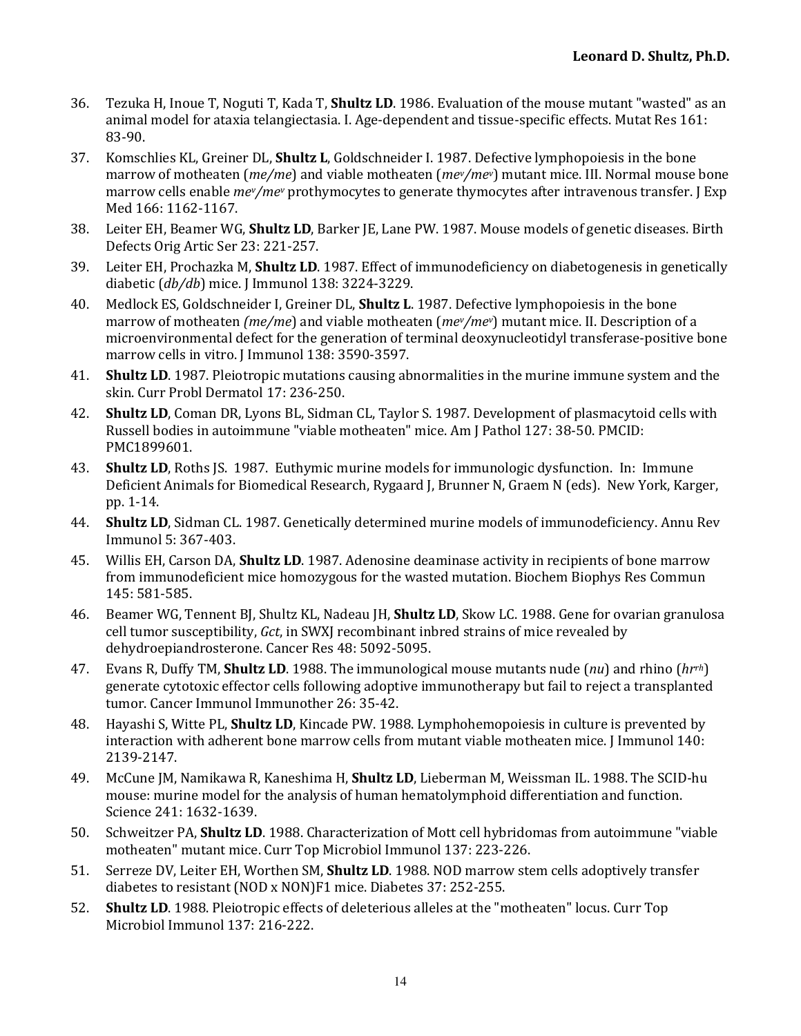- 36. Tezuka H, Inoue T, Noguti T, Kada T, **Shultz LD**, 1986. Evaluation of the mouse mutant "wasted" as an animal model for ataxia telangiectasia. I. Age-dependent and tissue-specific effects. Mutat Res 161: 83-90.
- 37. Komschlies KL, Greiner DL, Shultz L, Goldschneider I. 1987. Defective lymphopoiesis in the bone marrow of motheaten (*me/me*) and viable motheaten (*mev/mev*) mutant mice. III. Normal mouse bone marrow cells enable  $mev/mev$  prothymocytes to generate thymocytes after intravenous transfer. [Exp Med 166: 1162-1167.
- 38. Leiter EH, Beamer WG, **Shultz LD**, Barker JE, Lane PW. 1987. Mouse models of genetic diseases. Birth Defects Orig Artic Ser 23: 221-257.
- 39. Leiter EH, Prochazka M, **Shultz LD**. 1987. Effect of immunodeficiency on diabetogenesis in genetically diabetic (*db/db*) mice. J Immunol 138: 3224-3229.
- 40. Medlock ES, Goldschneider I, Greiner DL, **Shultz L**. 1987. Defective lymphopoiesis in the bone marrow of motheaten *(me/me*) and viable motheaten *(mev/mev)* mutant mice. II. Description of a microenvironmental defect for the generation of terminal deoxynucleotidyl transferase-positive bone marrow cells in vitro. J Immunol 138: 3590-3597.
- 41. **Shultz LD**. 1987. Pleiotropic mutations causing abnormalities in the murine immune system and the skin. Curr Probl Dermatol 17: 236-250.
- 42. **Shultz LD**, Coman DR, Lyons BL, Sidman CL, Taylor S. 1987. Development of plasmacytoid cells with Russell bodies in autoimmune "viable motheaten" mice. Am J Pathol 127: 38-50. PMCID: PMC1899601.
- 43. **Shultz LD**, Roths [S. 1987. Euthymic murine models for immunologic dysfunction. In: Immune Deficient Animals for Biomedical Research, Rygaard J, Brunner N, Graem N (eds). New York, Karger, pp. 1-14.
- 44. **Shultz LD**, Sidman CL. 1987. Genetically determined murine models of immunodeficiency. Annu Rev Immunol 5: 367-403.
- 45. Willis EH, Carson DA, **Shultz LD**. 1987. Adenosine deaminase activity in recipients of bone marrow from immunodeficient mice homozygous for the wasted mutation. Biochem Biophys Res Commun 145: 581-585.
- 46. Beamer WG, Tennent BJ, Shultz KL, Nadeau JH, **Shultz LD**, Skow LC. 1988. Gene for ovarian granulosa cell tumor susceptibility, *Gct*, in SWXJ recombinant inbred strains of mice revealed by dehydroepiandrosterone. Cancer Res 48: 5092-5095.
- 47. Evans R, Duffy TM, **Shultz LD**. 1988. The immunological mouse mutants nude (*nu*) and rhino (*hrrh*) generate cytotoxic effector cells following adoptive immunotherapy but fail to reject a transplanted tumor. Cancer Immunol Immunother 26: 35-42.
- 48. Hayashi S, Witte PL, **Shultz LD**, Kincade PW. 1988. Lymphohemopoiesis in culture is prevented by interaction with adherent bone marrow cells from mutant viable motheaten mice. J Immunol 140: 2139-2147.
- 49. McCune JM, Namikawa R, Kaneshima H, **Shultz LD**, Lieberman M, Weissman IL. 1988. The SCID-hu mouse: murine model for the analysis of human hematolymphoid differentiation and function. Science 241: 1632-1639.
- 50. Schweitzer PA, **Shultz LD**. 1988. Characterization of Mott cell hybridomas from autoimmune "viable" motheaten" mutant mice. Curr Top Microbiol Immunol 137: 223-226.
- 51. Serreze DV, Leiter EH, Worthen SM, **Shultz LD**. 1988. NOD marrow stem cells adoptively transfer diabetes to resistant (NOD x NON)F1 mice. Diabetes 37: 252-255.
- 52. **Shultz LD**. 1988. Pleiotropic effects of deleterious alleles at the "motheaten" locus. Curr Top Microbiol Immunol 137: 216-222.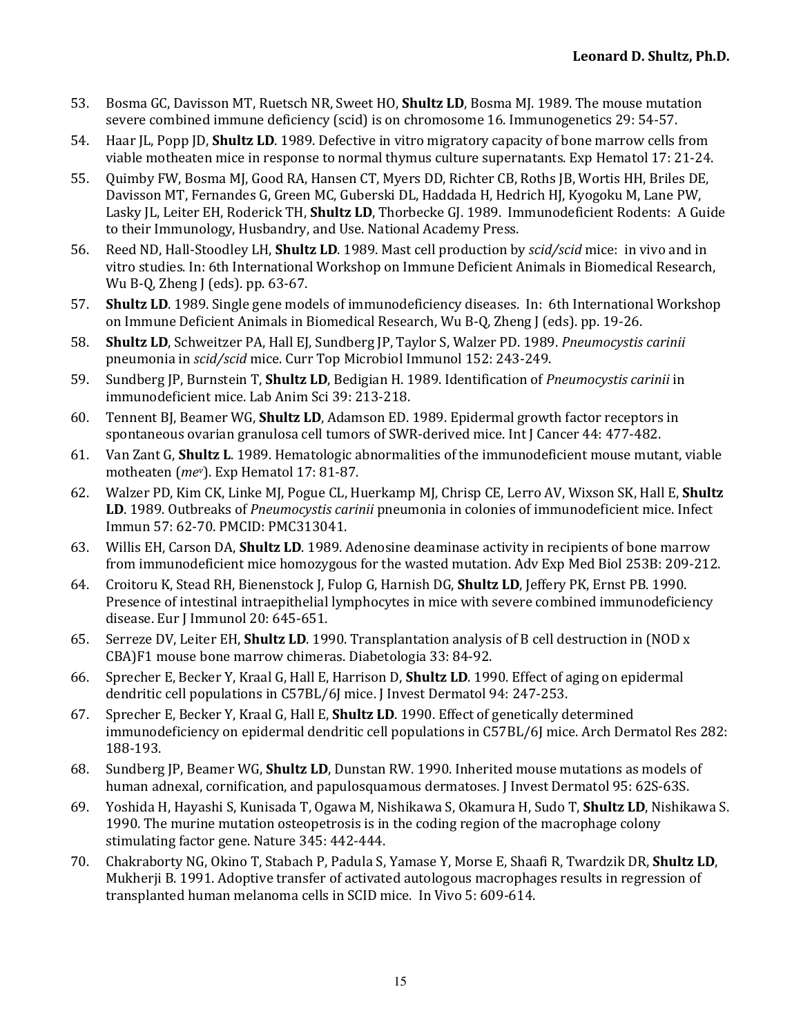- 53. Bosma GC, Davisson MT, Ruetsch NR, Sweet HO, **Shultz LD**, Bosma MJ, 1989. The mouse mutation severe combined immune deficiency (scid) is on chromosome 16. Immunogenetics 29: 54-57.
- 54. Haar IL, Popp ID, **Shultz LD**. 1989. Defective in vitro migratory capacity of bone marrow cells from viable motheaten mice in response to normal thymus culture supernatants. Exp Hematol 17: 21-24.
- 55. Quimby FW, Bosma MJ, Good RA, Hansen CT, Myers DD, Richter CB, Roths JB, Wortis HH, Briles DE, Davisson MT, Fernandes G, Green MC, Guberski DL, Haddada H, Hedrich HJ, Kyogoku M, Lane PW, Lasky JL, Leiter EH, Roderick TH, **Shultz LD**, Thorbecke GJ. 1989. Immunodeficient Rodents: A Guide to their Immunology, Husbandry, and Use. National Academy Press.
- 56. Reed ND, Hall-Stoodley LH, **Shultz LD**. 1989. Mast cell production by *scid/scid* mice: in vivo and in vitro studies. In: 6th International Workshop on Immune Deficient Animals in Biomedical Research, Wu B-Q, Zheng J (eds). pp.  $63-67$ .
- 57. **Shultz LD**. 1989. Single gene models of immunodeficiency diseases. In: 6th International Workshop on Immune Deficient Animals in Biomedical Research, Wu B-O, Zheng J (eds). pp. 19-26.
- 58. **Shultz LD**, Schweitzer PA, Hall EJ, Sundberg JP, Taylor S, Walzer PD. 1989. *Pneumocystis carinii* pneumonia in *scid/scid* mice. Curr Top Microbiol Immunol 152: 243-249.
- 59. Sundberg JP, Burnstein T, **Shultz LD**, Bedigian H. 1989. Identification of *Pneumocystis carinii* in immunodeficient mice. Lab Anim Sci 39: 213-218.
- 60. Tennent BI, Beamer WG, **Shultz LD**, Adamson ED. 1989. Epidermal growth factor receptors in spontaneous ovarian granulosa cell tumors of SWR-derived mice. Int J Cancer 44: 477-482.
- 61. Van Zant G, **Shultz L**. 1989. Hematologic abnormalities of the immunodeficient mouse mutant, viable motheaten (mev). Exp Hematol 17: 81-87.
- 62. Walzer PD, Kim CK, Linke MJ, Pogue CL, Huerkamp MJ, Chrisp CE, Lerro AV, Wixson SK, Hall E, **Shultz** LD. 1989. Outbreaks of *Pneumocystis carinii* pneumonia in colonies of immunodeficient mice. Infect Immun 57: 62-70. PMCID: PMC313041.
- 63. Willis EH, Carson DA, **Shultz LD**. 1989. Adenosine deaminase activity in recipients of bone marrow from immunodeficient mice homozygous for the wasted mutation. Adv Exp Med Biol 253B: 209-212.
- 64. Croitoru K, Stead RH, Bienenstock J, Fulop G, Harnish DG, **Shultz LD**, Jeffery PK, Ernst PB. 1990. Presence of intestinal intraepithelial lymphocytes in mice with severe combined immunodeficiency disease. Eur J Immunol 20: 645-651.
- 65. Serreze DV, Leiter EH, **Shultz LD**. 1990. Transplantation analysis of B cell destruction in (NOD x CBA)F1 mouse bone marrow chimeras. Diabetologia 33: 84-92.
- 66. Sprecher E, Becker Y, Kraal G, Hall E, Harrison D, **Shultz LD**. 1990. Effect of aging on epidermal dendritic cell populations in C57BL/6J mice. J Invest Dermatol 94: 247-253.
- 67. Sprecher E, Becker Y, Kraal G, Hall E, **Shultz LD**. 1990. Effect of genetically determined immunodeficiency on epidermal dendritic cell populations in C57BL/6J mice. Arch Dermatol Res 282: 188-193.
- 68. Sundberg JP, Beamer WG, **Shultz LD**, Dunstan RW. 1990. Inherited mouse mutations as models of human adnexal, cornification, and papulosquamous dermatoses. I Invest Dermatol 95: 62S-63S.
- 69. Yoshida H, Hayashi S, Kunisada T, Ogawa M, Nishikawa S, Okamura H, Sudo T, **Shultz LD**, Nishikawa S. 1990. The murine mutation osteopetrosis is in the coding region of the macrophage colony stimulating factor gene. Nature 345: 442-444.
- 70. Chakraborty NG, Okino T, Stabach P, Padula S, Yamase Y, Morse E, Shaafi R, Twardzik DR, **Shultz LD**, Mukherji B. 1991. Adoptive transfer of activated autologous macrophages results in regression of transplanted human melanoma cells in SCID mice. In Vivo 5: 609-614.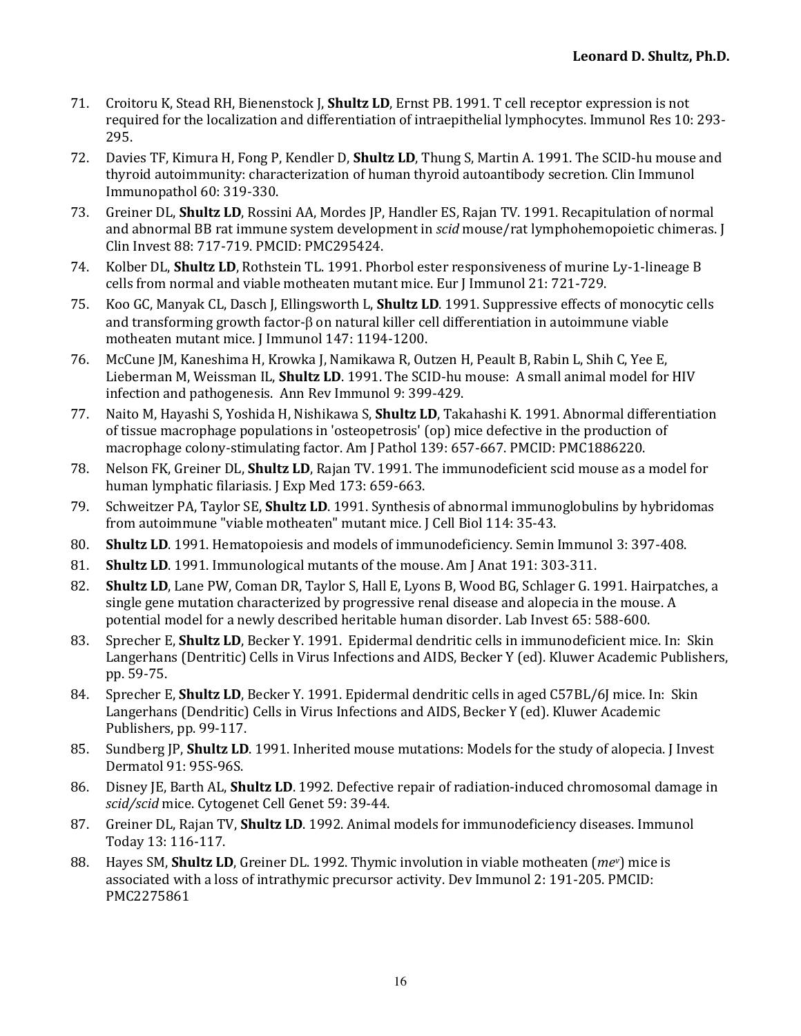- 71. Croitoru K, Stead RH, Bienenstock I, **Shultz LD**, Ernst PB, 1991. T cell receptor expression is not required for the localization and differentiation of intraepithelial lymphocytes. Immunol Res 10: 293-295.
- 72. Davies TF, Kimura H, Fong P, Kendler D, **Shultz LD**, Thung S, Martin A. 1991. The SCID-hu mouse and thyroid autoimmunity: characterization of human thyroid autoantibody secretion. Clin Immunol Immunopathol 60: 319-330.
- 73. Greiner DL, **Shultz LD**, Rossini AA, Mordes JP, Handler ES, Rajan TV. 1991. Recapitulation of normal and abnormal BB rat immune system development in *scid* mouse/rat lymphohemopoietic chimeras. J Clin Invest 88: 717-719. PMCID: PMC295424.
- 74. Kolber DL, **Shultz LD**, Rothstein TL. 1991. Phorbol ester responsiveness of murine Ly-1-lineage B cells from normal and viable motheaten mutant mice. Eur J Immunol 21: 721-729.
- 75. Koo GC, Manyak CL, Dasch J, Ellingsworth L, **Shultz LD**. 1991. Suppressive effects of monocytic cells and transforming growth factor- $\beta$  on natural killer cell differentiation in autoimmune viable motheaten mutant mice. J Immunol 147: 1194-1200.
- 76. McCune JM, Kaneshima H, Krowka J, Namikawa R, Outzen H, Peault B, Rabin L, Shih C, Yee E, Lieberman M, Weissman IL, **Shultz LD**. 1991. The SCID-hu mouse: A small animal model for HIV infection and pathogenesis. Ann Rev Immunol 9: 399-429.
- 77. Naito M, Hayashi S, Yoshida H, Nishikawa S, **Shultz LD**, Takahashi K, 1991. Abnormal differentiation of tissue macrophage populations in 'osteopetrosis' (op) mice defective in the production of macrophage colony-stimulating factor. Am J Pathol 139: 657-667. PMCID: PMC1886220.
- 78. Nelson FK, Greiner DL, **Shultz LD**, Rajan TV. 1991. The immunodeficient scid mouse as a model for human lymphatic filariasis. J Exp Med 173: 659-663.
- 79. Schweitzer PA, Taylor SE, **Shultz LD**. 1991. Synthesis of abnormal immunoglobulins by hybridomas from autoimmune "viable motheaten" mutant mice. J Cell Biol 114: 35-43.
- 80. **Shultz LD**. 1991. Hematopoiesis and models of immunodeficiency. Semin Immunol 3: 397-408.
- 81. **Shultz LD**. 1991. Immunological mutants of the mouse. Am J Anat 191: 303-311.
- 82. **Shultz LD**, Lane PW, Coman DR, Taylor S, Hall E, Lyons B, Wood BG, Schlager G. 1991. Hairpatches, a single gene mutation characterized by progressive renal disease and alopecia in the mouse. A potential model for a newly described heritable human disorder. Lab Invest 65: 588-600.
- 83. Sprecher E, **Shultz LD**, Becker Y. 1991. Epidermal dendritic cells in immunodeficient mice. In: Skin Langerhans (Dentritic) Cells in Virus Infections and AIDS, Becker Y (ed). Kluwer Academic Publishers, pp. 59-75.
- 84. Sprecher E, **Shultz LD**, Becker Y. 1991. Epidermal dendritic cells in aged C57BL/6J mice. In: Skin Langerhans (Dendritic) Cells in Virus Infections and AIDS, Becker Y (ed). Kluwer Academic Publishers, pp. 99-117.
- 85. Sundberg JP, **Shultz LD**. 1991. Inherited mouse mutations: Models for the study of alopecia. J Invest Dermatol 91: 95S-96S.
- 86. Disney JE, Barth AL, **Shultz LD**. 1992. Defective repair of radiation-induced chromosomal damage in scid/scid mice. Cytogenet Cell Genet 59: 39-44.
- 87. Greiner DL, Rajan TV, **Shultz LD**. 1992. Animal models for immunodeficiency diseases. Immunol Today 13: 116-117.
- 88. Hayes SM, **Shultz LD**, Greiner DL. 1992. Thymic involution in viable motheaten (*mev*) mice is associated with a loss of intrathymic precursor activity. Dev Immunol 2: 191-205. PMCID: PMC2275861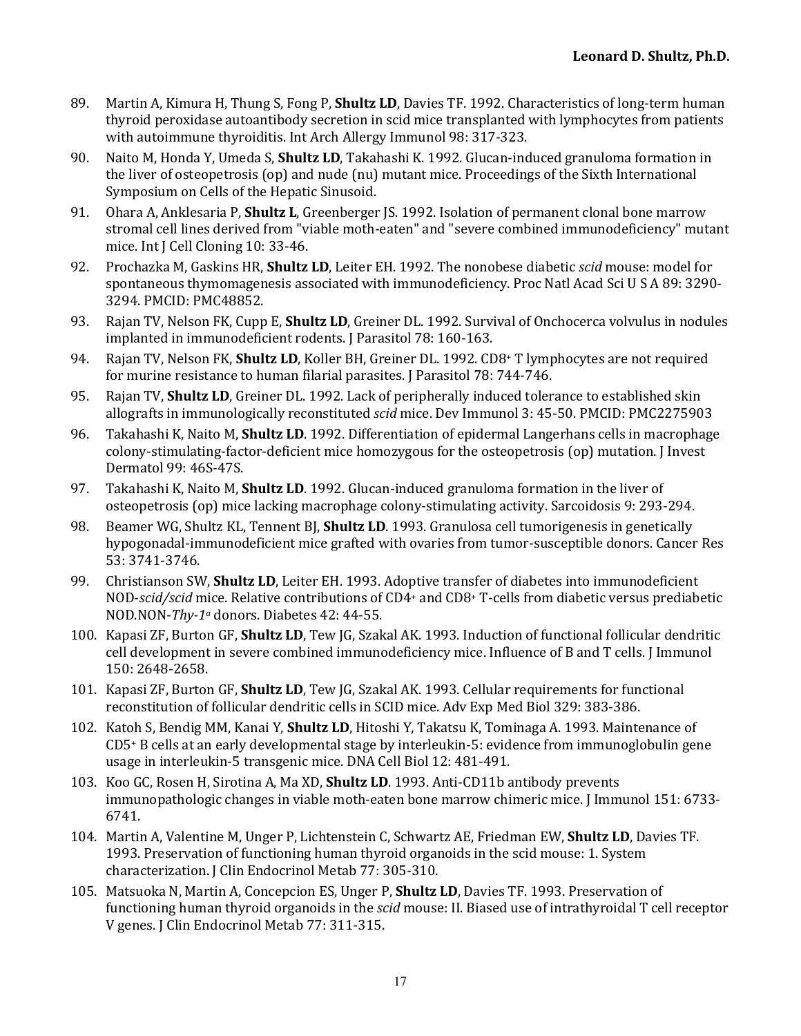- 89. Martin A, Kimura H, Thung S, Fong P, **Shultz LD**, Davies TF, 1992. Characteristics of long-term human thyroid peroxidase autoantibody secretion in scid mice transplanted with lymphocytes from patients with autoimmune thyroiditis. Int Arch Allergy Immunol 98: 317-323.
- 90. Naito M, Honda Y, Umeda S, **Shultz LD**, Takahashi K. 1992. Glucan-induced granuloma formation in the liver of osteopetrosis (op) and nude (nu) mutant mice. Proceedings of the Sixth International Symposium on Cells of the Hepatic Sinusoid.
- 91. Ohara A, Anklesaria P, **Shultz L**, Greenberger JS. 1992. Isolation of permanent clonal bone marrow stromal cell lines derived from "viable moth-eaten" and "severe combined immunodeficiency" mutant mice. Int J Cell Cloning 10: 33-46.
- 92. Prochazka M, Gaskins HR, **Shultz LD**, Leiter EH. 1992. The nonobese diabetic *scid* mouse: model for spontaneous thymomagenesis associated with immunodeficiency. Proc Natl Acad Sci U S A 89: 3290-3294. PMCID: PMC48852.
- 93. Rajan TV, Nelson FK, Cupp E, **Shultz LD**, Greiner DL. 1992. Survival of Onchocerca volvulus in nodules implanted in immunodeficient rodents. J Parasitol 78: 160-163.
- 94. Rajan TV, Nelson FK, **Shultz LD**, Koller BH, Greiner DL. 1992. CD8+ T lymphocytes are not required for murine resistance to human filarial parasites. J Parasitol 78: 744-746.
- 95. Rajan TV, **Shultz LD**, Greiner DL. 1992. Lack of peripherally induced tolerance to established skin allografts in immunologically reconstituted *scid* mice. Dev Immunol 3: 45-50. PMCID: PMC2275903
- 96. Takahashi K, Naito M, **Shultz LD**. 1992. Differentiation of epidermal Langerhans cells in macrophage colony-stimulating-factor-deficient mice homozygous for the osteopetrosis (op) mutation. I Invest Dermatol 99: 46S-47S.
- 97. Takahashi K, Naito M, **Shultz LD**. 1992. Glucan-induced granuloma formation in the liver of osteopetrosis (op) mice lacking macrophage colony-stimulating activity. Sarcoidosis 9: 293-294.
- 98. Beamer WG, Shultz KL, Tennent BJ, **Shultz LD**. 1993. Granulosa cell tumorigenesis in genetically hypogonadal-immunodeficient mice grafted with ovaries from tumor-susceptible donors. Cancer Res 53: 3741-3746.
- 99. Christianson SW, **Shultz LD**, Leiter EH. 1993. Adoptive transfer of diabetes into immunodeficient NOD-scid/scid mice. Relative contributions of CD4<sup>+</sup> and CD8<sup>+</sup> T-cells from diabetic versus prediabetic NOD.NON-Thy-1<sup>a</sup> donors. Diabetes 42: 44-55.
- 100. Kapasi ZF, Burton GF, **Shultz LD**, Tew JG, Szakal AK. 1993. Induction of functional follicular dendritic cell development in severe combined immunodeficiency mice. Influence of B and T cells. I Immunol 150: 2648-2658.
- 101. Kapasi ZF, Burton GF, **Shultz LD**, Tew [G, Szakal AK. 1993. Cellular requirements for functional reconstitution of follicular dendritic cells in SCID mice. Adv Exp Med Biol 329: 383-386.
- 102. Katoh S, Bendig MM, Kanai Y, **Shultz LD**, Hitoshi Y, Takatsu K, Tominaga A. 1993. Maintenance of  $CD5+$  B cells at an early developmental stage by interleukin-5: evidence from immunoglobulin gene usage in interleukin-5 transgenic mice. DNA Cell Biol 12: 481-491.
- 103. Koo GC, Rosen H, Sirotina A, Ma XD, **Shultz LD**. 1993. Anti-CD11b antibody prevents immunopathologic changes in viable moth-eaten bone marrow chimeric mice. I Immunol 151: 6733-6741.
- 104. Martin A, Valentine M, Unger P, Lichtenstein C, Schwartz AE, Friedman EW, **Shultz LD**, Davies TF. 1993. Preservation of functioning human thyroid organoids in the scid mouse: 1. System characterization. J Clin Endocrinol Metab 77: 305-310.
- 105. Matsuoka N, Martin A, Concepcion ES, Unger P, **Shultz LD**, Davies TF. 1993. Preservation of functioning human thyroid organoids in the *scid* mouse: II. Biased use of intrathyroidal T cell receptor V genes. J Clin Endocrinol Metab 77: 311-315.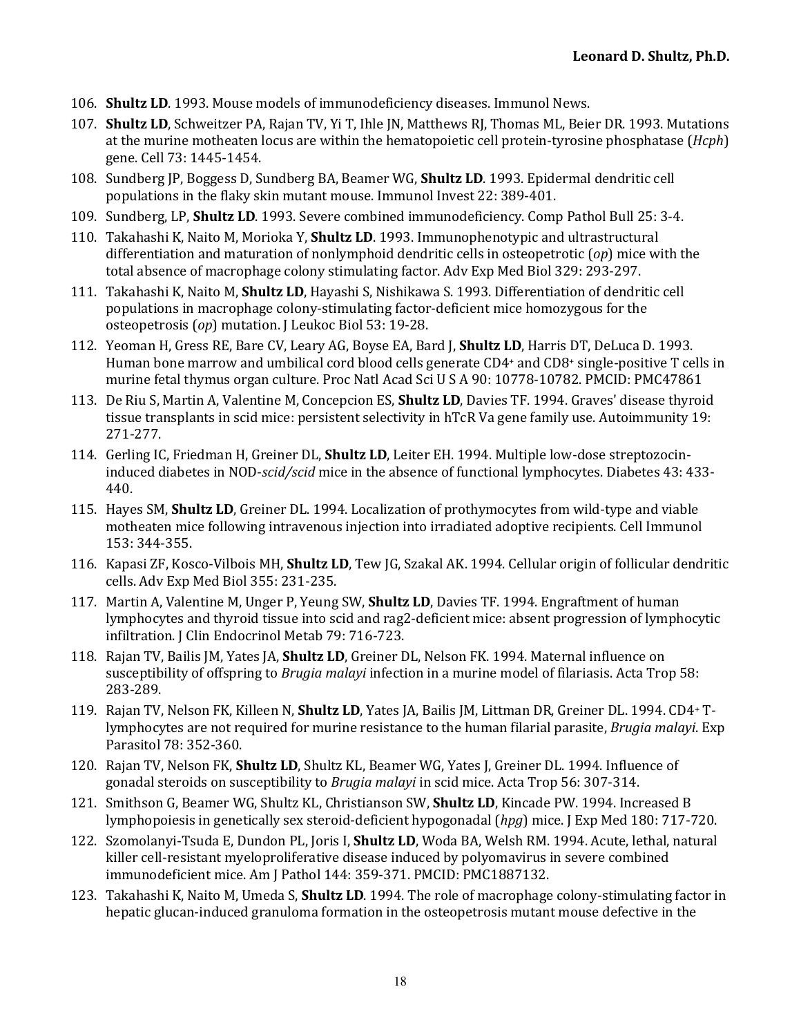- 106. **Shultz LD**. 1993. Mouse models of immunodeficiency diseases. Immunol News.
- 107. **Shultz LD**, Schweitzer PA, Rajan TV, Yi T, Ihle JN, Matthews RJ, Thomas ML, Beier DR. 1993. Mutations at the murine motheaten locus are within the hematopoietic cell protein-tyrosine phosphatase (*Hcph*) gene. Cell 73: 1445-1454.
- 108. Sundberg JP, Boggess D, Sundberg BA, Beamer WG, **Shultz LD**. 1993. Epidermal dendritic cell populations in the flaky skin mutant mouse. Immunol Invest 22: 389-401.
- 109. Sundberg, LP, **Shultz LD**. 1993. Severe combined immunodeficiency. Comp Pathol Bull 25: 3-4.
- 110. Takahashi K, Naito M, Morioka Y, **Shultz LD**. 1993. Immunophenotypic and ultrastructural differentiation and maturation of nonlymphoid dendritic cells in osteopetrotic (*op*) mice with the total absence of macrophage colony stimulating factor. Adv Exp Med Biol 329: 293-297.
- 111. Takahashi K, Naito M, **Shultz LD**, Hayashi S, Nishikawa S. 1993. Differentiation of dendritic cell populations in macrophage colony-stimulating factor-deficient mice homozygous for the osteopetrosis (op) mutation. J Leukoc Biol 53: 19-28.
- 112. Yeoman H, Gress RE, Bare CV, Leary AG, Boyse EA, Bard J, **Shultz LD**, Harris DT, DeLuca D. 1993. Human bone marrow and umbilical cord blood cells generate  $CD4$ + and  $CD8$ + single-positive T cells in murine fetal thymus organ culture. Proc Natl Acad Sci U S A 90: 10778-10782. PMCID: PMC47861
- 113. De Riu S, Martin A, Valentine M, Concepcion ES, **Shultz LD**, Davies TF. 1994. Graves' disease thyroid tissue transplants in scid mice: persistent selectivity in hTcR Va gene family use. Autoimmunity 19: 271-277.
- 114. Gerling IC, Friedman H, Greiner DL, **Shultz LD**, Leiter EH, 1994. Multiple low-dose streptozocininduced diabetes in NOD-*scid/scid* mice in the absence of functional lymphocytes. Diabetes 43: 433-440.
- 115. Hayes SM, **Shultz LD**, Greiner DL. 1994. Localization of prothymocytes from wild-type and viable motheaten mice following intravenous injection into irradiated adoptive recipients. Cell Immunol 153: 344-355.
- 116. Kapasi ZF, Kosco-Vilbois MH, **Shultz LD**, Tew JG, Szakal AK. 1994. Cellular origin of follicular dendritic cells. Adv Exp Med Biol 355: 231-235.
- 117. Martin A, Valentine M, Unger P, Yeung SW, Shultz LD, Davies TF. 1994. Engraftment of human lymphocytes and thyroid tissue into scid and rag2-deficient mice: absent progression of lymphocytic infiltration. J Clin Endocrinol Metab 79: 716-723.
- 118. Rajan TV, Bailis JM, Yates JA, **Shultz LD**, Greiner DL, Nelson FK, 1994. Maternal influence on susceptibility of offspring to *Brugia malayi* infection in a murine model of filariasis. Acta Trop 58: 283-289.
- 119. Rajan TV, Nelson FK, Killeen N, Shultz LD, Yates JA, Bailis JM, Littman DR, Greiner DL. 1994. CD4<sup>+</sup> Tlymphocytes are not required for murine resistance to the human filarial parasite, *Brugia malayi*. Exp Parasitol 78: 352-360.
- 120. Rajan TV, Nelson FK, **Shultz LD**, Shultz KL, Beamer WG, Yates J, Greiner DL. 1994. Influence of gonadal steroids on susceptibility to *Brugia malayi* in scid mice. Acta Trop 56: 307-314.
- 121. Smithson G, Beamer WG, Shultz KL, Christianson SW, **Shultz LD**, Kincade PW. 1994. Increased B lymphopoiesis in genetically sex steroid-deficient hypogonadal (hpg) mice. J Exp Med 180: 717-720.
- 122. Szomolanyi-Tsuda E, Dundon PL, Joris I, **Shultz LD**, Woda BA, Welsh RM. 1994. Acute, lethal, natural killer cell-resistant myeloproliferative disease induced by polyomavirus in severe combined immunodeficient mice. Am J Pathol 144: 359-371. PMCID: PMC1887132.
- 123. Takahashi K, Naito M, Umeda S, **Shultz LD**. 1994. The role of macrophage colony-stimulating factor in hepatic glucan-induced granuloma formation in the osteopetrosis mutant mouse defective in the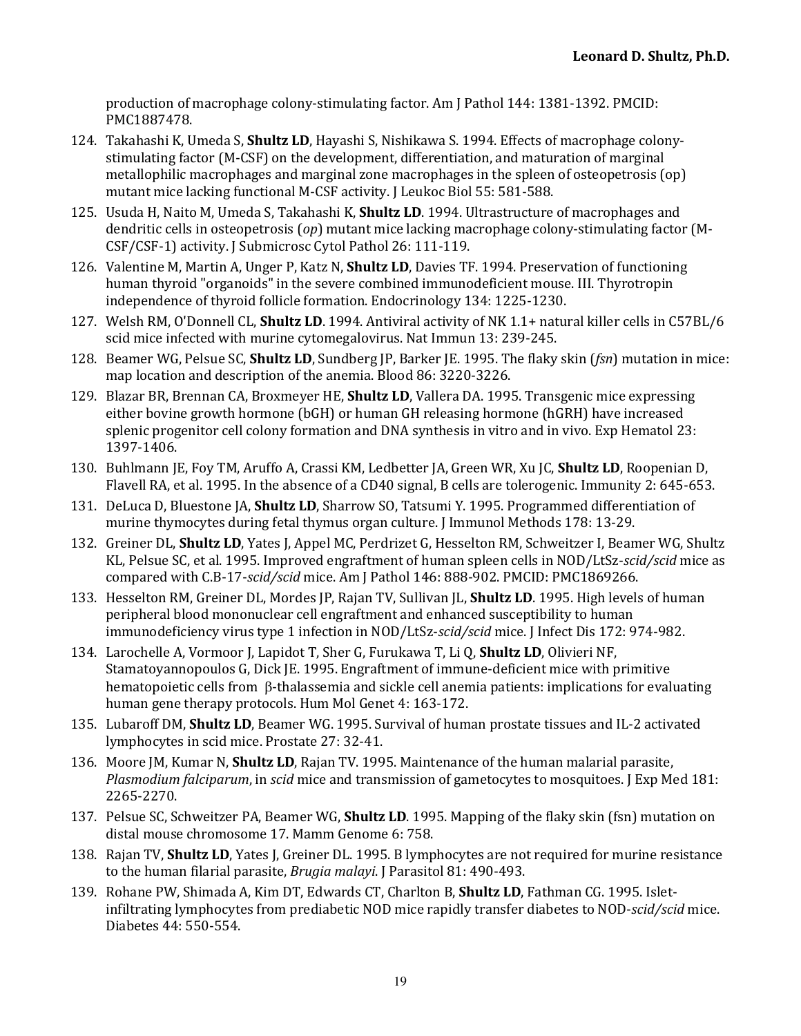production of macrophage colony-stimulating factor. Am J Pathol 144: 1381-1392. PMCID: PMC1887478.

- 124. Takahashi K, Umeda S, **Shultz LD**, Hayashi S, Nishikawa S. 1994. Effects of macrophage colonystimulating factor (M-CSF) on the development, differentiation, and maturation of marginal metallophilic macrophages and marginal zone macrophages in the spleen of osteopetrosis  $($ op) mutant mice lacking functional M-CSF activity. J Leukoc Biol 55: 581-588.
- 125. Usuda H, Naito M, Umeda S, Takahashi K, **Shultz LD**. 1994. Ultrastructure of macrophages and dendritic cells in osteopetrosis (*op*) mutant mice lacking macrophage colony-stimulating factor (M-CSF/CSF-1) activity. J Submicrosc Cytol Pathol 26: 111-119.
- 126. Valentine M, Martin A, Unger P, Katz N, **Shultz LD**, Davies TF. 1994. Preservation of functioning human thyroid "organoids" in the severe combined immunodeficient mouse. III. Thyrotropin independence of thyroid follicle formation. Endocrinology 134: 1225-1230.
- 127. Welsh RM, O'Donnell CL, **Shultz LD**. 1994. Antiviral activity of NK 1.1+ natural killer cells in C57BL/6 scid mice infected with murine cytomegalovirus. Nat Immun 13: 239-245.
- 128. Beamer WG, Pelsue SC, **Shultz LD**, Sundberg JP, Barker JE. 1995. The flaky skin (*fsn*) mutation in mice: map location and description of the anemia. Blood 86: 3220-3226.
- 129. Blazar BR, Brennan CA, Broxmeyer HE, **Shultz LD**, Vallera DA. 1995. Transgenic mice expressing either bovine growth hormone (bGH) or human GH releasing hormone (hGRH) have increased splenic progenitor cell colony formation and DNA synthesis in vitro and in vivo. Exp Hematol 23: 1397-1406.
- 130. Buhlmann JE, Foy TM, Aruffo A, Crassi KM, Ledbetter JA, Green WR, Xu JC, **Shultz LD**, Roopenian D, Flavell RA, et al. 1995. In the absence of a CD40 signal, B cells are tolerogenic. Immunity 2: 645-653.
- 131. DeLuca D, Bluestone JA, **Shultz LD**, Sharrow SO, Tatsumi Y. 1995. Programmed differentiation of murine thymocytes during fetal thymus organ culture. J Immunol Methods 178: 13-29.
- 132. Greiner DL, Shultz LD, Yates J, Appel MC, Perdrizet G, Hesselton RM, Schweitzer I, Beamer WG, Shultz KL, Pelsue SC, et al. 1995. Improved engraftment of human spleen cells in NOD/LtSz-*scid/scid* mice as compared with C.B-17-*scid/scid* mice. Am J Pathol 146: 888-902. PMCID: PMC1869266.
- 133. Hesselton RM, Greiner DL, Mordes JP, Rajan TV, Sullivan JL, **Shultz LD**. 1995. High levels of human peripheral blood mononuclear cell engraftment and enhanced susceptibility to human immunodeficiency virus type 1 infection in NOD/LtSz-scid/scid mice. I Infect Dis 172: 974-982.
- 134. Larochelle A, Vormoor J, Lapidot T, Sher G, Furukawa T, Li Q, **Shultz LD**, Olivieri NF, Stamatoyannopoulos G, Dick JE. 1995. Engraftment of immune-deficient mice with primitive hematopoietic cells from  $\beta$ -thalassemia and sickle cell anemia patients: implications for evaluating human gene therapy protocols. Hum Mol Genet 4: 163-172.
- 135. Lubaroff DM, **Shultz LD**, Beamer WG. 1995. Survival of human prostate tissues and IL-2 activated lymphocytes in scid mice. Prostate 27: 32-41.
- 136. Moore JM, Kumar N, **Shultz LD**, Rajan TV. 1995. Maintenance of the human malarial parasite, *Plasmodium falciparum*, in *scid* mice and transmission of gametocytes to mosquitoes. J Exp Med 181: 2265-2270.
- 137. Pelsue SC, Schweitzer PA, Beamer WG, **Shultz LD**. 1995. Mapping of the flaky skin (fsn) mutation on distal mouse chromosome 17. Mamm Genome 6: 758.
- 138. Rajan TV, **Shultz LD**, Yates J, Greiner DL. 1995. B lymphocytes are not required for murine resistance to the human filarial parasite, *Brugia malayi*. [ Parasitol 81: 490-493.]
- 139. Rohane PW, Shimada A, Kim DT, Edwards CT, Charlton B, Shultz LD, Fathman CG. 1995. Isletinfiltrating lymphocytes from prediabetic NOD mice rapidly transfer diabetes to NOD-*scid/scid* mice. Diabetes 44: 550-554.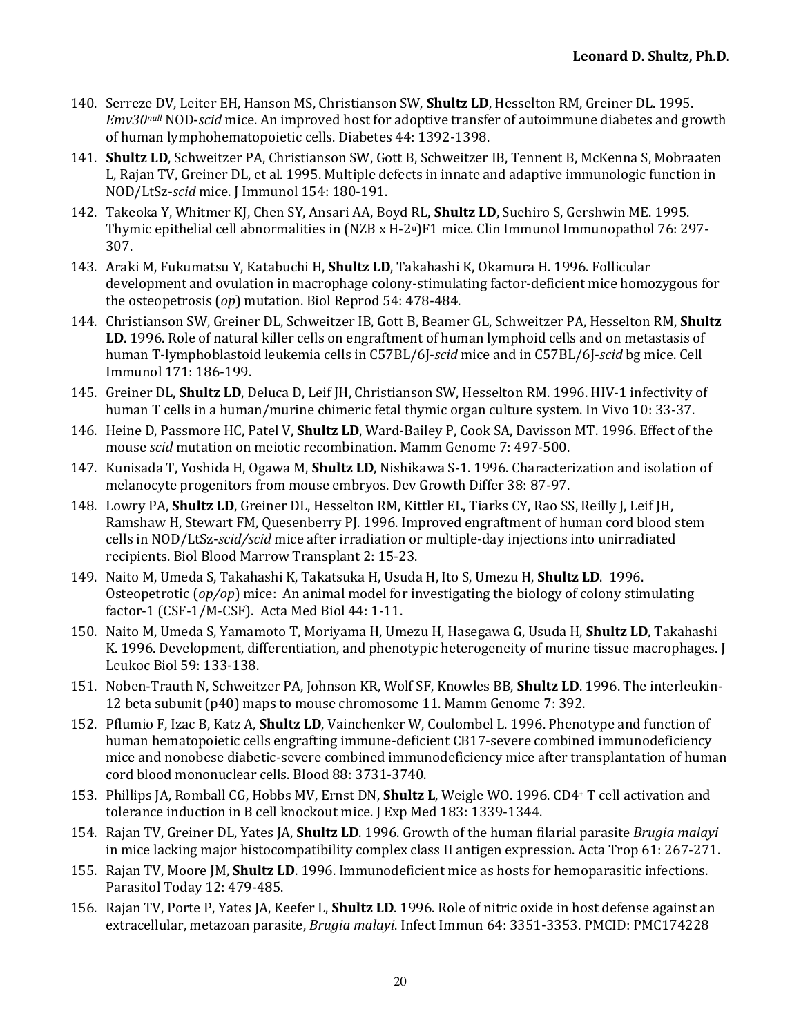- 140. Serreze DV, Leiter EH, Hanson MS, Christianson SW, **Shultz LD**, Hesselton RM, Greiner DL, 1995. *Emv30null* NOD-*scid* mice. An improved host for adoptive transfer of autoimmune diabetes and growth of human lymphohematopoietic cells. Diabetes 44: 1392-1398.
- 141. **Shultz LD**, Schweitzer PA, Christianson SW, Gott B, Schweitzer IB, Tennent B, McKenna S, Mobraaten L, Rajan TV, Greiner DL, et al. 1995. Multiple defects in innate and adaptive immunologic function in NOD/LtSz-scid mice. [ Immunol 154: 180-191.
- 142. Takeoka Y, Whitmer KJ, Chen SY, Ansari AA, Boyd RL, **Shultz LD**, Suehiro S, Gershwin ME. 1995. Thymic epithelial cell abnormalities in  $(NZB \times H-2^u)F1$  mice. Clin Immunol Immunopathol 76: 297-307.
- 143. Araki M, Fukumatsu Y, Katabuchi H, Shultz LD, Takahashi K, Okamura H. 1996. Follicular development and ovulation in macrophage colony-stimulating factor-deficient mice homozygous for the osteopetrosis (*op*) mutation. Biol Reprod 54: 478-484.
- 144. Christianson SW, Greiner DL, Schweitzer IB, Gott B, Beamer GL, Schweitzer PA, Hesselton RM, Shultz LD. 1996. Role of natural killer cells on engraftment of human lymphoid cells and on metastasis of human T-lymphoblastoid leukemia cells in C57BL/6J-*scid* mice and in C57BL/6J-*scid* bg mice. Cell Immunol 171: 186-199.
- 145. Greiner DL, **Shultz LD**, Deluca D, Leif JH, Christianson SW, Hesselton RM. 1996. HIV-1 infectivity of human T cells in a human/murine chimeric fetal thymic organ culture system. In Vivo 10: 33-37.
- 146. Heine D, Passmore HC, Patel V, **Shultz LD**, Ward-Bailey P, Cook SA, Davisson MT. 1996. Effect of the mouse *scid* mutation on meiotic recombination. Mamm Genome 7: 497-500.
- 147. Kunisada T, Yoshida H, Ogawa M, **Shultz LD**, Nishikawa S-1. 1996. Characterization and isolation of melanocyte progenitors from mouse embryos. Dev Growth Differ 38: 87-97.
- 148. Lowry PA, **Shultz LD**, Greiner DL, Hesselton RM, Kittler EL, Tiarks CY, Rao SS, Reilly J, Leif JH, Ramshaw H, Stewart FM, Quesenberry PJ. 1996. Improved engraftment of human cord blood stem cells in NOD/LtSz-scid/scid mice after irradiation or multiple-day injections into unirradiated recipients. Biol Blood Marrow Transplant 2: 15-23.
- 149. Naito M, Umeda S, Takahashi K, Takatsuka H, Usuda H, Ito S, Umezu H, **Shultz LD**. 1996. Osteopetrotic  $\left(\frac{op}{op}\right)$  mice: An animal model for investigating the biology of colony stimulating factor-1 (CSF- $1/M$ -CSF). Acta Med Biol 44: 1-11.
- 150. Naito M, Umeda S, Yamamoto T, Moriyama H, Umezu H, Hasegawa G, Usuda H, **Shultz LD**, Takahashi K. 1996. Development, differentiation, and phenotypic heterogeneity of murine tissue macrophages. [ Leukoc Biol 59: 133-138.
- 151. Noben-Trauth N, Schweitzer PA, Johnson KR, Wolf SF, Knowles BB, **Shultz LD**. 1996. The interleukin-12 beta subunit (p40) maps to mouse chromosome 11. Mamm Genome 7: 392.
- 152. Pflumio F, Izac B, Katz A, **Shultz LD**, Vainchenker W, Coulombel L. 1996. Phenotype and function of human hematopoietic cells engrafting immune-deficient CB17-severe combined immunodeficiency mice and nonobese diabetic-severe combined immunodeficiency mice after transplantation of human cord blood mononuclear cells. Blood 88: 3731-3740.
- 153. Phillips JA, Romball CG, Hobbs MV, Ernst DN, **Shultz L**, Weigle WO. 1996. CD4<sup>+</sup> T cell activation and tolerance induction in B cell knockout mice. J Exp Med 183: 1339-1344.
- 154. Rajan TV, Greiner DL, Yates JA, **Shultz LD**. 1996. Growth of the human filarial parasite *Brugia malayi* in mice lacking major histocompatibility complex class II antigen expression. Acta Trop 61: 267-271.
- 155. Rajan TV, Moore JM, **Shultz LD**. 1996. Immunodeficient mice as hosts for hemoparasitic infections. Parasitol Today 12: 479-485.
- 156. Rajan TV, Porte P, Yates JA, Keefer L, **Shultz LD**. 1996. Role of nitric oxide in host defense against an extracellular, metazoan parasite, *Brugia malayi*. Infect Immun 64: 3351-3353. PMCID: PMC174228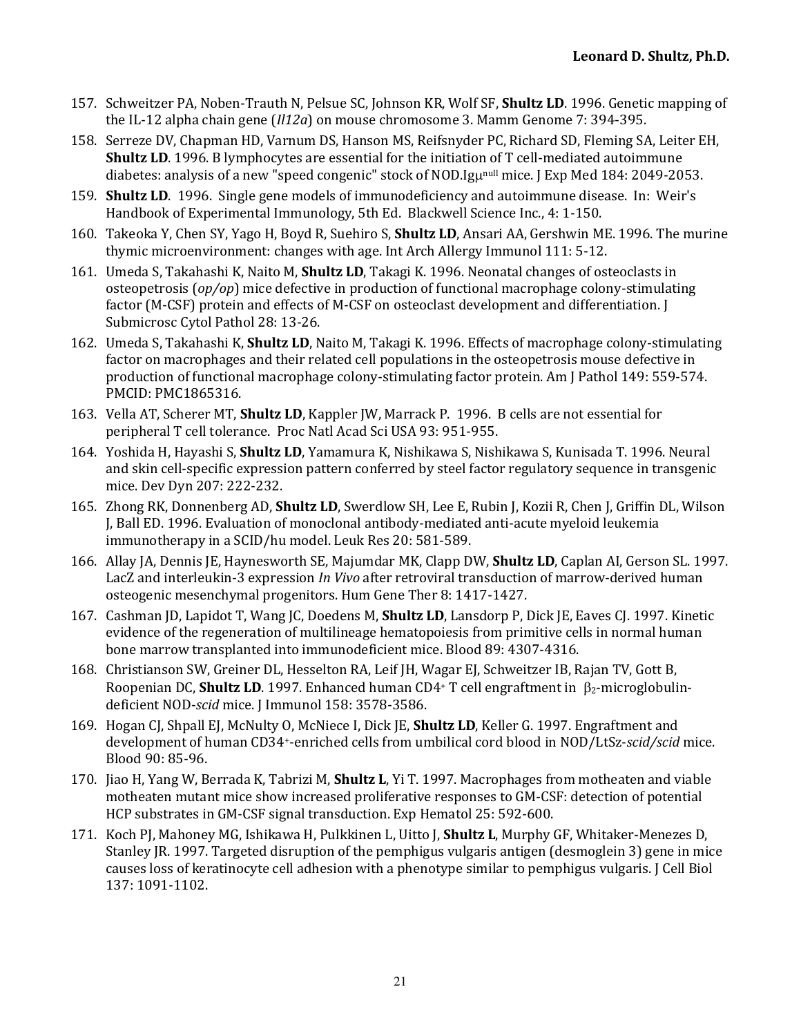- 157. Schweitzer PA, Noben-Trauth N, Pelsue SC, Johnson KR, Wolf SF, **Shultz LD**, 1996. Genetic mapping of the IL-12 alpha chain gene  $(112a)$  on mouse chromosome 3. Mamm Genome  $7: 394-395$ .
- 158. Serreze DV, Chapman HD, Varnum DS, Hanson MS, Reifsnyder PC, Richard SD, Fleming SA, Leiter EH, **Shultz LD**. 1996. B lymphocytes are essential for the initiation of T cell-mediated autoimmune diabetes: analysis of a new "speed congenic" stock of NOD.Igunull mice. J Exp Med 184: 2049-2053.
- 159. **Shultz LD.** 1996. Single gene models of immunodeficiency and autoimmune disease. In: Weir's Handbook of Experimental Immunology, 5th Ed. Blackwell Science Inc., 4: 1-150.
- 160. Takeoka Y, Chen SY, Yago H, Boyd R, Suehiro S, **Shultz LD**, Ansari AA, Gershwin ME. 1996. The murine thymic microenvironment: changes with age. Int Arch Allergy Immunol 111: 5-12.
- 161. Umeda S, Takahashi K, Naito M, **Shultz LD**, Takagi K. 1996. Neonatal changes of osteoclasts in osteopetrosis (*op/op*) mice defective in production of functional macrophage colony-stimulating factor (M-CSF) protein and effects of M-CSF on osteoclast development and differentiation. [ Submicrosc Cytol Pathol 28: 13-26.
- 162. Umeda S, Takahashi K, **Shultz LD**, Naito M, Takagi K. 1996. Effects of macrophage colony-stimulating factor on macrophages and their related cell populations in the osteopetrosis mouse defective in production of functional macrophage colony-stimulating factor protein. Am [Pathol 149: 559-574. PMCID: PMC1865316.
- 163. Vella AT, Scherer MT, **Shultz LD**, Kappler JW, Marrack P. 1996. B cells are not essential for peripheral T cell tolerance. Proc Natl Acad Sci USA 93: 951-955.
- 164. Yoshida H, Hayashi S, **Shultz LD**, Yamamura K, Nishikawa S, Nishikawa S, Kunisada T. 1996. Neural and skin cell-specific expression pattern conferred by steel factor regulatory sequence in transgenic mice. Dev Dyn 207: 222-232.
- 165. Zhong RK, Donnenberg AD, **Shultz LD**, Swerdlow SH, Lee E, Rubin J, Kozii R, Chen J, Griffin DL, Wilson J, Ball ED. 1996. Evaluation of monoclonal antibody-mediated anti-acute myeloid leukemia immunotherapy in a SCID/hu model. Leuk Res 20: 581-589.
- 166. Allay JA, Dennis JE, Haynesworth SE, Majumdar MK, Clapp DW, **Shultz LD**, Caplan AI, Gerson SL. 1997. LacZ and interleukin-3 expression *In Vivo* after retroviral transduction of marrow-derived human osteogenic mesenchymal progenitors. Hum Gene Ther 8: 1417-1427.
- 167. Cashman JD, Lapidot T, Wang JC, Doedens M, **Shultz LD**, Lansdorp P, Dick JE, Eaves CJ. 1997. Kinetic evidence of the regeneration of multilineage hematopoiesis from primitive cells in normal human bone marrow transplanted into immunodeficient mice. Blood 89: 4307-4316.
- 168. Christianson SW, Greiner DL, Hesselton RA, Leif JH, Wagar EJ, Schweitzer IB, Rajan TV, Gott B, Roopenian DC, **Shultz LD**. 1997. Enhanced human CD4+ T cell engraftment in  $\beta_2$ -microglobulindeficient NOD-scid mice. J Immunol 158: 3578-3586.
- 169. Hogan CJ, Shpall EJ, McNulty O, McNiece I, Dick JE, **Shultz LD**, Keller G. 1997. Engraftment and development of human CD34<sup>+</sup>-enriched cells from umbilical cord blood in NOD/LtSz-*scid/scid* mice. Blood 90: 85-96.
- 170. Jiao H, Yang W, Berrada K, Tabrizi M, **Shultz L**, Yi T. 1997. Macrophages from motheaten and viable motheaten mutant mice show increased proliferative responses to GM-CSF: detection of potential HCP substrates in GM-CSF signal transduction. Exp Hematol 25: 592-600.
- 171. Koch PJ, Mahoney MG, Ishikawa H, Pulkkinen L, Uitto J, Shultz L, Murphy GF, Whitaker-Menezes D, Stanley JR. 1997. Targeted disruption of the pemphigus vulgaris antigen (desmoglein 3) gene in mice causes loss of keratinocyte cell adhesion with a phenotype similar to pemphigus vulgaris. J Cell Biol 137: 1091-1102.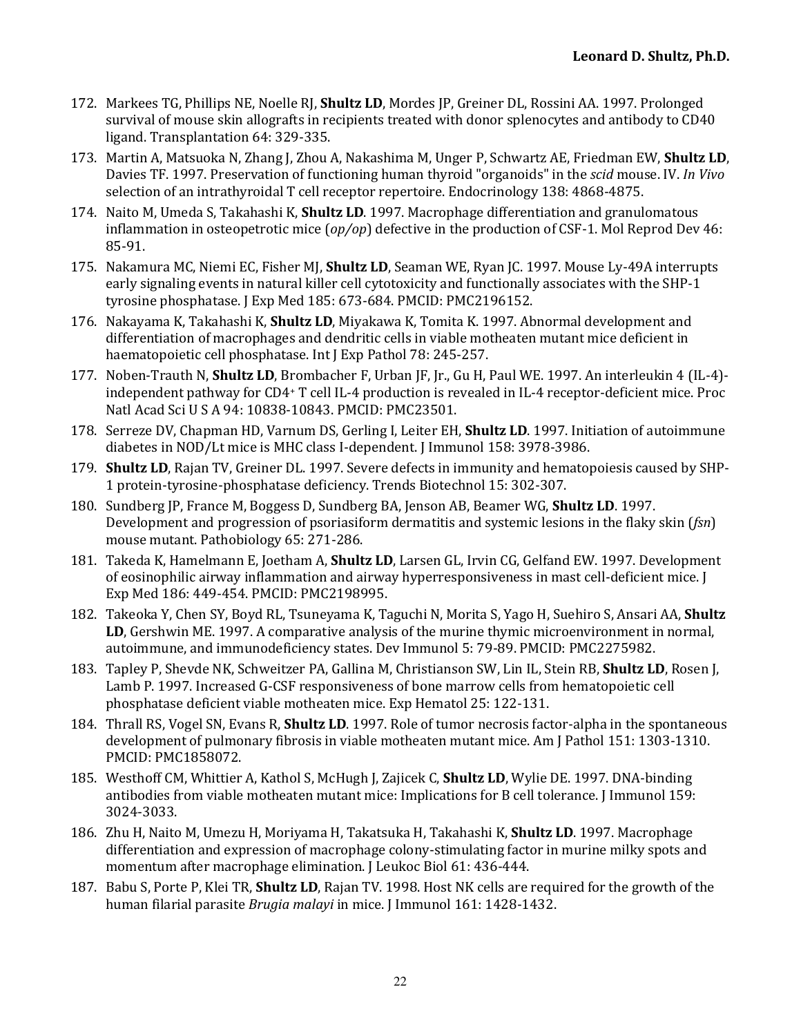- 172. Markees TG, Phillips NE, Noelle RJ, **Shultz LD**, Mordes IP, Greiner DL, Rossini AA, 1997. Prolonged survival of mouse skin allografts in recipients treated with donor splenocytes and antibody to CD40 ligand. Transplantation 64: 329-335.
- 173. Martin A, Matsuoka N, Zhang J, Zhou A, Nakashima M, Unger P, Schwartz AE, Friedman EW, Shultz LD, Davies TF. 1997. Preservation of functioning human thyroid "organoids" in the *scid* mouse. IV. In Vivo selection of an intrathyroidal T cell receptor repertoire. Endocrinology 138: 4868-4875.
- 174. Naito M, Umeda S, Takahashi K, **Shultz LD**. 1997. Macrophage differentiation and granulomatous inflammation in osteopetrotic mice  $(op/op)$  defective in the production of CSF-1. Mol Reprod Dev 46: 85-91.
- 175. Nakamura MC, Niemi EC, Fisher MJ, **Shultz LD**, Seaman WE, Ryan JC. 1997. Mouse Ly-49A interrupts early signaling events in natural killer cell cytotoxicity and functionally associates with the SHP-1 tyrosine phosphatase. J Exp Med 185: 673-684. PMCID: PMC2196152.
- 176. Nakayama K, Takahashi K, **Shultz LD**, Miyakawa K, Tomita K. 1997. Abnormal development and differentiation of macrophages and dendritic cells in viable motheaten mutant mice deficient in haematopoietic cell phosphatase. Int J Exp Pathol 78: 245-257.
- 177. Noben-Trauth N, **Shultz LD**, Brombacher F, Urban IF, Ir., Gu H, Paul WE, 1997. An interleukin 4 (IL-4)independent pathway for CD4+ T cell IL-4 production is revealed in IL-4 receptor-deficient mice. Proc Natl Acad Sci U S A 94: 10838-10843. PMCID: PMC23501.
- 178. Serreze DV, Chapman HD, Varnum DS, Gerling I, Leiter EH, **Shultz LD**. 1997. Initiation of autoimmune diabetes in NOD/Lt mice is MHC class I-dependent. [Immunol 158: 3978-3986.
- 179. Shultz LD, Rajan TV, Greiner DL. 1997. Severe defects in immunity and hematopoiesis caused by SHP-1 protein-tyrosine-phosphatase deficiency. Trends Biotechnol 15: 302-307.
- 180. Sundberg JP, France M, Boggess D, Sundberg BA, Jenson AB, Beamer WG, **Shultz LD**. 1997. Development and progression of psoriasiform dermatitis and systemic lesions in the flaky skin (*fsn*) mouse mutant. Pathobiology 65: 271-286.
- 181. Takeda K, Hamelmann E, Joetham A, **Shultz LD**, Larsen GL, Irvin CG, Gelfand EW. 1997. Development of eosinophilic airway inflammation and airway hyperresponsiveness in mast cell-deficient mice. [1] Exp Med 186: 449-454. PMCID: PMC2198995.
- 182. Takeoka Y, Chen SY, Boyd RL, Tsuneyama K, Taguchi N, Morita S, Yago H, Suehiro S, Ansari AA, **Shultz LD**, Gershwin ME. 1997. A comparative analysis of the murine thymic microenvironment in normal, autoimmune, and immunodeficiency states. Dev Immunol 5: 79-89. PMCID: PMC2275982.
- 183. Tapley P, Shevde NK, Schweitzer PA, Gallina M, Christianson SW, Lin IL, Stein RB, **Shultz LD**, Rosen J, Lamb P. 1997. Increased G-CSF responsiveness of bone marrow cells from hematopoietic cell phosphatase deficient viable motheaten mice. Exp Hematol 25: 122-131.
- 184. Thrall RS, Vogel SN, Evans R, **Shultz LD**. 1997. Role of tumor necrosis factor-alpha in the spontaneous development of pulmonary fibrosis in viable motheaten mutant mice. Am J Pathol 151: 1303-1310. PMCID: PMC1858072.
- 185. Westhoff CM, Whittier A, Kathol S, McHugh J, Zajicek C, **Shultz LD**, Wylie DE. 1997. DNA-binding antibodies from viable motheaten mutant mice: Implications for B cell tolerance. J Immunol 159: 3024-3033.
- 186. Zhu H, Naito M, Umezu H, Moriyama H, Takatsuka H, Takahashi K, **Shultz LD**. 1997. Macrophage differentiation and expression of macrophage colony-stimulating factor in murine milky spots and momentum after macrophage elimination. J Leukoc Biol 61: 436-444.
- 187. Babu S, Porte P, Klei TR, **Shultz LD**, Rajan TV. 1998. Host NK cells are required for the growth of the human filarial parasite *Brugia malayi* in mice. J Immunol 161: 1428-1432.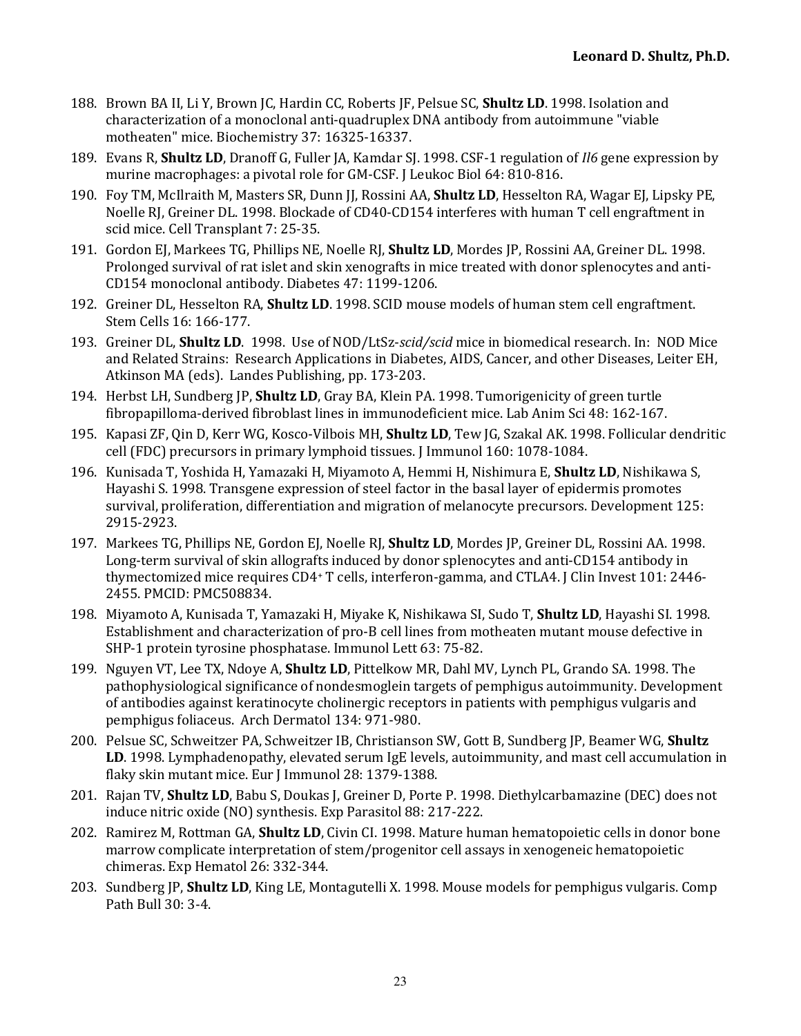- 188. Brown BA II, Li Y, Brown IC, Hardin CC, Roberts IF, Pelsue SC, **Shultz LD**, 1998. Isolation and characterization of a monoclonal anti-quadruplex DNA antibody from autoimmune "viable motheaten" mice. Biochemistry 37: 16325-16337.
- 189. Evans R, **Shultz LD**, Dranoff G, Fuller JA, Kamdar SJ. 1998. CSF-1 regulation of *Il6* gene expression by murine macrophages: a pivotal role for GM-CSF. J Leukoc Biol 64: 810-816.
- 190. Foy TM, McIlraith M, Masters SR, Dunn JJ, Rossini AA, **Shultz LD**, Hesselton RA, Wagar EJ, Lipsky PE, Noelle RJ, Greiner DL. 1998. Blockade of CD40-CD154 interferes with human T cell engraftment in scid mice. Cell Transplant 7: 25-35.
- 191. Gordon EJ, Markees TG, Phillips NE, Noelle RJ, **Shultz LD**, Mordes JP, Rossini AA, Greiner DL. 1998. Prolonged survival of rat islet and skin xenografts in mice treated with donor splenocytes and anti-CD154 monoclonal antibody. Diabetes 47: 1199-1206.
- 192. Greiner DL, Hesselton RA, **Shultz LD**. 1998. SCID mouse models of human stem cell engraftment. Stem Cells 16: 166-177.
- 193. Greiner DL, **Shultz LD**. 1998. Use of NOD/LtSz-scid/scid mice in biomedical research. In: NOD Mice and Related Strains: Research Applications in Diabetes, AIDS, Cancer, and other Diseases, Leiter EH, Atkinson MA (eds). Landes Publishing, pp. 173-203.
- 194. Herbst LH, Sundberg JP, **Shultz LD**, Gray BA, Klein PA. 1998. Tumorigenicity of green turtle fibropapilloma-derived fibroblast lines in immunodeficient mice. Lab Anim Sci 48: 162-167.
- 195. Kapasi ZF, Qin D, Kerr WG, Kosco-Vilbois MH, **Shultz LD**, Tew JG, Szakal AK. 1998. Follicular dendritic cell (FDC) precursors in primary lymphoid tissues. J Immunol 160: 1078-1084.
- 196. Kunisada T, Yoshida H, Yamazaki H, Miyamoto A, Hemmi H, Nishimura E, **Shultz LD**, Nishikawa S, Hayashi S. 1998. Transgene expression of steel factor in the basal layer of epidermis promotes survival, proliferation, differentiation and migration of melanocyte precursors. Development 125: 2915-2923.
- 197. Markees TG, Phillips NE, Gordon EJ, Noelle RJ, **Shultz LD**, Mordes JP, Greiner DL, Rossini AA. 1998. Long-term survival of skin allografts induced by donor splenocytes and anti-CD154 antibody in thymectomized mice requires CD4+ T cells, interferon-gamma, and CTLA4. [Clin Invest 101: 2446-2455. PMCID: PMC508834.
- 198. Miyamoto A, Kunisada T, Yamazaki H, Miyake K, Nishikawa SI, Sudo T, **Shultz LD**, Hayashi SI. 1998. Establishment and characterization of pro-B cell lines from motheaten mutant mouse defective in SHP-1 protein tyrosine phosphatase. Immunol Lett 63: 75-82.
- 199. Nguyen VT, Lee TX, Ndoye A, **Shultz LD**, Pittelkow MR, Dahl MV, Lynch PL, Grando SA. 1998. The pathophysiological significance of nondesmoglein targets of pemphigus autoimmunity. Development of antibodies against keratinocyte cholinergic receptors in patients with pemphigus vulgaris and pemphigus foliaceus. Arch Dermatol 134: 971-980.
- 200. Pelsue SC, Schweitzer PA, Schweitzer IB, Christianson SW, Gott B, Sundberg JP, Beamer WG, Shultz LD. 1998. Lymphadenopathy, elevated serum IgE levels, autoimmunity, and mast cell accumulation in flaky skin mutant mice. Eur J Immunol 28: 1379-1388.
- 201. Rajan TV, **Shultz LD**, Babu S, Doukas J, Greiner D, Porte P. 1998. Diethylcarbamazine (DEC) does not induce nitric oxide (NO) synthesis. Exp Parasitol 88: 217-222.
- 202. Ramirez M, Rottman GA, **Shultz LD**, Civin CI. 1998. Mature human hematopoietic cells in donor bone marrow complicate interpretation of stem/progenitor cell assays in xenogeneic hematopoietic chimeras. Exp Hematol 26: 332-344.
- 203. Sundberg JP, **Shultz LD**, King LE, Montagutelli X. 1998. Mouse models for pemphigus vulgaris. Comp Path Bull 30: 3-4.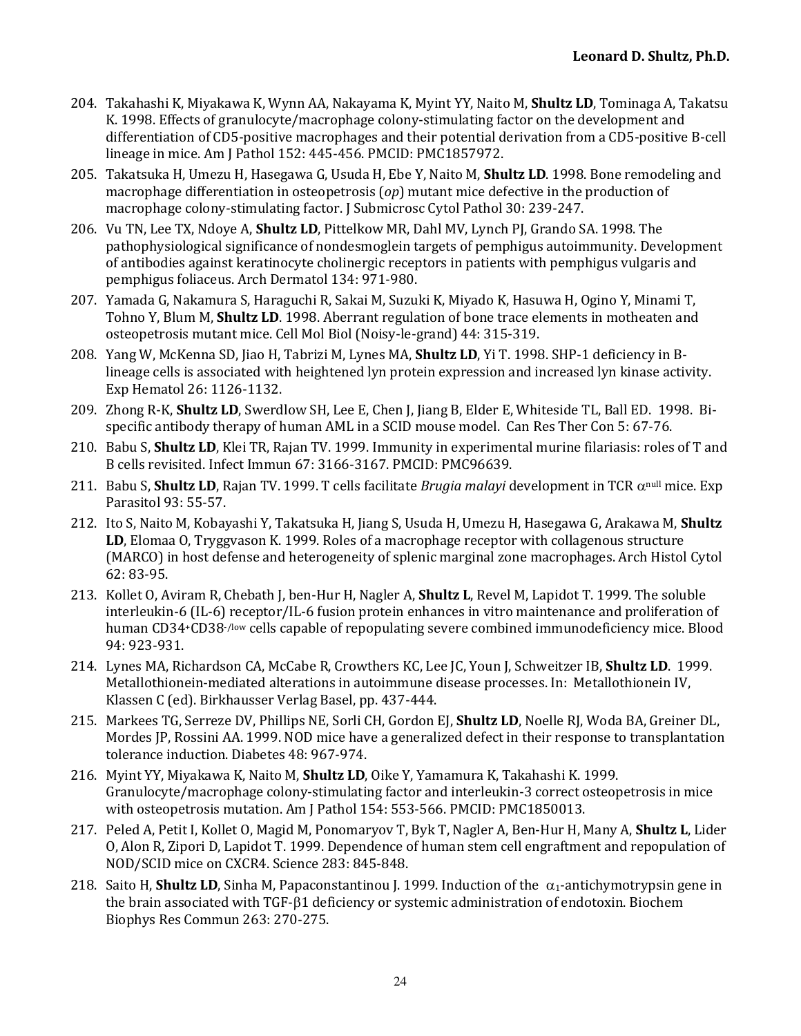- 204. Takahashi K, Miyakawa K, Wynn AA, Nakayama K, Myint YY, Naito M, **Shultz LD**, Tominaga A, Takatsu K. 1998. Effects of granulocyte/macrophage colony-stimulating factor on the development and differentiation of CD5-positive macrophages and their potential derivation from a CD5-positive B-cell lineage in mice. Am J Pathol 152: 445-456. PMCID: PMC1857972.
- 205. Takatsuka H, Umezu H, Hasegawa G, Usuda H, Ebe Y, Naito M, **Shultz LD**. 1998. Bone remodeling and macrophage differentiation in osteopetrosis  $(op)$  mutant mice defective in the production of macrophage colony-stimulating factor. J Submicrosc Cytol Pathol 30: 239-247.
- 206. Vu TN, Lee TX, Ndoye A, Shultz LD, Pittelkow MR, Dahl MV, Lynch PJ, Grando SA. 1998. The pathophysiological significance of nondesmoglein targets of pemphigus autoimmunity. Development of antibodies against keratinocyte cholinergic receptors in patients with pemphigus vulgaris and pemphigus foliaceus. Arch Dermatol 134: 971-980.
- 207. Yamada G, Nakamura S, Haraguchi R, Sakai M, Suzuki K, Miyado K, Hasuwa H, Ogino Y, Minami T, Tohno Y, Blum M, **Shultz LD**. 1998. Aberrant regulation of bone trace elements in motheaten and osteopetrosis mutant mice. Cell Mol Biol (Noisy-le-grand) 44: 315-319.
- 208. Yang W, McKenna SD, Jiao H, Tabrizi M, Lynes MA, **Shultz LD**, Yi T. 1998. SHP-1 deficiency in Blineage cells is associated with heightened lyn protein expression and increased lyn kinase activity. Exp Hematol 26: 1126-1132.
- 209. Zhong R-K, Shultz LD, Swerdlow SH, Lee E, Chen J, Jiang B, Elder E, Whiteside TL, Ball ED. 1998. Bispecific antibody therapy of human AML in a SCID mouse model. Can Res Ther Con 5: 67-76.
- 210. Babu S, **Shultz LD**, Klei TR, Rajan TV. 1999. Immunity in experimental murine filariasis: roles of T and B cells revisited. Infect Immun 67: 3166-3167. PMCID: PMC96639.
- 211. Babu S, **Shultz LD**, Rajan TV. 1999. T cells facilitate *Brugia malayi* development in TCR  $\alpha^{null}$  mice. Exp Parasitol 93: 55-57.
- 212. Ito S, Naito M, Kobayashi Y, Takatsuka H, Jiang S, Usuda H, Umezu H, Hasegawa G, Arakawa M, Shultz **LD**, Elomaa O, Tryggvason K. 1999. Roles of a macrophage receptor with collagenous structure (MARCO) in host defense and heterogeneity of splenic marginal zone macrophages. Arch Histol Cytol 62: 83-95.
- 213. Kollet O, Aviram R, Chebath J, ben-Hur H, Nagler A, **Shultz L**, Revel M, Lapidot T. 1999. The soluble interleukin-6 (IL-6) receptor/IL-6 fusion protein enhances in vitro maintenance and proliferation of human CD34+CD38-/low cells capable of repopulating severe combined immunodeficiency mice. Blood 94: 923-931.
- 214. Lynes MA, Richardson CA, McCabe R, Crowthers KC, Lee JC, Youn J, Schweitzer IB, **Shultz LD**. 1999. Metallothionein-mediated alterations in autoimmune disease processes. In: Metallothionein IV, Klassen C (ed). Birkhausser Verlag Basel, pp. 437-444.
- 215. Markees TG, Serreze DV, Phillips NE, Sorli CH, Gordon EJ, **Shultz LD**, Noelle RJ, Woda BA, Greiner DL, Mordes JP, Rossini AA. 1999. NOD mice have a generalized defect in their response to transplantation tolerance induction. Diabetes 48: 967-974.
- 216. Myint YY, Miyakawa K, Naito M, Shultz LD, Oike Y, Yamamura K, Takahashi K. 1999. Granulocyte/macrophage colony-stimulating factor and interleukin-3 correct osteopetrosis in mice with osteopetrosis mutation. Am J Pathol 154: 553-566. PMCID: PMC1850013.
- 217. Peled A, Petit I, Kollet O, Magid M, Ponomaryov T, Byk T, Nagler A, Ben-Hur H, Many A, **Shultz L**, Lider O, Alon R, Zipori D, Lapidot T. 1999. Dependence of human stem cell engraftment and repopulation of NOD/SCID mice on CXCR4. Science 283: 845-848.
- 218. Saito H, **Shultz LD**, Sinha M, Papaconstantinou J. 1999. Induction of the  $\alpha_1$ -antichymotrypsin gene in the brain associated with  $TGF-\beta1$  deficiency or systemic administration of endotoxin. Biochem Biophys Res Commun 263: 270-275.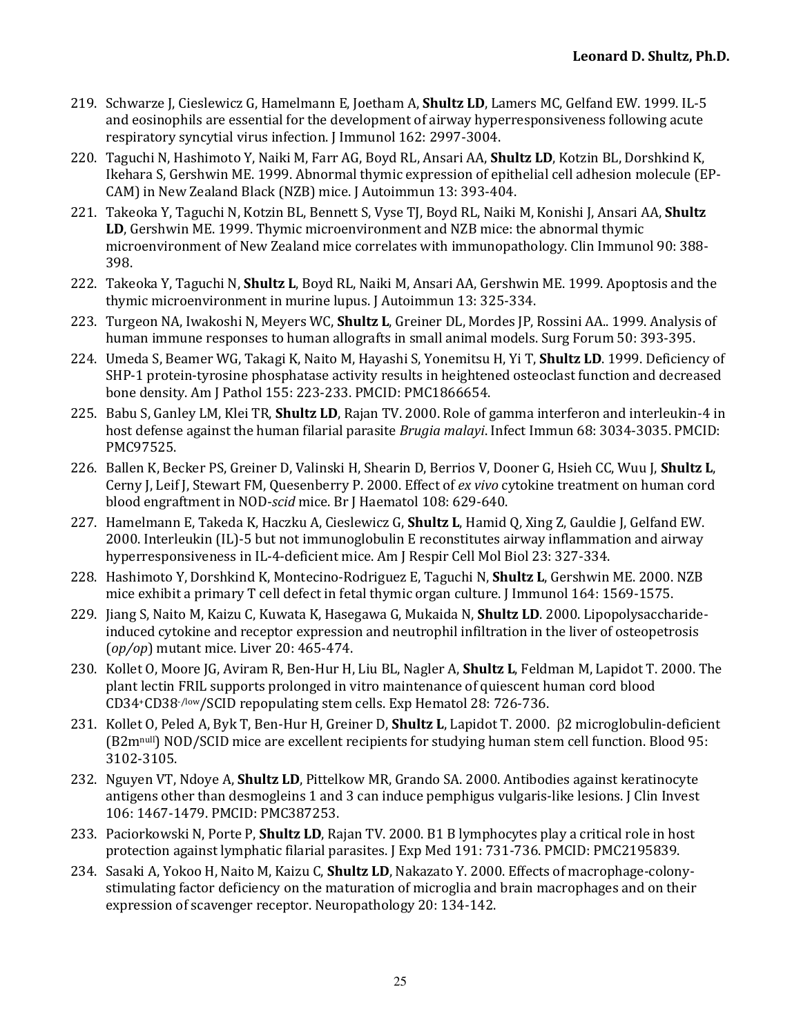- 219. Schwarze J, Cieslewicz G, Hamelmann E, Joetham A, **Shultz LD**, Lamers MC, Gelfand EW. 1999. IL-5 and eosinophils are essential for the development of airway hyperresponsiveness following acute respiratory syncytial virus infection. J Immunol 162: 2997-3004.
- 220. Taguchi N, Hashimoto Y, Naiki M, Farr AG, Boyd RL, Ansari AA, **Shultz LD**, Kotzin BL, Dorshkind K, Ikehara S, Gershwin ME. 1999. Abnormal thymic expression of epithelial cell adhesion molecule (EP-CAM) in New Zealand Black (NZB) mice. J Autoimmun 13: 393-404.
- 221. Takeoka Y, Taguchi N, Kotzin BL, Bennett S, Vyse TJ, Boyd RL, Naiki M, Konishi J, Ansari AA, Shultz **LD**, Gershwin ME. 1999. Thymic microenvironment and NZB mice: the abnormal thymic microenvironment of New Zealand mice correlates with immunopathology. Clin Immunol 90: 388-398.
- 222. Takeoka Y, Taguchi N, **Shultz L**, Boyd RL, Naiki M, Ansari AA, Gershwin ME. 1999. Apoptosis and the thymic microenvironment in murine lupus. J Autoimmun 13: 325-334.
- 223. Turgeon NA, Iwakoshi N, Meyers WC, **Shultz L**, Greiner DL, Mordes JP, Rossini AA.. 1999. Analysis of human immune responses to human allografts in small animal models. Surg Forum 50: 393-395.
- 224. Umeda S, Beamer WG, Takagi K, Naito M, Hayashi S, Yonemitsu H, Yi T, **Shultz LD**. 1999. Deficiency of SHP-1 protein-tyrosine phosphatase activity results in heightened osteoclast function and decreased bone density. Am J Pathol 155: 223-233. PMCID: PMC1866654.
- 225. Babu S, Ganley LM, Klei TR, **Shultz LD**, Rajan TV. 2000. Role of gamma interferon and interleukin-4 in host defense against the human filarial parasite *Brugia malayi*. Infect Immun 68: 3034-3035. PMCID: PMC97525.
- 226. Ballen K, Becker PS, Greiner D, Valinski H, Shearin D, Berrios V, Dooner G, Hsieh CC, Wuu J, Shultz L, Cerny J, Leif J, Stewart FM, Quesenberry P. 2000. Effect of *ex vivo* cytokine treatment on human cord blood engraftment in NOD-*scid* mice. Br J Haematol 108: 629-640.
- 227. Hamelmann E, Takeda K, Haczku A, Cieslewicz G, **Shultz L**, Hamid Q, Xing Z, Gauldie J, Gelfand EW. 2000. Interleukin (IL)-5 but not immunoglobulin E reconstitutes airway inflammation and airway hyperresponsiveness in IL-4-deficient mice. Am J Respir Cell Mol Biol 23: 327-334.
- 228. Hashimoto Y, Dorshkind K, Montecino-Rodriguez E, Taguchi N, **Shultz L**, Gershwin ME. 2000. NZB mice exhibit a primary T cell defect in fetal thymic organ culture. I Immunol 164: 1569-1575.
- 229. Jiang S, Naito M, Kaizu C, Kuwata K, Hasegawa G, Mukaida N, **Shultz LD**. 2000. Lipopolysaccharideinduced cytokine and receptor expression and neutrophil infiltration in the liver of osteopetrosis (*op/op*) mutant mice. Liver 20: 465-474.
- 230. Kollet O, Moore JG, Aviram R, Ben-Hur H, Liu BL, Nagler A, **Shultz L**, Feldman M, Lapidot T. 2000. The plant lectin FRIL supports prolonged in vitro maintenance of quiescent human cord blood CD34+CD38-/low/SCID repopulating stem cells. Exp Hematol 28: 726-736.
- 231. Kollet O, Peled A, Byk T, Ben-Hur H, Greiner D, **Shultz L**, Lapidot T. 2000. B2 microglobulin-deficient (B2mnull) NOD/SCID mice are excellent recipients for studying human stem cell function. Blood 95: 3102-3105.
- 232. Nguyen VT, Ndoye A, **Shultz LD**, Pittelkow MR, Grando SA. 2000. Antibodies against keratinocyte antigens other than desmogleins 1 and 3 can induce pemphigus vulgaris-like lesions. J Clin Invest 106: 1467-1479. PMCID: PMC387253.
- 233. Paciorkowski N, Porte P, **Shultz LD**, Rajan TV. 2000. B1 B lymphocytes play a critical role in host protection against lymphatic filarial parasites. [Exp Med 191: 731-736. PMCID: PMC2195839.
- 234. Sasaki A, Yokoo H, Naito M, Kaizu C, **Shultz LD**, Nakazato Y. 2000. Effects of macrophage-colonystimulating factor deficiency on the maturation of microglia and brain macrophages and on their expression of scavenger receptor. Neuropathology 20: 134-142.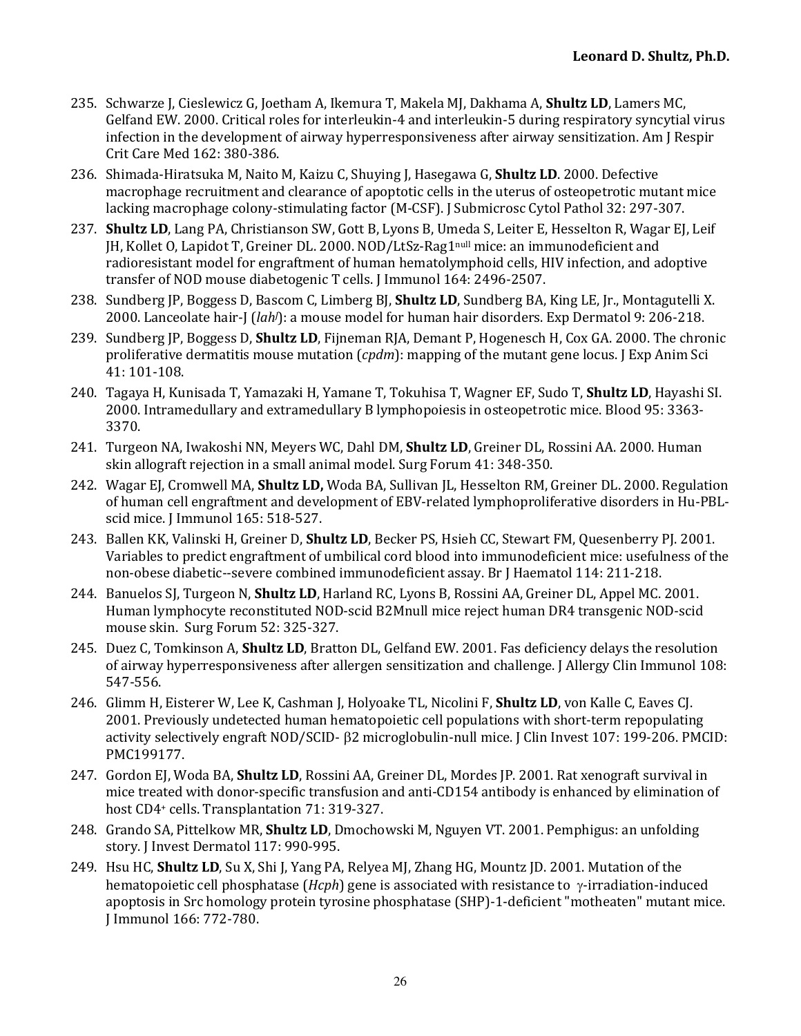- 235. Schwarze I, Cieslewicz G, Joetham A, Ikemura T, Makela MI, Dakhama A, **Shultz LD**, Lamers MC, Gelfand EW. 2000. Critical roles for interleukin-4 and interleukin-5 during respiratory syncytial virus infection in the development of airway hyperresponsiveness after airway sensitization. Am J Respir Crit Care Med 162: 380-386.
- 236. Shimada-Hiratsuka M, Naito M, Kaizu C, Shuying J, Hasegawa G, **Shultz LD**. 2000. Defective macrophage recruitment and clearance of apoptotic cells in the uterus of osteopetrotic mutant mice lacking macrophage colony-stimulating factor (M-CSF). J Submicrosc Cytol Pathol 32: 297-307.
- 237. **Shultz LD**, Lang PA, Christianson SW, Gott B, Lyons B, Umeda S, Leiter E, Hesselton R, Wagar EJ, Leif [H, Kollet O, Lapidot T, Greiner DL. 2000. NOD/LtSz-Rag1<sup>null</sup> mice: an immunodeficient and radioresistant model for engraftment of human hematolymphoid cells, HIV infection, and adoptive transfer of NOD mouse diabetogenic T cells. J Immunol 164: 2496-2507.
- 238. Sundberg JP, Boggess D, Bascom C, Limberg BJ, **Shultz LD**, Sundberg BA, King LE, Jr., Montagutelli X. 2000. Lanceolate hair-J (*lah*): a mouse model for human hair disorders. Exp Dermatol 9: 206-218.
- 239. Sundberg JP, Boggess D, **Shultz LD**, Fijneman RJA, Demant P, Hogenesch H, Cox GA. 2000. The chronic proliferative dermatitis mouse mutation (*cpdm*): mapping of the mutant gene locus. I Exp Anim Sci 41: 101-108.
- 240. Tagaya H, Kunisada T, Yamazaki H, Yamane T, Tokuhisa T, Wagner EF, Sudo T, **Shultz LD**, Hayashi SI. 2000. Intramedullary and extramedullary B lymphopoiesis in osteopetrotic mice. Blood 95: 3363-3370.
- 241. Turgeon NA, Iwakoshi NN, Meyers WC, Dahl DM, **Shultz LD**, Greiner DL, Rossini AA. 2000. Human skin allograft rejection in a small animal model. Surg Forum 41: 348-350.
- 242. Wagar EJ, Cromwell MA, **Shultz LD,** Woda BA, Sullivan JL, Hesselton RM, Greiner DL. 2000. Regulation of human cell engraftment and development of EBV-related lymphoproliferative disorders in Hu-PBLscid mice. J Immunol 165: 518-527.
- 243. Ballen KK, Valinski H, Greiner D, *Shultz LD*, Becker PS, Hsieh CC, Stewart FM, Quesenberry PJ. 2001. Variables to predict engraftment of umbilical cord blood into immunodeficient mice: usefulness of the non-obese diabetic--severe combined immunodeficient assay. Br J Haematol 114: 211-218.
- 244. Banuelos SJ, Turgeon N, **Shultz LD**, Harland RC, Lyons B, Rossini AA, Greiner DL, Appel MC. 2001. Human lymphocyte reconstituted NOD-scid B2Mnull mice reject human DR4 transgenic NOD-scid mouse skin. Surg Forum 52: 325-327.
- 245. Duez C, Tomkinson A, **Shultz LD**, Bratton DL, Gelfand EW. 2001. Fas deficiency delays the resolution of airway hyperresponsiveness after allergen sensitization and challenge. J Allergy Clin Immunol 108: 547-556.
- 246. Glimm H, Eisterer W, Lee K, Cashman J, Holyoake TL, Nicolini F, **Shultz LD**, von Kalle C, Eaves CJ. 2001. Previously undetected human hematopoietic cell populations with short-term repopulating activity selectively engraft NOD/SCID-  $\beta$ 2 microglobulin-null mice. I Clin Invest 107: 199-206. PMCID: PMC199177.
- 247. Gordon EJ, Woda BA, **Shultz LD**, Rossini AA, Greiner DL, Mordes JP. 2001. Rat xenograft survival in mice treated with donor-specific transfusion and anti-CD154 antibody is enhanced by elimination of host CD4+ cells. Transplantation 71: 319-327.
- 248. Grando SA, Pittelkow MR, **Shultz LD**, Dmochowski M, Nguyen VT. 2001. Pemphigus: an unfolding story. J Invest Dermatol 117: 990-995.
- 249. Hsu HC, **Shultz LD**, Su X, Shi J, Yang PA, Relyea MJ, Zhang HG, Mountz JD. 2001. Mutation of the hematopoietic cell phosphatase (*Hcph*) gene is associated with resistance to y-irradiation-induced apoptosis in Src homology protein tyrosine phosphatase (SHP)-1-deficient "motheaten" mutant mice. J Immunol 166: 772-780.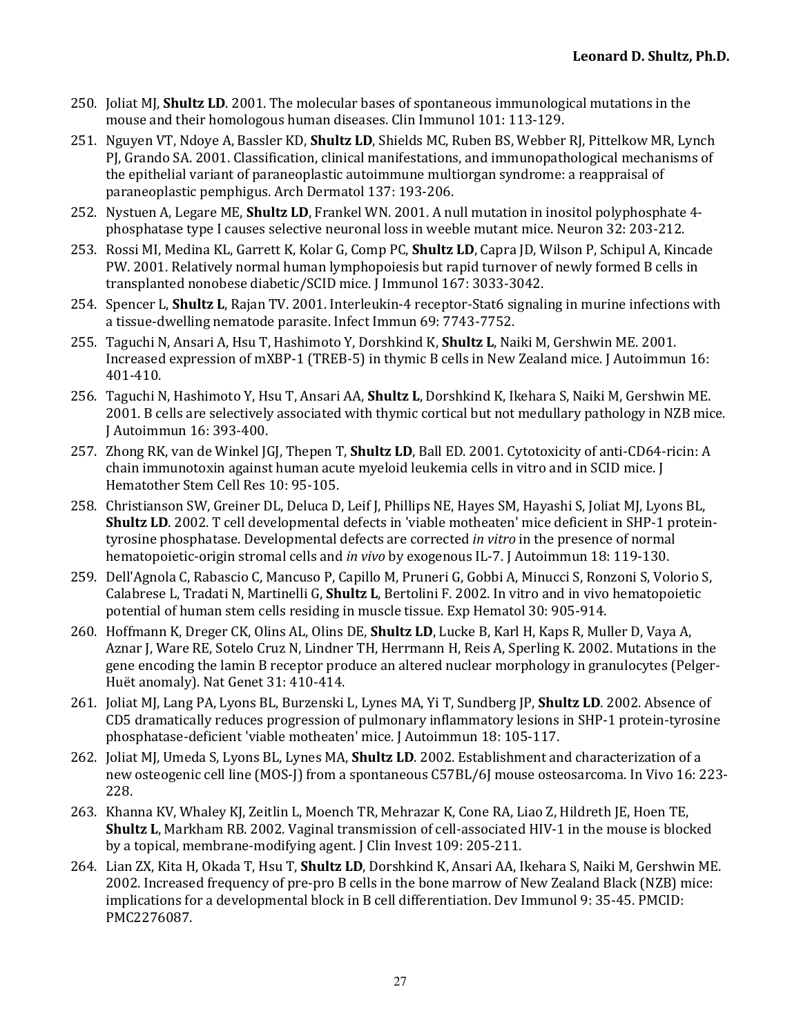- 250. Joliat MJ, **Shultz LD**, 2001. The molecular bases of spontaneous immunological mutations in the mouse and their homologous human diseases. Clin Immunol 101: 113-129.
- 251. Nguyen VT, Ndoye A, Bassler KD, **Shultz LD**, Shields MC, Ruben BS, Webber RJ, Pittelkow MR, Lynch PJ, Grando SA. 2001. Classification, clinical manifestations, and immunopathological mechanisms of the epithelial variant of paraneoplastic autoimmune multiorgan syndrome: a reappraisal of paraneoplastic pemphigus. Arch Dermatol 137: 193-206.
- 252. Nystuen A, Legare ME, **Shultz LD**, Frankel WN. 2001. A null mutation in inositol polyphosphate 4phosphatase type I causes selective neuronal loss in weeble mutant mice. Neuron 32: 203-212.
- 253. Rossi MI, Medina KL, Garrett K, Kolar G, Comp PC, **Shultz LD**, Capra JD, Wilson P, Schipul A, Kincade PW. 2001. Relatively normal human lymphopoiesis but rapid turnover of newly formed B cells in transplanted nonobese diabetic/SCID mice. J Immunol 167: 3033-3042.
- 254. Spencer L, **Shultz L**, Rajan TV. 2001. Interleukin-4 receptor-Stat6 signaling in murine infections with a tissue-dwelling nematode parasite. Infect Immun 69: 7743-7752.
- 255. Taguchi N, Ansari A, Hsu T, Hashimoto Y, Dorshkind K, **Shultz L**, Naiki M, Gershwin ME. 2001. Increased expression of mXBP-1 (TREB-5) in thymic B cells in New Zealand mice. J Autoimmun 16: 401-410.
- 256. Taguchi N, Hashimoto Y, Hsu T, Ansari AA, **Shultz L**, Dorshkind K, Ikehara S, Naiki M, Gershwin ME. 2001. B cells are selectively associated with thymic cortical but not medullary pathology in NZB mice. J Autoimmun 16: 393-400.
- 257. Zhong RK, van de Winkel JGJ, Thepen T, **Shultz LD**, Ball ED. 2001. Cytotoxicity of anti-CD64-ricin: A chain immunotoxin against human acute myeloid leukemia cells in vitro and in SCID mice. J Hematother Stem Cell Res 10: 95-105.
- 258. Christianson SW, Greiner DL, Deluca D, Leif J, Phillips NE, Hayes SM, Hayashi S, Joliat MJ, Lyons BL, **Shultz LD**. 2002. T cell developmental defects in 'viable motheaten' mice deficient in SHP-1 proteintyrosine phosphatase. Developmental defects are corrected *in vitro* in the presence of normal hematopoietic-origin stromal cells and *in vivo* by exogenous IL-7. Autoimmun 18: 119-130.
- 259. Dell'Agnola C, Rabascio C, Mancuso P, Capillo M, Pruneri G, Gobbi A, Minucci S, Ronzoni S, Volorio S, Calabrese L, Tradati N, Martinelli G, **Shultz L**, Bertolini F. 2002. In vitro and in vivo hematopoietic potential of human stem cells residing in muscle tissue. Exp Hematol 30: 905-914.
- 260. Hoffmann K, Dreger CK, Olins AL, Olins DE, **Shultz LD**, Lucke B, Karl H, Kaps R, Muller D, Vaya A, Aznar J, Ware RE, Sotelo Cruz N, Lindner TH, Herrmann H, Reis A, Sperling K. 2002. Mutations in the gene encoding the lamin B receptor produce an altered nuclear morphology in granulocytes (Pelger-Huët anomaly). Nat Genet 31: 410-414.
- 261. Joliat MJ, Lang PA, Lyons BL, Burzenski L, Lynes MA, Yi T, Sundberg JP, **Shultz LD**. 2002. Absence of CD5 dramatically reduces progression of pulmonary inflammatory lesions in SHP-1 protein-tyrosine phosphatase-deficient 'viable motheaten' mice. J Autoimmun 18: 105-117.
- 262. Joliat MJ, Umeda S, Lyons BL, Lynes MA, **Shultz LD**. 2002. Establishment and characterization of a new osteogenic cell line (MOS-J) from a spontaneous C57BL/6J mouse osteosarcoma. In Vivo 16: 223-228.
- 263. Khanna KV, Whaley KJ, Zeitlin L, Moench TR, Mehrazar K, Cone RA, Liao Z, Hildreth JE, Hoen TE, **Shultz L**, Markham RB. 2002. Vaginal transmission of cell-associated HIV-1 in the mouse is blocked by a topical, membrane-modifying agent. [Clin Invest 109: 205-211.]
- 264. Lian ZX, Kita H, Okada T, Hsu T, **Shultz LD**, Dorshkind K, Ansari AA, Ikehara S, Naiki M, Gershwin ME. 2002. Increased frequency of pre-pro B cells in the bone marrow of New Zealand Black (NZB) mice: implications for a developmental block in B cell differentiation. Dev Immunol 9: 35-45. PMCID: PMC2276087.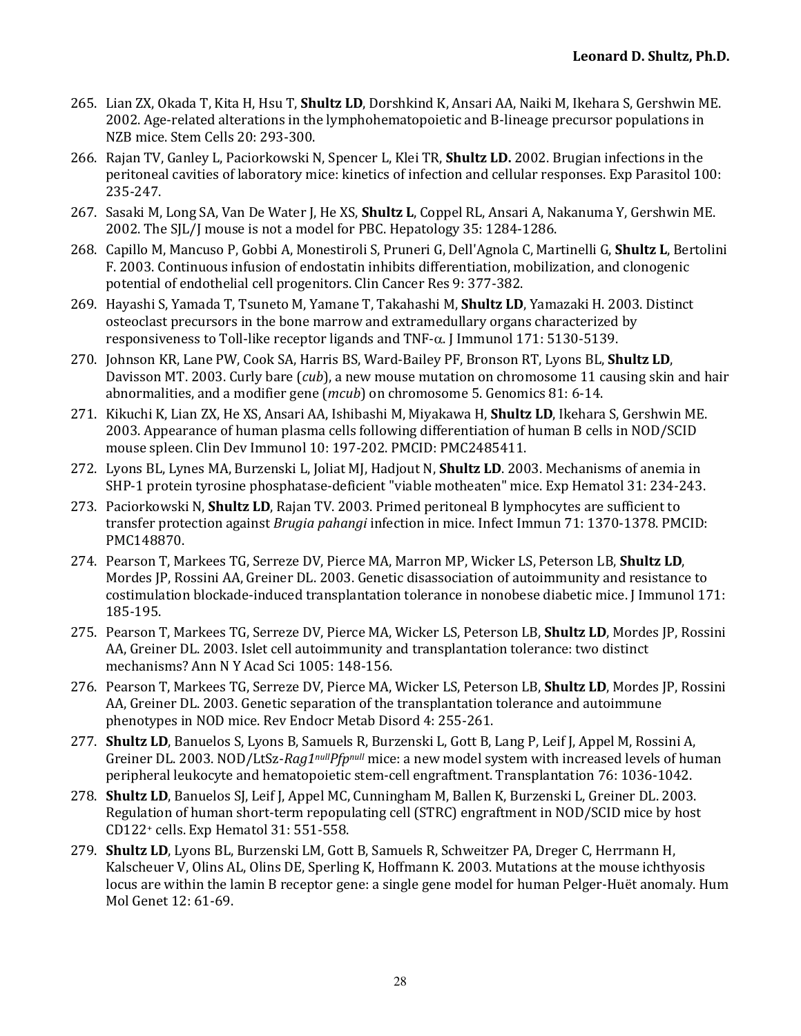- 265. Lian ZX, Okada T, Kita H, Hsu T, Shultz LD, Dorshkind K, Ansari AA, Naiki M, Ikehara S, Gershwin ME. 2002. Age-related alterations in the lymphohematopoietic and B-lineage precursor populations in NZB mice. Stem Cells 20: 293-300.
- 266. Rajan TV, Ganley L, Paciorkowski N, Spencer L, Klei TR, **Shultz LD.** 2002. Brugian infections in the peritoneal cavities of laboratory mice: kinetics of infection and cellular responses. Exp Parasitol 100: 235-247.
- 267. Sasaki M, Long SA, Van De Water J, He XS, **Shultz L**, Coppel RL, Ansari A, Nakanuma Y, Gershwin ME. 2002. The SIL/J mouse is not a model for PBC. Hepatology 35: 1284-1286.
- 268. Capillo M, Mancuso P, Gobbi A, Monestiroli S, Pruneri G, Dell'Agnola C, Martinelli G, Shultz L, Bertolini F. 2003. Continuous infusion of endostatin inhibits differentiation, mobilization, and clonogenic potential of endothelial cell progenitors. Clin Cancer Res 9: 377-382.
- 269. Hayashi S, Yamada T, Tsuneto M, Yamane T, Takahashi M, **Shultz LD**, Yamazaki H. 2003. Distinct osteoclast precursors in the bone marrow and extramedullary organs characterized by responsiveness to Toll-like receptor ligands and  $TNF-\alpha$ . I Immunol 171: 5130-5139.
- 270. Johnson KR, Lane PW, Cook SA, Harris BS, Ward-Bailey PF, Bronson RT, Lyons BL, Shultz LD, Davisson MT. 2003. Curly bare (*cub*), a new mouse mutation on chromosome 11 causing skin and hair abnormalities, and a modifier gene  $(mcub)$  on chromosome 5. Genomics 81: 6-14.
- 271. Kikuchi K, Lian ZX, He XS, Ansari AA, Ishibashi M, Miyakawa H, **Shultz LD**, Ikehara S, Gershwin ME. 2003. Appearance of human plasma cells following differentiation of human B cells in NOD/SCID mouse spleen. Clin Dev Immunol 10: 197-202. PMCID: PMC2485411.
- 272. Lyons BL, Lynes MA, Burzenski L, Joliat MJ, Hadjout N, **Shultz LD**. 2003. Mechanisms of anemia in SHP-1 protein tyrosine phosphatase-deficient "viable motheaten" mice. Exp Hematol 31: 234-243.
- 273. Paciorkowski N, **Shultz LD**, Rajan TV. 2003. Primed peritoneal B lymphocytes are sufficient to transfer protection against *Brugia pahangi* infection in mice. Infect Immun 71: 1370-1378. PMCID: PMC148870.
- 274. Pearson T, Markees TG, Serreze DV, Pierce MA, Marron MP, Wicker LS, Peterson LB, Shultz LD, Mordes JP, Rossini AA, Greiner DL. 2003. Genetic disassociation of autoimmunity and resistance to costimulation blockade-induced transplantation tolerance in nonobese diabetic mice. J Immunol 171: 185-195.
- 275. Pearson T, Markees TG, Serreze DV, Pierce MA, Wicker LS, Peterson LB, Shultz LD, Mordes JP, Rossini AA, Greiner DL. 2003. Islet cell autoimmunity and transplantation tolerance: two distinct mechanisms? Ann N Y Acad Sci 1005: 148-156.
- 276. Pearson T, Markees TG, Serreze DV, Pierce MA, Wicker LS, Peterson LB, **Shultz LD**, Mordes JP, Rossini AA, Greiner DL. 2003. Genetic separation of the transplantation tolerance and autoimmune phenotypes in NOD mice. Rev Endocr Metab Disord 4: 255-261.
- 277. **Shultz LD**, Banuelos S, Lyons B, Samuels R, Burzenski L, Gott B, Lang P, Leif J, Appel M, Rossini A, Greiner DL. 2003. NOD/LtSz-*Rag1nullPfpnull* mice: a new model system with increased levels of human peripheral leukocyte and hematopoietic stem-cell engraftment. Transplantation 76: 1036-1042.
- 278. **Shultz LD**, Banuelos SJ, Leif J, Appel MC, Cunningham M, Ballen K, Burzenski L, Greiner DL. 2003. Regulation of human short-term repopulating cell (STRC) engraftment in NOD/SCID mice by host CD122+ cells. Exp Hematol 31: 551-558.
- 279. **Shultz LD**, Lyons BL, Burzenski LM, Gott B, Samuels R, Schweitzer PA, Dreger C, Herrmann H, Kalscheuer V, Olins AL, Olins DE, Sperling K, Hoffmann K. 2003. Mutations at the mouse ichthyosis locus are within the lamin B receptor gene: a single gene model for human Pelger-Huët anomaly. Hum Mol Genet 12: 61-69.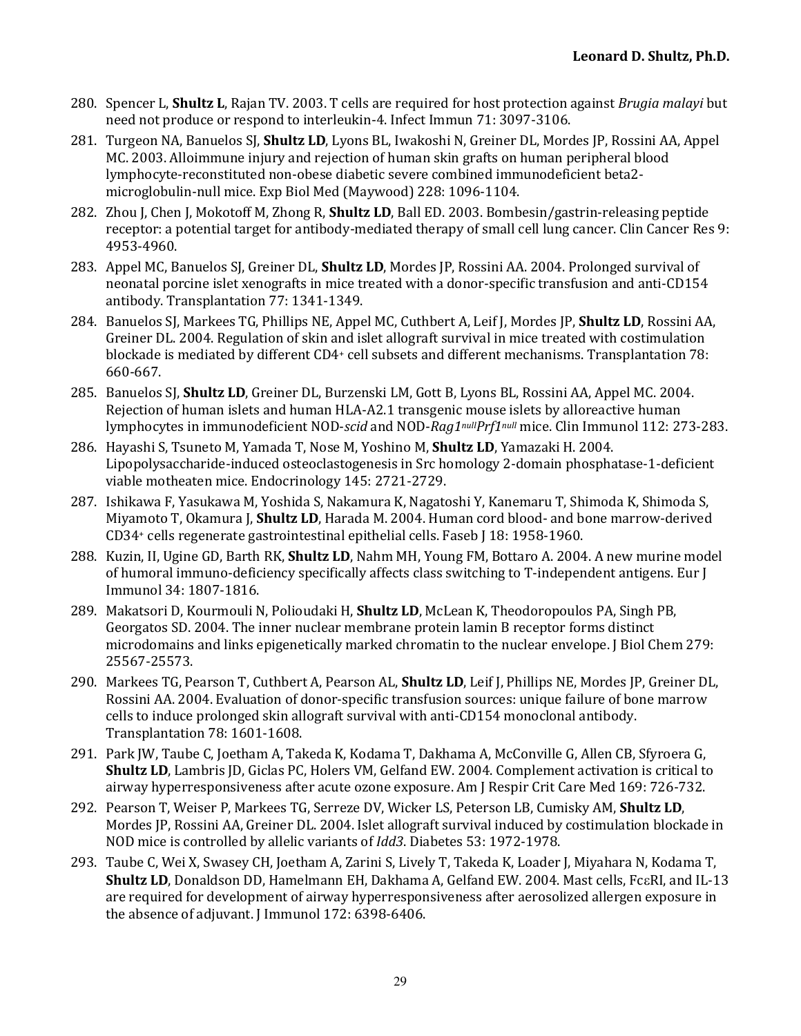- 280. Spencer L, **Shultz L**, Rajan TV. 2003. T cells are required for host protection against *Brugia malayi* but need not produce or respond to interleukin-4. Infect Immun 71: 3097-3106.
- 281. Turgeon NA, Banuelos SJ, **Shultz LD**, Lyons BL, Iwakoshi N, Greiner DL, Mordes JP, Rossini AA, Appel MC. 2003. Alloimmune injury and rejection of human skin grafts on human peripheral blood lymphocyte-reconstituted non-obese diabetic severe combined immunodeficient beta2 microglobulin-null mice. Exp Biol Med (Maywood) 228: 1096-1104.
- 282. Zhou J, Chen J, Mokotoff M, Zhong R, **Shultz LD**, Ball ED. 2003. Bombesin/gastrin-releasing peptide receptor: a potential target for antibody-mediated therapy of small cell lung cancer. Clin Cancer Res 9: 4953-4960.
- 283. Appel MC, Banuelos SJ, Greiner DL, **Shultz LD**, Mordes JP, Rossini AA. 2004. Prolonged survival of neonatal porcine islet xenografts in mice treated with a donor-specific transfusion and anti-CD154 antibody. Transplantation 77: 1341-1349.
- 284. Banuelos SJ, Markees TG, Phillips NE, Appel MC, Cuthbert A, Leif J, Mordes JP, **Shultz LD**, Rossini AA, Greiner DL. 2004. Regulation of skin and islet allograft survival in mice treated with costimulation blockade is mediated by different CD4+ cell subsets and different mechanisms. Transplantation 78: 660-667.
- 285. Banuelos SJ, Shultz LD, Greiner DL, Burzenski LM, Gott B, Lyons BL, Rossini AA, Appel MC. 2004. Rejection of human islets and human HLA-A2.1 transgenic mouse islets by alloreactive human lymphocytes in immunodeficient NOD-*scid* and NOD-*Rag1nullPrf1null* mice. Clin Immunol 112: 273-283.
- 286. Hayashi S, Tsuneto M, Yamada T, Nose M, Yoshino M, **Shultz LD**, Yamazaki H. 2004. Lipopolysaccharide-induced osteoclastogenesis in Src homology 2-domain phosphatase-1-deficient viable motheaten mice. Endocrinology 145: 2721-2729.
- 287. Ishikawa F, Yasukawa M, Yoshida S, Nakamura K, Nagatoshi Y, Kanemaru T, Shimoda K, Shimoda S, Miyamoto T, Okamura J, **Shultz LD**, Harada M. 2004. Human cord blood- and bone marrow-derived CD34+ cells regenerate gastrointestinal epithelial cells. Faseb J 18: 1958-1960.
- 288. Kuzin, II, Ugine GD, Barth RK, **Shultz LD**, Nahm MH, Young FM, Bottaro A. 2004. A new murine model of humoral immuno-deficiency specifically affects class switching to T-independent antigens. Eur  $\overline{I}$ Immunol 34: 1807-1816.
- 289. Makatsori D, Kourmouli N, Polioudaki H, **Shultz LD**, McLean K, Theodoropoulos PA, Singh PB, Georgatos SD. 2004. The inner nuclear membrane protein lamin B receptor forms distinct microdomains and links epigenetically marked chromatin to the nuclear envelope. I Biol Chem 279: 25567-25573.
- 290. Markees TG, Pearson T, Cuthbert A, Pearson AL, **Shultz LD**, Leif J, Phillips NE, Mordes JP, Greiner DL, Rossini AA. 2004. Evaluation of donor-specific transfusion sources: unique failure of bone marrow cells to induce prolonged skin allograft survival with anti-CD154 monoclonal antibody. Transplantation 78: 1601-1608.
- 291. Park JW, Taube C, Joetham A, Takeda K, Kodama T, Dakhama A, McConville G, Allen CB, Sfyroera G, **Shultz LD**, Lambris JD, Giclas PC, Holers VM, Gelfand EW. 2004. Complement activation is critical to airway hyperresponsiveness after acute ozone exposure. Am J Respir Crit Care Med 169: 726-732.
- 292. Pearson T, Weiser P, Markees TG, Serreze DV, Wicker LS, Peterson LB, Cumisky AM, Shultz LD, Mordes JP, Rossini AA, Greiner DL. 2004. Islet allograft survival induced by costimulation blockade in NOD mice is controlled by allelic variants of *Idd3*. Diabetes 53: 1972-1978.
- 293. Taube C, Wei X, Swasey CH, Joetham A, Zarini S, Lively T, Takeda K, Loader J, Miyahara N, Kodama T, **Shultz LD**, Donaldson DD, Hamelmann EH, Dakhama A, Gelfand EW, 2004. Mast cells, FceRI, and IL-13 are required for development of airway hyperresponsiveness after aerosolized allergen exposure in the absence of adjuvant. J Immunol 172: 6398-6406.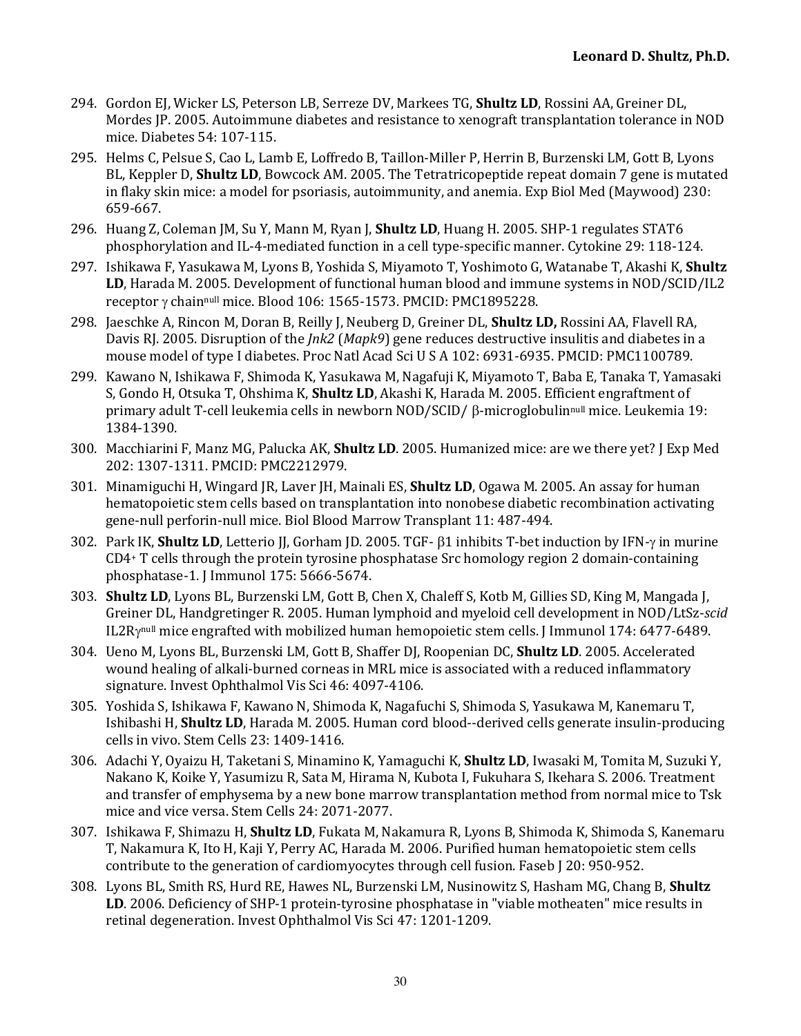- 294. Gordon El, Wicker LS, Peterson LB, Serreze DV, Markees TG, **Shultz LD**, Rossini AA, Greiner DL, Mordes JP. 2005. Autoimmune diabetes and resistance to xenograft transplantation tolerance in NOD mice. Diabetes 54: 107-115.
- 295. Helms C, Pelsue S, Cao L, Lamb E, Loffredo B, Taillon-Miller P, Herrin B, Burzenski LM, Gott B, Lyons BL, Keppler D, **Shultz LD**, Bowcock AM. 2005. The Tetratricopeptide repeat domain 7 gene is mutated in flaky skin mice: a model for psoriasis, autoimmunity, and anemia. Exp Biol Med (Maywood) 230: 659-667.
- 296. Huang Z, Coleman JM, Su Y, Mann M, Ryan J, **Shultz LD**, Huang H. 2005. SHP-1 regulates STAT6 phosphorylation and IL-4-mediated function in a cell type-specific manner. Cytokine 29: 118-124.
- 297. Ishikawa F, Yasukawa M, Lyons B, Yoshida S, Miyamoto T, Yoshimoto G, Watanabe T, Akashi K, Shultz **LD**, Harada M. 2005. Development of functional human blood and immune systems in NOD/SCID/IL2 receptor  $\gamma$  chainnull mice. Blood 106: 1565-1573. PMCID: PMC1895228.
- 298. Jaeschke A, Rincon M, Doran B, Reilly J, Neuberg D, Greiner DL, **Shultz LD**, Rossini AA, Flavell RA, Davis RJ. 2005. Disruption of the *Jnk2* (*Mapk9*) gene reduces destructive insulitis and diabetes in a mouse model of type I diabetes. Proc Natl Acad Sci U S A 102: 6931-6935. PMCID: PMC1100789.
- 299. Kawano N, Ishikawa F, Shimoda K, Yasukawa M, Nagafuji K, Miyamoto T, Baba E, Tanaka T, Yamasaki S, Gondo H, Otsuka T, Ohshima K, **Shultz LD**, Akashi K, Harada M. 2005. Efficient engraftment of primary adult T-cell leukemia cells in newborn NOD/SCID/  $\beta$ -microglobulinnull mice. Leukemia 19: 1384-1390.
- 300. Macchiarini F, Manz MG, Palucka AK, **Shultz LD**. 2005. Humanized mice: are we there yet? I Exp Med 202: 1307-1311. PMCID: PMC2212979.
- 301. Minamiguchi H, Wingard JR, Laver JH, Mainali ES, **Shultz LD**, Ogawa M. 2005. An assay for human hematopoietic stem cells based on transplantation into nonobese diabetic recombination activating gene-null perforin-null mice. Biol Blood Marrow Transplant 11: 487-494.
- 302. Park IK, **Shultz LD**, Letterio II, Gorham ID, 2005. TGF- 61 inhibits T-bet induction by IFN-y in murine  $CD4+T$  cells through the protein tyrosine phosphatase Src homology region 2 domain-containing phosphatase-1. J Immunol 175: 5666-5674.
- 303. **Shultz LD**, Lyons BL, Burzenski LM, Gott B, Chen X, Chaleff S, Kotb M, Gillies SD, King M, Mangada J, Greiner DL, Handgretinger R. 2005. Human lymphoid and myeloid cell development in NOD/LtSz-*scid* IL2Ry<sup>null</sup> mice engrafted with mobilized human hemopoietic stem cells. J Immunol 174: 6477-6489.
- 304. Ueno M, Lyons BL, Burzenski LM, Gott B, Shaffer DJ, Roopenian DC, **Shultz LD**. 2005. Accelerated wound healing of alkali-burned corneas in MRL mice is associated with a reduced inflammatory signature. Invest Ophthalmol Vis Sci 46: 4097-4106.
- 305. Yoshida S, Ishikawa F, Kawano N, Shimoda K, Nagafuchi S, Shimoda S, Yasukawa M, Kanemaru T, Ishibashi H, Shultz LD, Harada M. 2005. Human cord blood--derived cells generate insulin-producing cells in vivo. Stem Cells 23: 1409-1416.
- 306. Adachi Y, Oyaizu H, Taketani S, Minamino K, Yamaguchi K, Shultz LD, Iwasaki M, Tomita M, Suzuki Y, Nakano K, Koike Y, Yasumizu R, Sata M, Hirama N, Kubota I, Fukuhara S, Ikehara S. 2006. Treatment and transfer of emphysema by a new bone marrow transplantation method from normal mice to Tsk mice and vice versa. Stem Cells 24: 2071-2077.
- 307. Ishikawa F, Shimazu H, Shultz LD, Fukata M, Nakamura R, Lyons B, Shimoda K, Shimoda S, Kanemaru T, Nakamura K, Ito H, Kaji Y, Perry AC, Harada M. 2006. Purified human hematopoietic stem cells contribute to the generation of cardiomyocytes through cell fusion. Faseb [20: 950-952.
- 308. Lyons BL, Smith RS, Hurd RE, Hawes NL, Burzenski LM, Nusinowitz S, Hasham MG, Chang B, **Shultz** LD. 2006. Deficiency of SHP-1 protein-tyrosine phosphatase in "viable motheaten" mice results in retinal degeneration. Invest Ophthalmol Vis Sci 47: 1201-1209.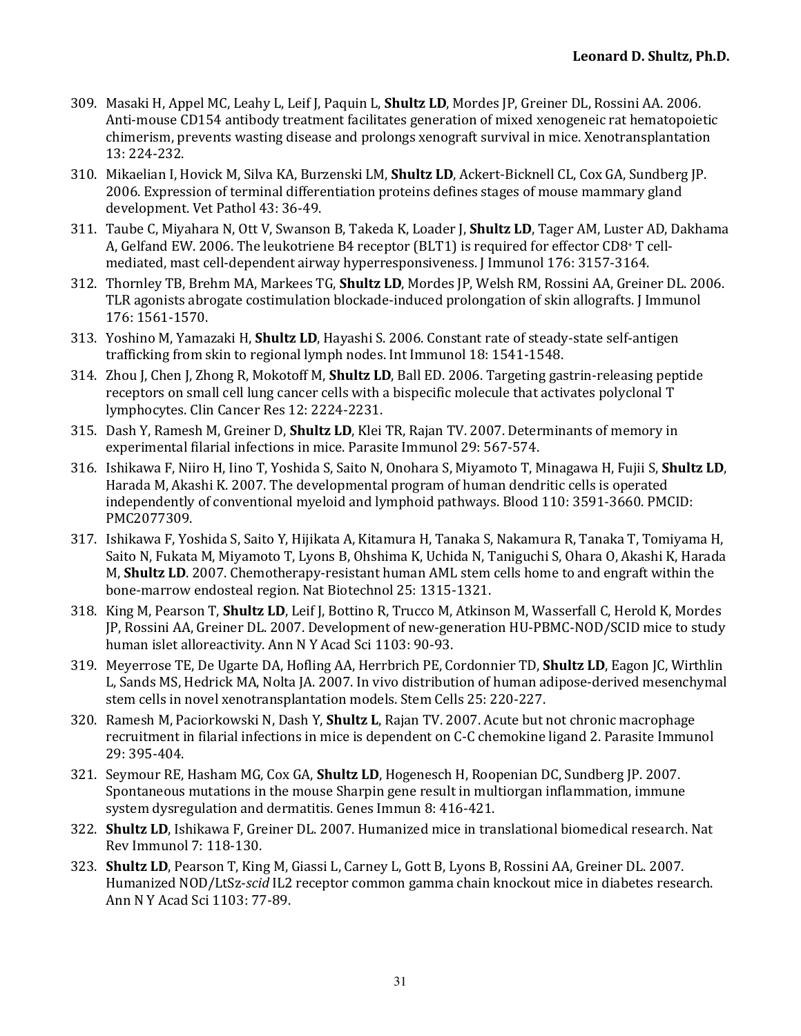- 309. Masaki H, Appel MC, Leahy L, Leif J, Paquin L, **Shultz LD**, Mordes IP, Greiner DL, Rossini AA, 2006. Anti-mouse CD154 antibody treatment facilitates generation of mixed xenogeneic rat hematopoietic chimerism, prevents wasting disease and prolongs xenograft survival in mice. Xenotransplantation 13: 224-232.
- 310. Mikaelian I, Hovick M, Silva KA, Burzenski LM, Shultz LD, Ackert-Bicknell CL, Cox GA, Sundberg JP. 2006. Expression of terminal differentiation proteins defines stages of mouse mammary gland development. Vet Pathol 43: 36-49.
- 311. Taube C, Miyahara N, Ott V, Swanson B, Takeda K, Loader J, **Shultz LD**, Tager AM, Luster AD, Dakhama A, Gelfand EW. 2006. The leukotriene B4 receptor (BLT1) is required for effector CD8+ T cellmediated, mast cell-dependent airway hyperresponsiveness. [Immunol 176: 3157-3164.
- 312. Thornley TB, Brehm MA, Markees TG, Shultz LD, Mordes JP, Welsh RM, Rossini AA, Greiner DL. 2006. TLR agonists abrogate costimulation blockade-induced prolongation of skin allografts. I Immunol 176: 1561-1570.
- 313. Yoshino M, Yamazaki H, **Shultz LD**, Hayashi S. 2006. Constant rate of steady-state self-antigen trafficking from skin to regional lymph nodes. Int Immunol 18: 1541-1548.
- 314. Zhou I, Chen I, Zhong R, Mokotoff M, **Shultz LD**, Ball ED, 2006. Targeting gastrin-releasing peptide receptors on small cell lung cancer cells with a bispecific molecule that activates polyclonal T lymphocytes. Clin Cancer Res 12: 2224-2231.
- 315. Dash Y, Ramesh M, Greiner D, **Shultz LD**, Klei TR, Rajan TV. 2007. Determinants of memory in experimental filarial infections in mice. Parasite Immunol 29: 567-574.
- 316. Ishikawa F, Niiro H, Iino T, Yoshida S, Saito N, Onohara S, Miyamoto T, Minagawa H, Fujii S, Shultz LD, Harada M, Akashi K. 2007. The developmental program of human dendritic cells is operated independently of conventional myeloid and lymphoid pathways. Blood 110: 3591-3660. PMCID: PMC2077309.
- 317. Ishikawa F, Yoshida S, Saito Y, Hijikata A, Kitamura H, Tanaka S, Nakamura R, Tanaka T, Tomiyama H, Saito N, Fukata M, Miyamoto T, Lyons B, Ohshima K, Uchida N, Taniguchi S, Ohara O, Akashi K, Harada M, **Shultz LD**. 2007. Chemotherapy-resistant human AML stem cells home to and engraft within the bone-marrow endosteal region. Nat Biotechnol 25: 1315-1321.
- 318. King M, Pearson T, **Shultz LD**, Leif J, Bottino R, Trucco M, Atkinson M, Wasserfall C, Herold K, Mordes JP, Rossini AA, Greiner DL. 2007. Development of new-generation HU-PBMC-NOD/SCID mice to study human islet alloreactivity. Ann N Y Acad Sci 1103: 90-93.
- 319. Meyerrose TE, De Ugarte DA, Hofling AA, Herrbrich PE, Cordonnier TD, **Shultz LD**, Eagon JC, Wirthlin L, Sands MS, Hedrick MA, Nolta JA. 2007. In vivo distribution of human adipose-derived mesenchymal stem cells in novel xenotransplantation models. Stem Cells 25: 220-227.
- 320. Ramesh M, Paciorkowski N, Dash Y, **Shultz L**, Rajan TV. 2007. Acute but not chronic macrophage recruitment in filarial infections in mice is dependent on C-C chemokine ligand 2. Parasite Immunol 29: 395-404.
- 321. Seymour RE, Hasham MG, Cox GA, **Shultz LD**, Hogenesch H, Roopenian DC, Sundberg JP. 2007. Spontaneous mutations in the mouse Sharpin gene result in multiorgan inflammation, immune system dysregulation and dermatitis. Genes Immun 8: 416-421.
- 322. **Shultz LD**, Ishikawa F, Greiner DL, 2007. Humanized mice in translational biomedical research. Nat Rev Immunol 7: 118-130.
- 323. **Shultz LD**, Pearson T, King M, Giassi L, Carney L, Gott B, Lyons B, Rossini AA, Greiner DL. 2007. Humanized NOD/LtSz-*scid* IL2 receptor common gamma chain knockout mice in diabetes research. Ann N Y Acad Sci 1103: 77-89.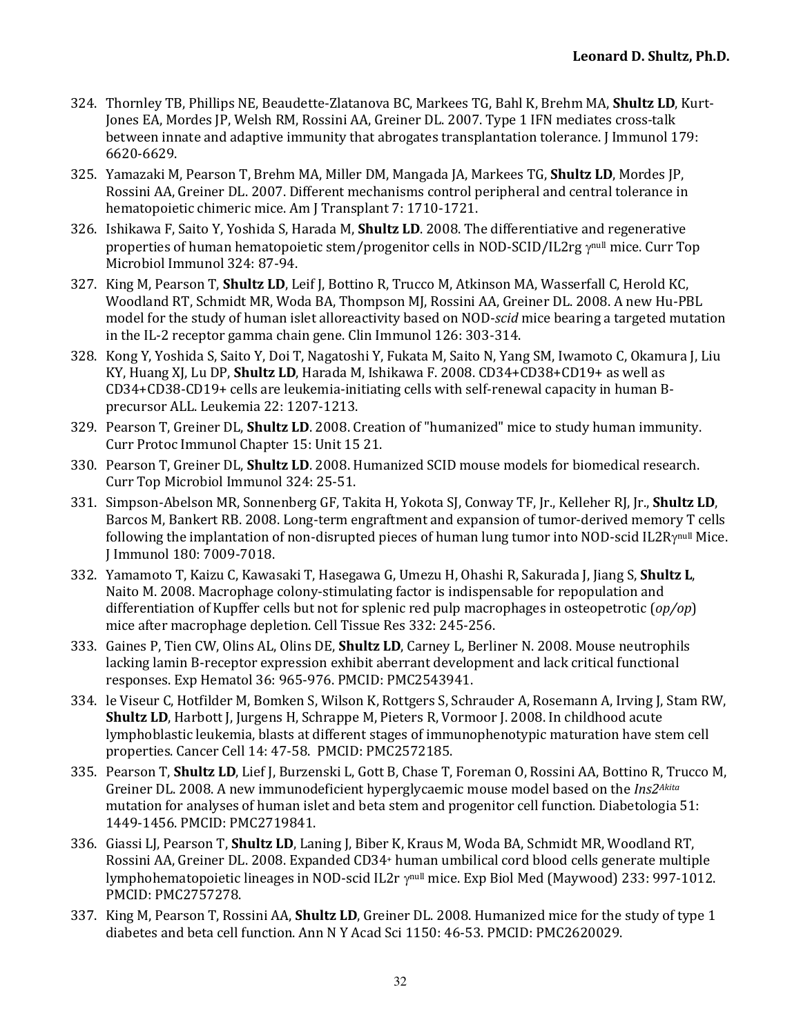- 324. Thornley TB, Phillips NE, Beaudette-Zlatanova BC, Markees TG, Bahl K, Brehm MA, Shultz LD, Kurt-Jones EA, Mordes JP, Welsh RM, Rossini AA, Greiner DL. 2007. Type 1 IFN mediates cross-talk between innate and adaptive immunity that abrogates transplantation tolerance. J Immunol 179: 6620-6629.
- 325. Yamazaki M, Pearson T, Brehm MA, Miller DM, Mangada JA, Markees TG, **Shultz LD**, Mordes JP, Rossini AA, Greiner DL. 2007. Different mechanisms control peripheral and central tolerance in hematopoietic chimeric mice. Am J Transplant 7: 1710-1721.
- 326. Ishikawa F, Saito Y, Yoshida S, Harada M, **Shultz LD**. 2008. The differentiative and regenerative properties of human hematopoietic stem/progenitor cells in NOD-SCID/IL2rg ynull mice. Curr Top Microbiol Immunol 324: 87-94.
- 327. King M, Pearson T, **Shultz LD**, Leif J, Bottino R, Trucco M, Atkinson MA, Wasserfall C, Herold KC, Woodland RT, Schmidt MR, Woda BA, Thompson MJ, Rossini AA, Greiner DL. 2008. A new Hu-PBL model for the study of human islet alloreactivity based on NOD-*scid* mice bearing a targeted mutation in the IL-2 receptor gamma chain gene. Clin Immunol 126: 303-314.
- 328. Kong Y, Yoshida S, Saito Y, Doi T, Nagatoshi Y, Fukata M, Saito N, Yang SM, Iwamoto C, Okamura J, Liu KY, Huang XJ, Lu DP, **Shultz LD**, Harada M, Ishikawa F. 2008. CD34+CD38+CD19+ as well as  $CD34+CD38-CD19+$  cells are leukemia-initiating cells with self-renewal capacity in human Bprecursor ALL. Leukemia 22: 1207-1213.
- 329. Pearson T, Greiner DL, **Shultz LD**. 2008. Creation of "humanized" mice to study human immunity. Curr Protoc Immunol Chapter 15: Unit 15 21.
- 330. Pearson T, Greiner DL, **Shultz LD**. 2008. Humanized SCID mouse models for biomedical research. Curr Top Microbiol Immunol 324: 25-51.
- 331. Simpson-Abelson MR, Sonnenberg GF, Takita H, Yokota SJ, Conway TF, Jr., Kelleher RJ, Jr., Shultz LD, Barcos M, Bankert RB. 2008. Long-term engraftment and expansion of tumor-derived memory T cells following the implantation of non-disrupted pieces of human lung tumor into NOD-scid IL2R $\gamma^{\text{null}}$  Mice. J Immunol 180: 7009-7018.
- 332. Yamamoto T, Kaizu C, Kawasaki T, Hasegawa G, Umezu H, Ohashi R, Sakurada J, Jiang S, Shultz L, Naito M. 2008. Macrophage colony-stimulating factor is indispensable for repopulation and differentiation of Kupffer cells but not for splenic red pulp macrophages in osteopetrotic (*op/op*) mice after macrophage depletion. Cell Tissue Res 332: 245-256.
- 333. Gaines P, Tien CW, Olins AL, Olins DE, **Shultz LD**, Carney L, Berliner N. 2008. Mouse neutrophils lacking lamin B-receptor expression exhibit aberrant development and lack critical functional responses. Exp Hematol 36: 965-976. PMCID: PMC2543941.
- 334. le Viseur C, Hotfilder M, Bomken S, Wilson K, Rottgers S, Schrauder A, Rosemann A, Irving J, Stam RW, **Shultz LD**, Harbott J, Jurgens H, Schrappe M, Pieters R, Vormoor J. 2008. In childhood acute lymphoblastic leukemia, blasts at different stages of immunophenotypic maturation have stem cell properties. Cancer Cell 14: 47-58. PMCID: PMC2572185.
- 335. Pearson T, **Shultz LD**, Lief J, Burzenski L, Gott B, Chase T, Foreman O, Rossini AA, Bottino R, Trucco M, Greiner DL. 2008. A new immunodeficient hyperglycaemic mouse model based on the *Ins2<sup>Akita</sup>* mutation for analyses of human islet and beta stem and progenitor cell function. Diabetologia 51: 1449-1456. PMCID: PMC2719841.
- 336. Giassi LJ, Pearson T, **Shultz LD**, Laning J, Biber K, Kraus M, Woda BA, Schmidt MR, Woodland RT, Rossini AA, Greiner DL. 2008. Expanded CD34+ human umbilical cord blood cells generate multiple lymphohematopoietic lineages in NOD-scid IL2r ynull mice. Exp Biol Med (Maywood) 233: 997-1012. PMCID: PMC2757278.
- 337. King M, Pearson T, Rossini AA, **Shultz LD**, Greiner DL. 2008. Humanized mice for the study of type 1 diabetes and beta cell function. Ann N Y Acad Sci 1150: 46-53. PMCID: PMC2620029.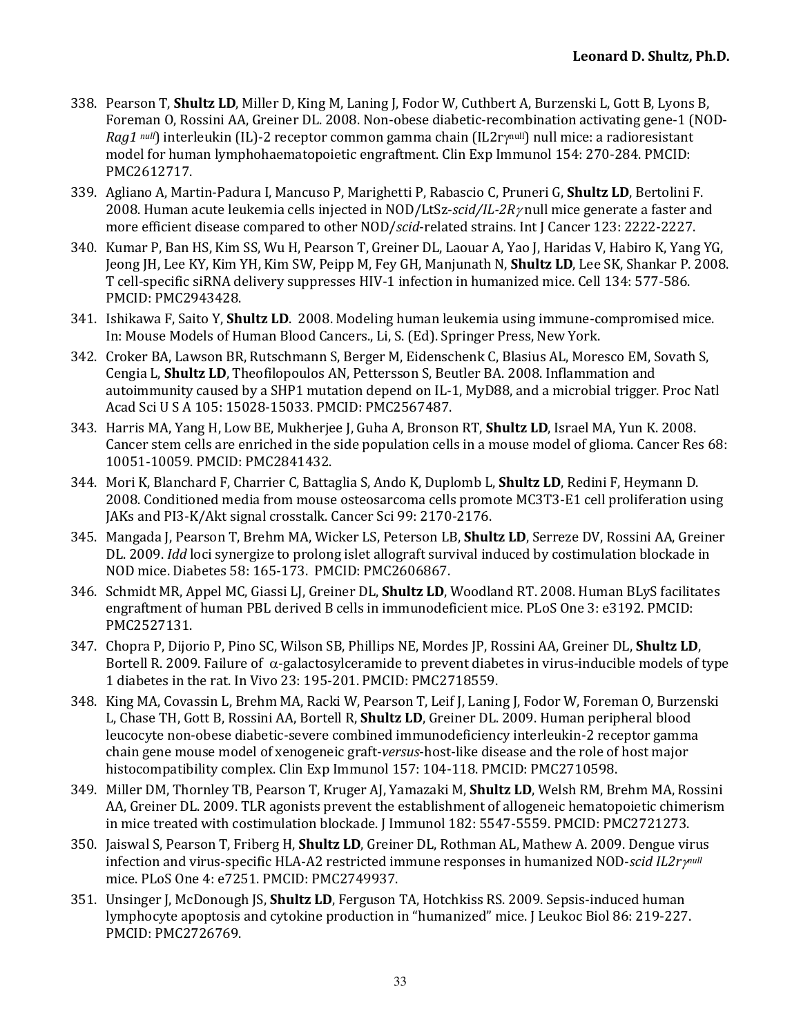- 338. Pearson T. **Shultz LD**, Miller D, King M, Laning I, Fodor W, Cuthbert A, Burzenski L, Gott B, Lyons B, Foreman O, Rossini AA, Greiner DL. 2008. Non-obese diabetic-recombination activating gene-1 (NOD-*Rag1*  $null$ ) interleukin (IL)-2 receptor common gamma chain (IL2rynull) null mice: a radioresistant model for human lymphohaematopoietic engraftment. Clin Exp Immunol 154: 270-284. PMCID: PMC2612717.
- 339. Agliano A, Martin-Padura I, Mancuso P, Marighetti P, Rabascio C, Pruneri G, **Shultz LD**, Bertolini F. 2008. Human acute leukemia cells injected in NOD/LtSz-scid/IL-2 $R\gamma$  null mice generate a faster and more efficient disease compared to other NOD/*scid*-related strains. Int J Cancer 123: 2222-2227.
- 340. Kumar P, Ban HS, Kim SS, Wu H, Pearson T, Greiner DL, Laouar A, Yao J, Haridas V, Habiro K, Yang YG, Jeong JH, Lee KY, Kim YH, Kim SW, Peipp M, Fey GH, Manjunath N, **Shultz LD**, Lee SK, Shankar P. 2008. T cell-specific siRNA delivery suppresses HIV-1 infection in humanized mice. Cell 134: 577-586. PMCID: PMC2943428.
- 341. Ishikawa F, Saito Y, **Shultz LD**. 2008. Modeling human leukemia using immune-compromised mice. In: Mouse Models of Human Blood Cancers., Li, S. (Ed). Springer Press, New York.
- 342. Croker BA, Lawson BR, Rutschmann S, Berger M, Eidenschenk C, Blasius AL, Moresco EM, Sovath S, Cengia L, Shultz LD, Theofilopoulos AN, Pettersson S, Beutler BA. 2008. Inflammation and autoimmunity caused by a SHP1 mutation depend on IL-1, MyD88, and a microbial trigger. Proc Natl Acad Sci U S A 105: 15028-15033. PMCID: PMC2567487.
- 343. Harris MA, Yang H, Low BE, Mukherjee J, Guha A, Bronson RT, **Shultz LD**, Israel MA, Yun K. 2008. Cancer stem cells are enriched in the side population cells in a mouse model of glioma. Cancer Res 68: 10051-10059. PMCID: PMC2841432.
- 344. Mori K, Blanchard F, Charrier C, Battaglia S, Ando K, Duplomb L, **Shultz LD**, Redini F, Heymann D. 2008. Conditioned media from mouse osteosarcoma cells promote MC3T3-E1 cell proliferation using JAKs and PI3-K/Akt signal crosstalk. Cancer Sci 99: 2170-2176.
- 345. Mangada J, Pearson T, Brehm MA, Wicker LS, Peterson LB, **Shultz LD**, Serreze DV, Rossini AA, Greiner DL. 2009. *Idd* loci synergize to prolong islet allograft survival induced by costimulation blockade in NOD mice. Diabetes 58: 165-173. PMCID: PMC2606867.
- 346. Schmidt MR, Appel MC, Giassi LJ, Greiner DL, **Shultz LD**, Woodland RT. 2008. Human BLyS facilitates engraftment of human PBL derived B cells in immunodeficient mice. PLoS One 3: e3192. PMCID: PMC2527131.
- 347. Chopra P, Dijorio P, Pino SC, Wilson SB, Phillips NE, Mordes JP, Rossini AA, Greiner DL, **Shultz LD**, Bortell R. 2009. Failure of  $\alpha$ -galactosylceramide to prevent diabetes in virus-inducible models of type 1 diabetes in the rat. In Vivo 23: 195-201. PMCID: PMC2718559.
- 348. King MA, Covassin L, Brehm MA, Racki W, Pearson T, Leif J, Laning J, Fodor W, Foreman O, Burzenski L, Chase TH, Gott B, Rossini AA, Bortell R, **Shultz LD**, Greiner DL. 2009. Human peripheral blood leucocvte non-obese diabetic-severe combined immunodeficiency interleukin-2 receptor gamma chain gene mouse model of xenogeneic graft-*versus*-host-like disease and the role of host major histocompatibility complex. Clin Exp Immunol 157: 104-118. PMCID: PMC2710598.
- 349. Miller DM, Thornley TB, Pearson T, Kruger AJ, Yamazaki M, **Shultz LD**, Welsh RM, Brehm MA, Rossini AA, Greiner DL. 2009. TLR agonists prevent the establishment of allogeneic hematopoietic chimerism in mice treated with costimulation blockade. [Immunol 182: 5547-5559. PMCID: PMC2721273.
- 350. Jaiswal S, Pearson T, Friberg H, **Shultz LD**, Greiner DL, Rothman AL, Mathew A. 2009. Dengue virus infection and virus-specific HLA-A2 restricted immune responses in humanized NOD-*scid IL2r* $\gamma$ <sup>null</sup> mice. PLoS One 4: e7251. PMCID: PMC2749937.
- 351. Unsinger J, McDonough JS, **Shultz LD**, Ferguson TA, Hotchkiss RS. 2009. Sepsis-induced human lymphocyte apoptosis and cytokine production in "humanized" mice. J Leukoc Biol 86: 219-227. PMCID: PMC2726769.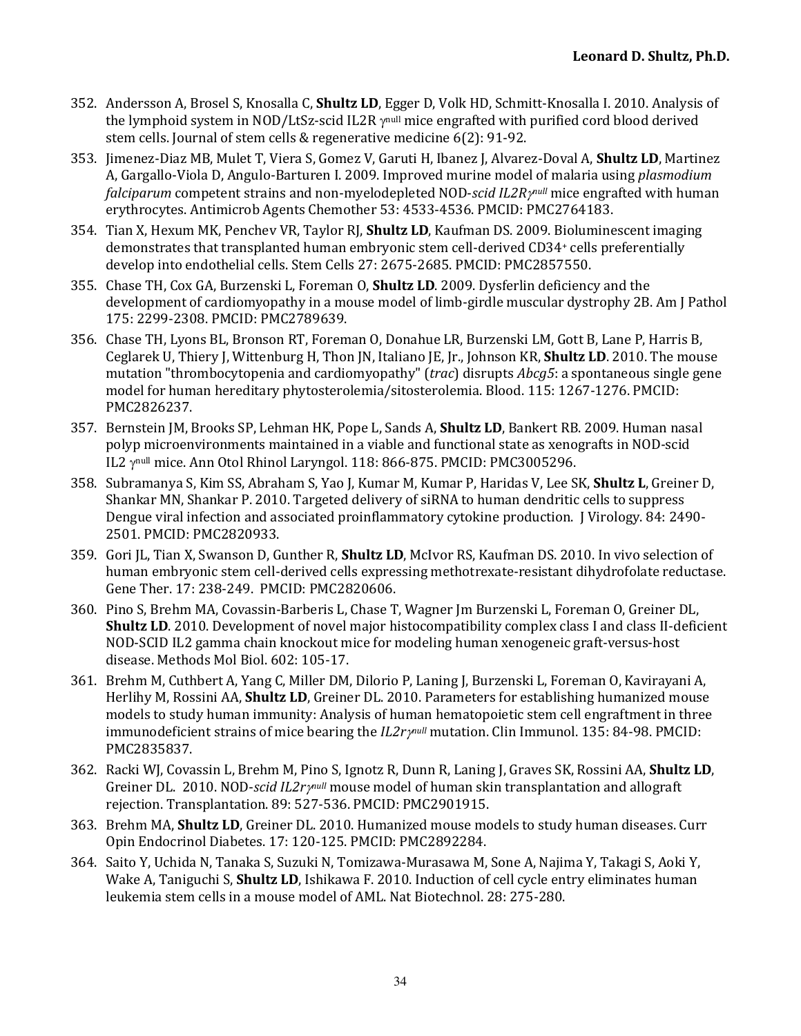- 352. Andersson A, Brosel S, Knosalla C, **Shultz LD**, Egger D, Volk HD, Schmitt-Knosalla I. 2010. Analysis of the lymphoid system in NOD/LtSz-scid IL2R  $\gamma$ <sup>null</sup> mice engrafted with purified cord blood derived stem cells. Journal of stem cells & regenerative medicine 6(2): 91-92.
- 353. Jimenez-Diaz MB, Mulet T, Viera S, Gomez V, Garuti H, Ibanez J, Alvarez-Doval A, **Shultz LD**, Martinez A, Gargallo-Viola D, Angulo-Barturen I. 2009. Improved murine model of malaria using *plasmodium falciparum* competent strains and non-myelodepleted NOD-*scid IL2R pnull* mice engrafted with human erythrocytes. Antimicrob Agents Chemother 53: 4533-4536. PMCID: PMC2764183.
- 354. Tian X, Hexum MK, Penchev VR, Taylor RJ, **Shultz LD**, Kaufman DS. 2009. Bioluminescent imaging demonstrates that transplanted human embryonic stem cell-derived CD34+ cells preferentially develop into endothelial cells. Stem Cells 27: 2675-2685. PMCID: PMC2857550.
- 355. Chase TH, Cox GA, Burzenski L, Foreman O, **Shultz LD**. 2009. Dysferlin deficiency and the development of cardiomyopathy in a mouse model of limb-girdle muscular dystrophy 2B. Am J Pathol 175: 2299-2308. PMCID: PMC2789639.
- 356. Chase TH, Lyons BL, Bronson RT, Foreman O, Donahue LR, Burzenski LM, Gott B, Lane P, Harris B, Ceglarek U, Thiery J, Wittenburg H, Thon JN, Italiano JE, Jr., Johnson KR, **Shultz LD**. 2010. The mouse mutation "thrombocytopenia and cardiomyopathy" (*trac*) disrupts  $Abcg5$ : a spontaneous single gene model for human hereditary phytosterolemia/sitosterolemia. Blood. 115: 1267-1276. PMCID: PMC2826237.
- 357. Bernstein JM, Brooks SP, Lehman HK, Pope L, Sands A, **Shultz LD**, Bankert RB. 2009. Human nasal polyp microenvironments maintained in a viable and functional state as xenografts in NOD-scid IL2 ynull mice. Ann Otol Rhinol Laryngol. 118: 866-875. PMCID: PMC3005296.
- 358. Subramanya S, Kim SS, Abraham S, Yao J, Kumar M, Kumar P, Haridas V, Lee SK, **Shultz L**, Greiner D, Shankar MN, Shankar P. 2010. Targeted delivery of siRNA to human dendritic cells to suppress Dengue viral infection and associated proinflammatory cytokine production. J Virology. 84: 2490-2501. PMCID: PMC2820933.
- 359. Gori JL, Tian X, Swanson D, Gunther R, **Shultz LD**, McIvor RS, Kaufman DS. 2010. In vivo selection of human embryonic stem cell-derived cells expressing methotrexate-resistant dihydrofolate reductase. Gene Ther. 17: 238-249. PMCID: PMC2820606.
- 360. Pino S, Brehm MA, Covassin-Barberis L, Chase T, Wagner Im Burzenski L, Foreman O, Greiner DL, **Shultz LD**. 2010. Development of novel major histocompatibility complex class I and class II-deficient NOD-SCID IL2 gamma chain knockout mice for modeling human xenogeneic graft-versus-host disease. Methods Mol Biol. 602: 105-17.
- 361. Brehm M, Cuthbert A, Yang C, Miller DM, Dilorio P, Laning J, Burzenski L, Foreman O, Kavirayani A, Herlihy M, Rossini AA, **Shultz LD**, Greiner DL. 2010. Parameters for establishing humanized mouse models to study human immunity: Analysis of human hematopoietic stem cell engraftment in three immunodeficient strains of mice bearing the *IL2rynull* mutation. Clin Immunol. 135: 84-98. PMCID: PMC2835837.
- 362. Racki WJ, Covassin L, Brehm M, Pino S, Ignotz R, Dunn R, Laning J, Graves SK, Rossini AA, **Shultz LD**, Greiner DL. 2010. NOD-*scid IL2ry<sup>null</sup>* mouse model of human skin transplantation and allograft rejection. Transplantation. 89: 527-536. PMCID: PMC2901915.
- 363. Brehm MA, **Shultz LD**, Greiner DL. 2010. Humanized mouse models to study human diseases. Curr Opin Endocrinol Diabetes. 17: 120-125. PMCID: PMC2892284.
- 364. Saito Y, Uchida N, Tanaka S, Suzuki N, Tomizawa-Murasawa M, Sone A, Najima Y, Takagi S, Aoki Y, Wake A, Taniguchi S, **Shultz LD**, Ishikawa F. 2010. Induction of cell cycle entry eliminates human leukemia stem cells in a mouse model of AML. Nat Biotechnol. 28: 275-280.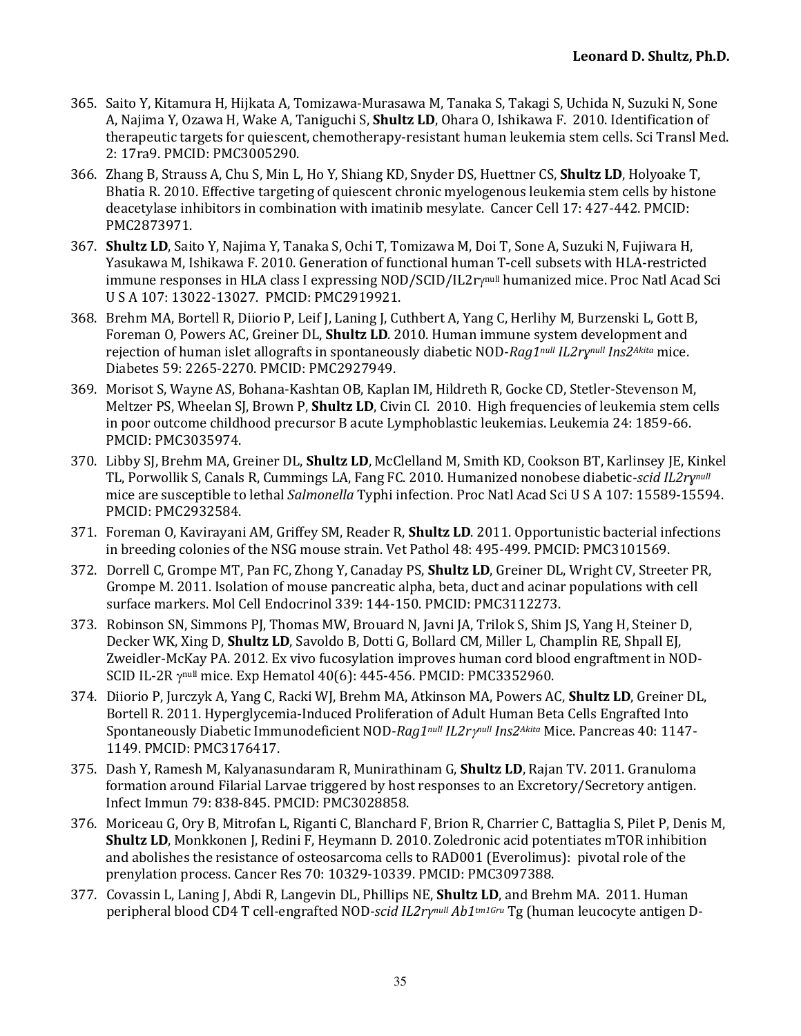- 365. Saito Y, Kitamura H, Hijkata A, Tomizawa-Murasawa M, Tanaka S, Takagi S, Uchida N, Suzuki N, Sone A, Najima Y, Ozawa H, Wake A, Taniguchi S, **Shultz LD**, Ohara O, Ishikawa F. 2010. Identification of therapeutic targets for quiescent, chemotherapy-resistant human leukemia stem cells. Sci Transl Med. 2: 17ra9. PMCID: PMC3005290.
- 366. Zhang B, Strauss A, Chu S, Min L, Ho Y, Shiang KD, Snyder DS, Huettner CS, **Shultz LD**, Holyoake T, Bhatia R. 2010. Effective targeting of quiescent chronic myelogenous leukemia stem cells by histone deacetylase inhibitors in combination with imatinib mesylate. Cancer Cell 17: 427-442. PMCID: PMC2873971.
- 367. **Shultz LD**, Saito Y, Najima Y, Tanaka S, Ochi T, Tomizawa M, Doi T, Sone A, Suzuki N, Fujiwara H, Yasukawa M, Ishikawa F. 2010. Generation of functional human T-cell subsets with HLA-restricted immune responses in HLA class I expressing NOD/SCID/IL2rynull humanized mice. Proc Natl Acad Sci U S A 107: 13022-13027. PMCID: PMC2919921.
- 368. Brehm MA, Bortell R, Diiorio P, Leif J, Laning J, Cuthbert A, Yang C, Herlihy M, Burzenski L, Gott B, Foreman O, Powers AC, Greiner DL, **Shultz LD**. 2010. Human immune system development and rejection of human islet allografts in spontaneously diabetic NOD-*Rag1null IL2rynull Ins2Akita* mice. Diabetes 59: 2265-2270. PMCID: PMC2927949.
- 369. Morisot S, Wayne AS, Bohana-Kashtan OB, Kaplan IM, Hildreth R, Gocke CD, Stetler-Stevenson M, Meltzer PS, Wheelan SJ, Brown P, **Shultz LD**, Civin CI. 2010. High frequencies of leukemia stem cells in poor outcome childhood precursor B acute Lymphoblastic leukemias. Leukemia 24: 1859-66. PMCID: PMC3035974.
- 370. Libby SJ, Brehm MA, Greiner DL, **Shultz LD**, McClelland M, Smith KD, Cookson BT, Karlinsey JE, Kinkel TL, Porwollik S, Canals R, Cummings LA, Fang FC. 2010. Humanized nonobese diabetic-*scid IL2ry<sup>null</sup>* mice are susceptible to lethal *Salmonella* Typhi infection. Proc Natl Acad Sci U S A 107: 15589-15594. PMCID: PMC2932584.
- 371. Foreman O, Kavirayani AM, Griffey SM, Reader R, **Shultz LD**. 2011. Opportunistic bacterial infections in breeding colonies of the NSG mouse strain. Vet Pathol 48: 495-499. PMCID: PMC3101569.
- 372. Dorrell C, Grompe MT, Pan FC, Zhong Y, Canaday PS, **Shultz LD**, Greiner DL, Wright CV, Streeter PR, Grompe M. 2011. Isolation of mouse pancreatic alpha, beta, duct and acinar populations with cell surface markers. Mol Cell Endocrinol 339: 144-150. PMCID: PMC3112273.
- 373. Robinson SN, Simmons PJ, Thomas MW, Brouard N, Javni JA, Trilok S, Shim JS, Yang H, Steiner D, Decker WK, Xing D, **Shultz LD**, Savoldo B, Dotti G, Bollard CM, Miller L, Champlin RE, Shpall EJ, Zweidler-McKay PA. 2012. Ex vivo fucosylation improves human cord blood engraftment in NOD-SCID IL-2R  $\gamma$ <sup>null</sup> mice. Exp Hematol 40(6): 445-456. PMCID: PMC3352960.
- 374. Diiorio P, Jurczyk A, Yang C, Racki WJ, Brehm MA, Atkinson MA, Powers AC, **Shultz LD**, Greiner DL, Bortell R. 2011. Hyperglycemia-Induced Proliferation of Adult Human Beta Cells Engrafted Into Spontaneously Diabetic Immunodeficient NOD-*Rag1null IL2rynull Ins2Akita* Mice. Pancreas 40: 1147-1149. PMCID: PMC3176417.
- 375. Dash Y, Ramesh M, Kalyanasundaram R, Munirathinam G, **Shultz LD**, Rajan TV. 2011. Granuloma formation around Filarial Larvae triggered by host responses to an Excretory/Secretory antigen. Infect Immun 79: 838-845. PMCID: PMC3028858.
- 376. Moriceau G, Ory B, Mitrofan L, Riganti C, Blanchard F, Brion R, Charrier C, Battaglia S, Pilet P, Denis M, **Shultz LD**, Monkkonen J, Redini F, Heymann D. 2010. Zoledronic acid potentiates mTOR inhibition and abolishes the resistance of osteosarcoma cells to RAD001 (Everolimus): pivotal role of the prenylation process. Cancer Res 70: 10329-10339. PMCID: PMC3097388.
- 377. Covassin L, Laning J, Abdi R, Langevin DL, Phillips NE, **Shultz LD**, and Brehm MA. 2011. Human peripheral blood CD4 T cell-engrafted NOD-scid IL2ry<sup>null</sup> *Ab1tm1Gru* Tg (human leucocyte antigen D-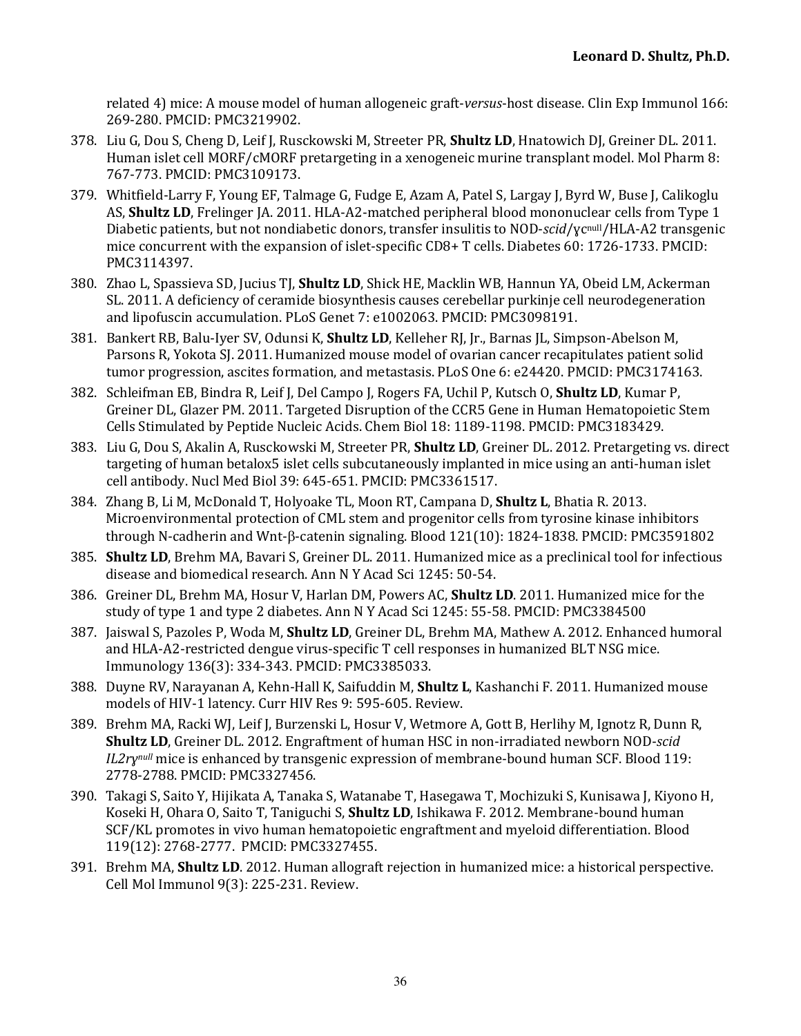related 4) mice: A mouse model of human allogeneic graft-*versus*-host disease. Clin Exp Immunol 166: 269-280. PMCID: PMC3219902.

- 378. Liu G, Dou S, Cheng D, Leif J, Rusckowski M, Streeter PR, **Shultz LD**, Hnatowich DJ, Greiner DL. 2011. Human islet cell MORF/cMORF pretargeting in a xenogeneic murine transplant model. Mol Pharm 8: 767-773. PMCID: PMC3109173.
- 379. Whitfield-Larry F, Young EF, Talmage G, Fudge E, Azam A, Patel S, Largay J, Byrd W, Buse J, Calikoglu AS, **Shultz LD**, Frelinger JA. 2011. HLA-A2-matched peripheral blood mononuclear cells from Type 1 Diabetic patients, but not nondiabetic donors, transfer insulitis to NOD-*scid/*yc<sup>null</sup>/HLA-A2 transgenic mice concurrent with the expansion of islet-specific CD8+ T cells. Diabetes 60: 1726-1733. PMCID: PMC3114397.
- 380. Zhao L, Spassieva SD, Jucius TJ, **Shultz LD**, Shick HE, Macklin WB, Hannun YA, Obeid LM, Ackerman SL. 2011. A deficiency of ceramide biosynthesis causes cerebellar purkinje cell neurodegeneration and lipofuscin accumulation. PLoS Genet 7: e1002063. PMCID: PMC3098191.
- 381. Bankert RB, Balu-Iyer SV, Odunsi K, Shultz LD, Kelleher RJ, Jr., Barnas JL, Simpson-Abelson M, Parsons R, Yokota SJ. 2011. Humanized mouse model of ovarian cancer recapitulates patient solid tumor progression, ascites formation, and metastasis. PLoS One 6: e24420. PMCID: PMC3174163.
- 382. Schleifman EB, Bindra R, Leif J, Del Campo J, Rogers FA, Uchil P, Kutsch O, **Shultz LD**, Kumar P, Greiner DL, Glazer PM. 2011. Targeted Disruption of the CCR5 Gene in Human Hematopoietic Stem Cells Stimulated by Peptide Nucleic Acids. Chem Biol 18: 1189-1198. PMCID: PMC3183429.
- 383. Liu G, Dou S, Akalin A, Rusckowski M, Streeter PR, **Shultz LD**, Greiner DL. 2012. Pretargeting vs. direct targeting of human betalox5 islet cells subcutaneously implanted in mice using an anti-human islet cell antibody. Nucl Med Biol 39: 645-651. PMCID: PMC3361517.
- 384. Zhang B, Li M, McDonald T, Holyoake TL, Moon RT, Campana D, Shultz L, Bhatia R. 2013. Microenvironmental protection of CML stem and progenitor cells from tyrosine kinase inhibitors through N-cadherin and Wnt- $\beta$ -catenin signaling. Blood 121(10): 1824-1838. PMCID: PMC3591802
- 385. **Shultz LD**, Brehm MA, Bavari S, Greiner DL. 2011. Humanized mice as a preclinical tool for infectious disease and biomedical research. Ann N Y Acad Sci 1245: 50-54.
- 386. Greiner DL, Brehm MA, Hosur V, Harlan DM, Powers AC, **Shultz LD**. 2011. Humanized mice for the study of type 1 and type 2 diabetes. Ann N Y Acad Sci 1245: 55-58. PMCID: PMC3384500
- 387. Jaiswal S, Pazoles P, Woda M, Shultz LD, Greiner DL, Brehm MA, Mathew A. 2012. Enhanced humoral and HLA-A2-restricted dengue virus-specific T cell responses in humanized BLT NSG mice. Immunology 136(3): 334-343. PMCID: PMC3385033.
- 388. Duyne RV, Narayanan A, Kehn-Hall K, Saifuddin M, **Shultz L**, Kashanchi F. 2011. Humanized mouse models of HIV-1 latency. Curr HIV Res 9: 595-605. Review.
- 389. Brehm MA, Racki WJ, Leif J, Burzenski L, Hosur V, Wetmore A, Gott B, Herlihy M, Ignotz R, Dunn R, **Shultz LD**, Greiner DL. 2012. Engraftment of human HSC in non-irradiated newborn NOD-scid *IL2rynull* mice is enhanced by transgenic expression of membrane-bound human SCF. Blood 119: 2778-2788. PMCID: PMC3327456.
- 390. Takagi S, Saito Y, Hijikata A, Tanaka S, Watanabe T, Hasegawa T, Mochizuki S, Kunisawa J, Kiyono H, Koseki H, Ohara O, Saito T, Taniguchi S, **Shultz LD**, Ishikawa F. 2012. Membrane-bound human SCF/KL promotes in vivo human hematopoietic engraftment and myeloid differentiation. Blood 119(12): 2768-2777. PMCID: PMC3327455.
- 391. Brehm MA, **Shultz LD**. 2012. Human allograft rejection in humanized mice: a historical perspective. Cell Mol Immunol 9(3): 225-231. Review.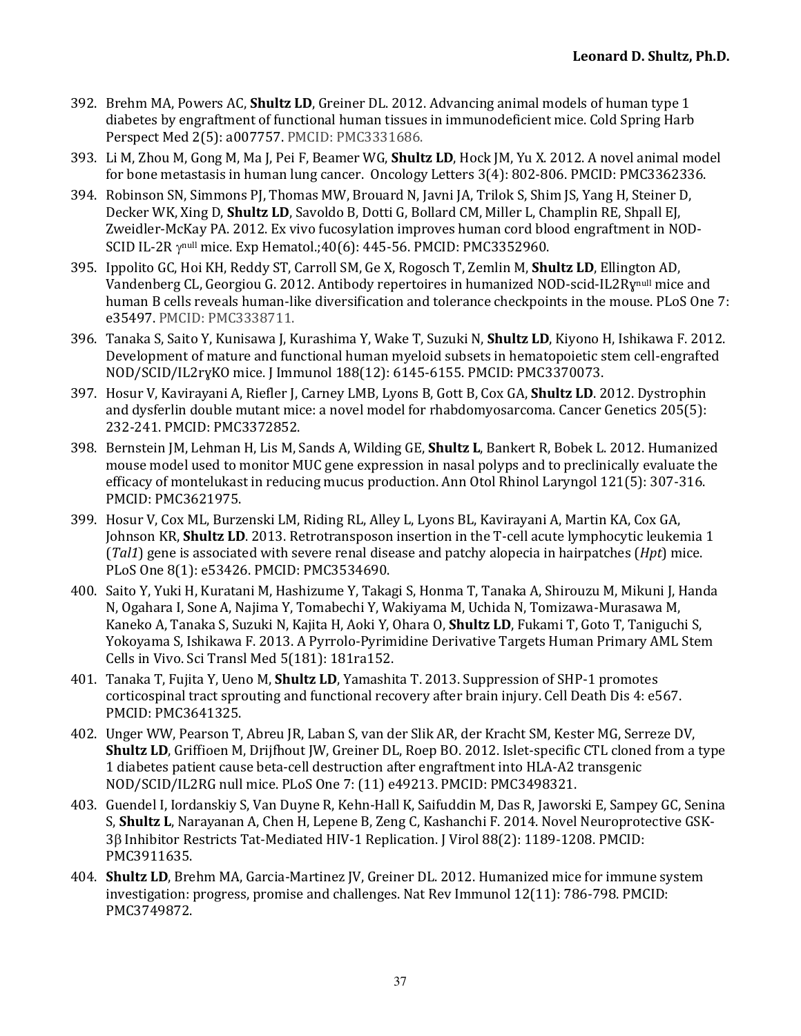- 392. Brehm MA, Powers AC, **Shultz LD**, Greiner DL, 2012. Advancing animal models of human type 1 diabetes by engraftment of functional human tissues in immunodeficient mice. Cold Spring Harb Perspect Med 2(5): a007757. PMCID: PMC3331686.
- 393. Li M, Zhou M, Gong M, Ma J, Pei F, Beamer WG, **Shultz LD**, Hock JM, Yu X. 2012. A novel animal model for bone metastasis in human lung cancer. Oncology Letters 3(4): 802-806. PMCID: PMC3362336.
- 394. Robinson SN, Simmons PJ, Thomas MW, Brouard N, Javni JA, Trilok S, Shim JS, Yang H, Steiner D, Decker WK, Xing D, **Shultz LD**, Savoldo B, Dotti G, Bollard CM, Miller L, Champlin RE, Shpall EJ, Zweidler-McKay PA. 2012. Ex vivo fucosylation improves human cord blood engraftment in NOD-SCID IL-2R  $\gamma$ <sup>null</sup> mice. Exp Hematol.;40(6): 445-56. PMCID: PMC3352960.
- 395. Ippolito GC, Hoi KH, Reddy ST, Carroll SM, Ge X, Rogosch T, Zemlin M, **Shultz LD**, Ellington AD, Vandenberg CL, Georgiou G. 2012. Antibody repertoires in humanized NOD-scid-IL2Ry<sup>null</sup> mice and human B cells reveals human-like diversification and tolerance checkpoints in the mouse. PLoS One 7: e35497. PMCID: PMC3338711.
- 396. Tanaka S, Saito Y, Kunisawa J, Kurashima Y, Wake T, Suzuki N, Shultz LD, Kiyono H, Ishikawa F. 2012. Development of mature and functional human myeloid subsets in hematopoietic stem cell-engrafted NOD/SCID/IL2ryKO mice. J Immunol 188(12): 6145-6155. PMCID: PMC3370073.
- 397. Hosur V, Kavirayani A, Riefler J, Carney LMB, Lyons B, Gott B, Cox GA, **Shultz LD**. 2012. Dystrophin and dysferlin double mutant mice: a novel model for rhabdomyosarcoma. Cancer Genetics 205(5): 232-241. PMCID: PMC3372852.
- 398. Bernstein JM, Lehman H, Lis M, Sands A, Wilding GE, **Shultz L**, Bankert R, Bobek L. 2012. Humanized mouse model used to monitor MUC gene expression in nasal polyps and to preclinically evaluate the efficacy of montelukast in reducing mucus production. Ann Otol Rhinol Laryngol 121(5): 307-316. PMCID: PMC3621975.
- 399. Hosur V, Cox ML, Burzenski LM, Riding RL, Alley L, Lyons BL, Kavirayani A, Martin KA, Cox GA, Johnson KR, **Shultz LD**. 2013. Retrotransposon insertion in the T-cell acute lymphocytic leukemia 1  $(Tal1)$  gene is associated with severe renal disease and patchy alopecia in hairpatches  $(Hpt)$  mice. PLoS One 8(1): e53426. PMCID: PMC3534690.
- 400. Saito Y, Yuki H, Kuratani M, Hashizume Y, Takagi S, Honma T, Tanaka A, Shirouzu M, Mikuni J, Handa N, Ogahara I, Sone A, Najima Y, Tomabechi Y, Wakiyama M, Uchida N, Tomizawa-Murasawa M, Kaneko A, Tanaka S, Suzuki N, Kajita H, Aoki Y, Ohara O, **Shultz LD**, Fukami T, Goto T, Taniguchi S, Yokoyama S, Ishikawa F. 2013. A Pyrrolo-Pyrimidine Derivative Targets Human Primary AML Stem Cells in Vivo. Sci Transl Med 5(181): 181ra152.
- 401. Tanaka T, Fujita Y, Ueno M, **Shultz LD**, Yamashita T. 2013. Suppression of SHP-1 promotes corticospinal tract sprouting and functional recovery after brain injury. Cell Death Dis 4: e567. PMCID: PMC3641325.
- 402. Unger WW, Pearson T, Abreu JR, Laban S, van der Slik AR, der Kracht SM, Kester MG, Serreze DV, **Shultz LD**, Griffioen M, Drijfhout JW, Greiner DL, Roep BO. 2012. Islet-specific CTL cloned from a type 1 diabetes patient cause beta-cell destruction after engraftment into HLA-A2 transgenic NOD/SCID/IL2RG null mice. PLoS One 7: (11) e49213. PMCID: PMC3498321.
- 403. Guendel I, Iordanskiy S, Van Duyne R, Kehn-Hall K, Saifuddin M, Das R, Jaworski E, Sampey GC, Senina S, **Shultz L**, Narayanan A, Chen H, Lepene B, Zeng C, Kashanchi F. 2014. Novel Neuroprotective GSK-3ß Inhibitor Restricts Tat-Mediated HIV-1 Replication. J Virol 88(2): 1189-1208. PMCID: PMC3911635.
- 404. **Shultz LD**, Brehm MA, Garcia-Martinez JV, Greiner DL. 2012. Humanized mice for immune system investigation: progress, promise and challenges. Nat Rev Immunol  $12(11)$ : 786-798. PMCID: PMC3749872.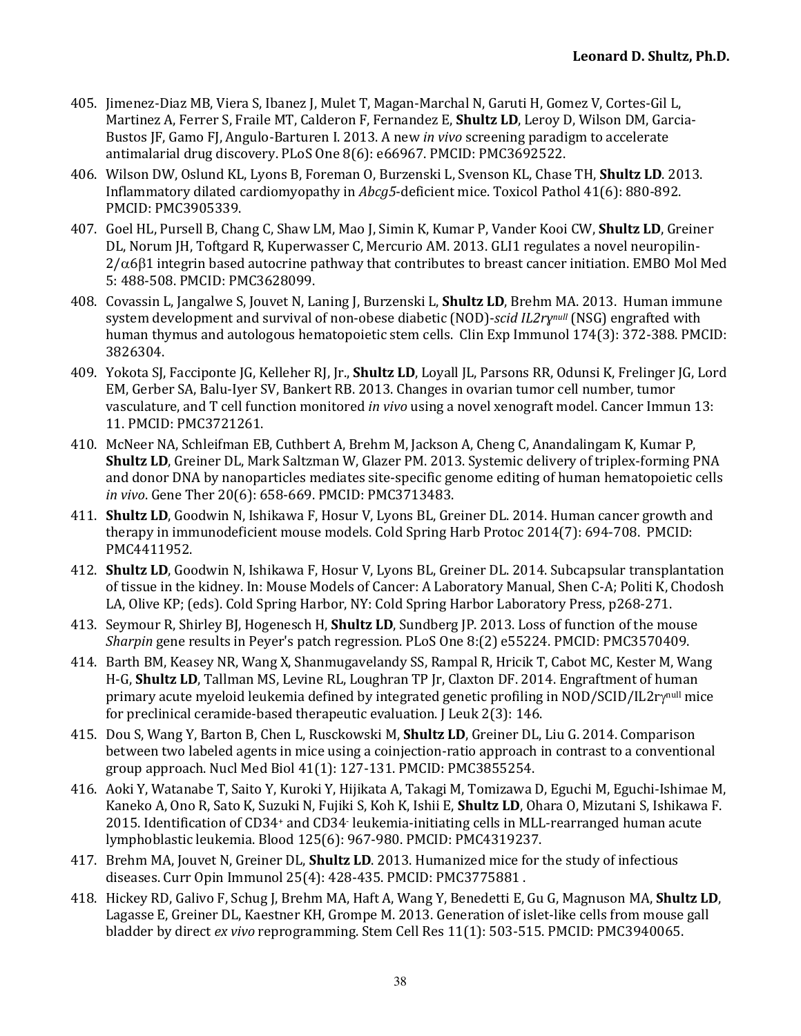- 405. Jimenez-Diaz MB, Viera S, Ibanez J, Mulet T, Magan-Marchal N, Garuti H, Gomez V, Cortes-Gil L, Martinez A, Ferrer S, Fraile MT, Calderon F, Fernandez E, **Shultz LD**, Leroy D, Wilson DM, Garcia-Bustos JF, Gamo FJ, Angulo-Barturen I. 2013. A new *in vivo* screening paradigm to accelerate antimalarial drug discovery. PLoS One 8(6): e66967. PMCID: PMC3692522.
- 406. Wilson DW, Oslund KL, Lyons B, Foreman O, Burzenski L, Svenson KL, Chase TH, Shultz LD. 2013. Inflammatory dilated cardiomyopathy in *Abcg5*-deficient mice. Toxicol Pathol 41(6): 880-892. PMCID: PMC3905339.
- 407. Goel HL, Pursell B, Chang C, Shaw LM, Mao J, Simin K, Kumar P, Vander Kooi CW, **Shultz LD**, Greiner DL, Norum JH, Toftgard R, Kuperwasser C, Mercurio AM. 2013. GLI1 regulates a novel neuropilin- $2/\alpha$ 6 $\beta$ 1 integrin based autocrine pathway that contributes to breast cancer initiation. EMBO Mol Med 5: 488-508. PMCID: PMC3628099.
- 408. Covassin L, Jangalwe S, Jouvet N, Laning J, Burzenski L, **Shultz LD**, Brehm MA. 2013. Human immune system development and survival of non-obese diabetic (NOD)-*scid IL2ry<sup>null</sup>* (NSG) engrafted with human thymus and autologous hematopoietic stem cells. Clin Exp Immunol 174(3): 372-388. PMCID: 3826304.
- 409. Yokota SJ, Facciponte JG, Kelleher RJ, Jr., **Shultz LD**, Loyall JL, Parsons RR, Odunsi K, Frelinger JG, Lord EM, Gerber SA, Balu-Iyer SV, Bankert RB. 2013. Changes in ovarian tumor cell number, tumor vasculature, and T cell function monitored *in vivo* using a novel xenograft model. Cancer Immun 13: 11. PMCID: PMC3721261.
- 410. McNeer NA, Schleifman EB, Cuthbert A, Brehm M, Jackson A, Cheng C, Anandalingam K, Kumar P, Shultz LD, Greiner DL, Mark Saltzman W, Glazer PM. 2013. Systemic delivery of triplex-forming PNA and donor DNA by nanoparticles mediates site-specific genome editing of human hematopoietic cells *in vivo*. Gene Ther 20(6): 658-669. PMCID: PMC3713483.
- 411. **Shultz LD**, Goodwin N, Ishikawa F, Hosur V, Lyons BL, Greiner DL. 2014. Human cancer growth and therapy in immunodeficient mouse models. Cold Spring Harb Protoc 2014(7): 694-708. PMCID: PMC4411952.
- 412. **Shultz LD**, Goodwin N, Ishikawa F, Hosur V, Lyons BL, Greiner DL, 2014. Subcapsular transplantation of tissue in the kidney. In: Mouse Models of Cancer: A Laboratory Manual, Shen C-A; Politi K, Chodosh LA, Olive KP; (eds). Cold Spring Harbor, NY: Cold Spring Harbor Laboratory Press, p268-271.
- 413. Seymour R, Shirley BJ, Hogenesch H, **Shultz LD**, Sundberg JP. 2013. Loss of function of the mouse *Sharpin* gene results in Peyer's patch regression. PLoS One 8:(2) e55224. PMCID: PMC3570409.
- 414. Barth BM, Keasey NR, Wang X, Shanmugavelandy SS, Rampal R, Hricik T, Cabot MC, Kester M, Wang H-G, **Shultz LD**, Tallman MS, Levine RL, Loughran TP [r, Claxton DF. 2014. Engraftment of human primary acute myeloid leukemia defined by integrated genetic profiling in NOD/SCID/IL2ry<sup>null</sup> mice for preclinical ceramide-based therapeutic evaluation. J Leuk  $2(3)$ : 146.
- 415. Dou S, Wang Y, Barton B, Chen L, Rusckowski M, **Shultz LD**, Greiner DL, Liu G. 2014. Comparison between two labeled agents in mice using a coinjection-ratio approach in contrast to a conventional group approach. Nucl Med Biol  $41(1)$ :  $127-131$ . PMCID: PMC3855254.
- 416. Aoki Y, Watanabe T, Saito Y, Kuroki Y, Hijikata A, Takagi M, Tomizawa D, Eguchi M, Eguchi-Ishimae M, Kaneko A, Ono R, Sato K, Suzuki N, Fujiki S, Koh K, Ishii E, **Shultz LD**, Ohara O, Mizutani S, Ishikawa F. 2015. Identification of CD34+ and CD34- leukemia-initiating cells in MLL-rearranged human acute lymphoblastic leukemia. Blood 125(6): 967-980. PMCID: PMC4319237.
- 417. Brehm MA, Jouvet N, Greiner DL, **Shultz LD**. 2013. Humanized mice for the study of infectious diseases. Curr Opin Immunol 25(4): 428-435. PMCID: PMC3775881 .
- 418. Hickey RD, Galivo F, Schug J, Brehm MA, Haft A, Wang Y, Benedetti E, Gu G, Magnuson MA, **Shultz LD**, Lagasse E, Greiner DL, Kaestner KH, Grompe M. 2013. Generation of islet-like cells from mouse gall bladder by direct *ex vivo* reprogramming. Stem Cell Res 11(1): 503-515. PMCID: PMC3940065.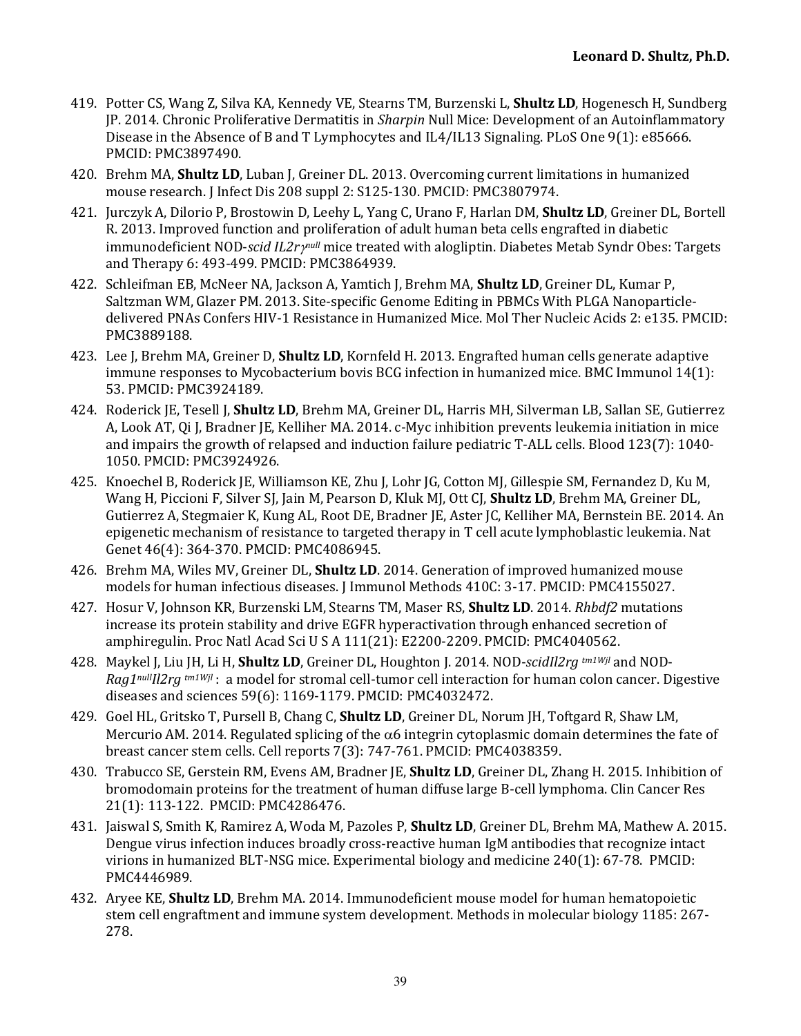- 419. Potter CS, Wang Z, Silva KA, Kennedy VE, Stearns TM, Burzenski L, **Shultz LD**, Hogenesch H, Sundberg JP. 2014. Chronic Proliferative Dermatitis in *Sharpin* Null Mice: Development of an Autoinflammatory Disease in the Absence of B and T Lymphocytes and IL4/IL13 Signaling. PLoS One 9(1): e85666. PMCID: PMC3897490.
- 420. Brehm MA, **Shultz LD**, Luban J, Greiner DL. 2013. Overcoming current limitations in humanized mouse research. J Infect Dis 208 suppl 2: S125-130. PMCID: PMC3807974.
- 421. Jurczyk A, Dilorio P, Brostowin D, Leehy L, Yang C, Urano F, Harlan DM, **Shultz LD**, Greiner DL, Bortell R. 2013. Improved function and proliferation of adult human beta cells engrafted in diabetic immunodeficient NOD-*scid IL2ry*<sup>null</sup> mice treated with alogliptin. Diabetes Metab Syndr Obes: Targets and Therapy 6: 493-499. PMCID: PMC3864939.
- 422. Schleifman EB, McNeer NA, Jackson A, Yamtich J, Brehm MA, **Shultz LD**, Greiner DL, Kumar P, Saltzman WM, Glazer PM. 2013. Site-specific Genome Editing in PBMCs With PLGA Nanoparticledelivered PNAs Confers HIV-1 Resistance in Humanized Mice. Mol Ther Nucleic Acids 2: e135. PMCID: PMC3889188.
- 423. Lee J, Brehm MA, Greiner D, **Shultz LD**, Kornfeld H. 2013. Engrafted human cells generate adaptive immune responses to Mycobacterium bovis BCG infection in humanized mice. BMC Immunol  $14(1)$ : 53. PMCID: PMC3924189.
- 424. Roderick JE, Tesell J, **Shultz LD**, Brehm MA, Greiner DL, Harris MH, Silverman LB, Sallan SE, Gutierrez A, Look AT, Oi J, Bradner JE, Kelliher MA. 2014. c-Myc inhibition prevents leukemia initiation in mice and impairs the growth of relapsed and induction failure pediatric  $T$ -ALL cells. Blood  $123(7)$ : 1040-1050. PMCID: PMC3924926.
- 425. Knoechel B, Roderick JE, Williamson KE, Zhu J, Lohr JG, Cotton MJ, Gillespie SM, Fernandez D, Ku M, Wang H, Piccioni F, Silver SJ, Jain M, Pearson D, Kluk MJ, Ott CJ, **Shultz LD**, Brehm MA, Greiner DL, Gutierrez A, Stegmaier K, Kung AL, Root DE, Bradner JE, Aster JC, Kelliher MA, Bernstein BE. 2014. An epigenetic mechanism of resistance to targeted therapy in T cell acute lymphoblastic leukemia. Nat Genet 46(4): 364-370. PMCID: PMC4086945.
- 426. Brehm MA, Wiles MV, Greiner DL, **Shultz LD**, 2014. Generation of improved humanized mouse models for human infectious diseases. [Immunol Methods 410C: 3-17. PMCID: PMC4155027.
- 427. Hosur V, Johnson KR, Burzenski LM, Stearns TM, Maser RS, **Shultz LD**. 2014. *Rhbdf2* mutations increase its protein stability and drive EGFR hyperactivation through enhanced secretion of amphiregulin. Proc Natl Acad Sci U S A 111(21): E2200-2209. PMCID: PMC4040562.
- 428. Maykel J, Liu JH, Li H, **Shultz LD**, Greiner DL, Houghton J. 2014. NOD-*scidIl2rg tm1Wjl* and NOD-*Rag1nullIl2rg* tm1Wjl : a model for stromal cell-tumor cell interaction for human colon cancer. Digestive diseases and sciences 59(6): 1169-1179. PMCID: PMC4032472.
- 429. Goel HL, Gritsko T, Pursell B, Chang C, **Shultz LD**, Greiner DL, Norum JH, Toftgard R, Shaw LM, Mercurio AM. 2014. Regulated splicing of the  $\alpha$ 6 integrin cytoplasmic domain determines the fate of breast cancer stem cells. Cell reports 7(3): 747-761. PMCID: PMC4038359.
- 430. Trabucco SE, Gerstein RM, Evens AM, Bradner JE, **Shultz LD**, Greiner DL, Zhang H. 2015. Inhibition of bromodomain proteins for the treatment of human diffuse large B-cell lymphoma. Clin Cancer Res 21(1): 113-122. PMCID: PMC4286476.
- 431. Jaiswal S, Smith K, Ramirez A, Woda M, Pazoles P, **Shultz LD**, Greiner DL, Brehm MA, Mathew A. 2015. Dengue virus infection induces broadly cross-reactive human IgM antibodies that recognize intact virions in humanized BLT-NSG mice. Experimental biology and medicine  $240(1)$ : 67-78. PMCID: PMC4446989.
- 432. Aryee KE, **Shultz LD**, Brehm MA. 2014. Immunodeficient mouse model for human hematopoietic stem cell engraftment and immune system development. Methods in molecular biology 1185: 267-278.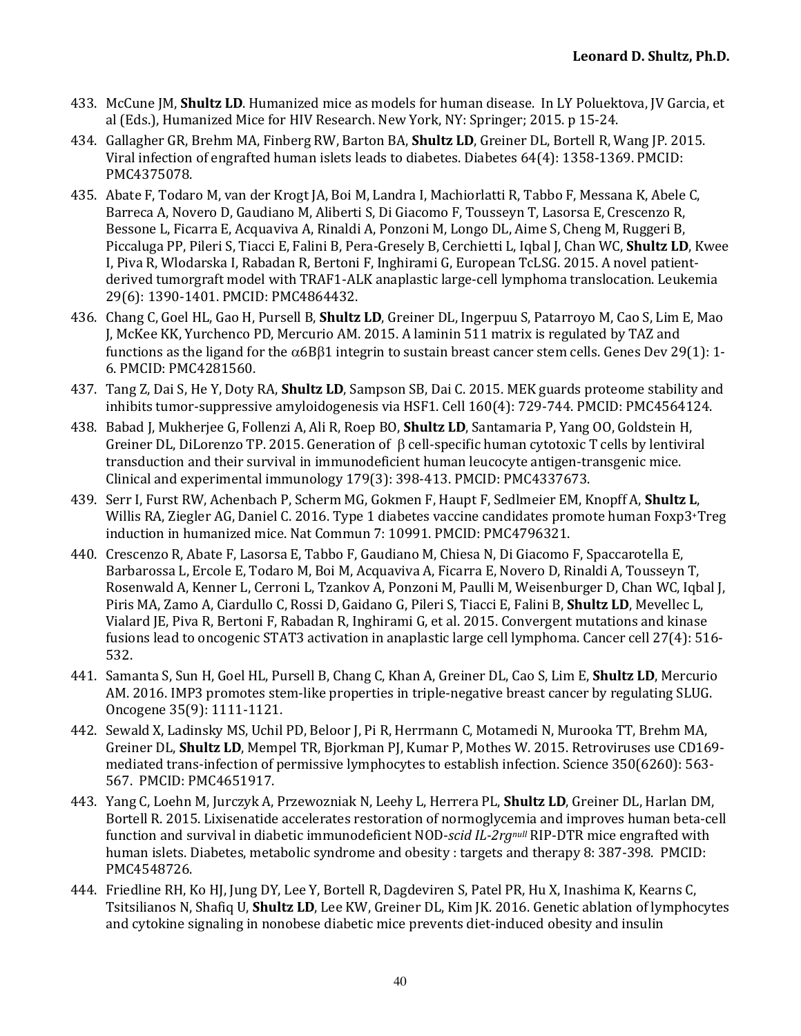- 433. McCune IM, **Shultz LD**. Humanized mice as models for human disease. In LY Poluektova, IV Garcia, et al (Eds.), Humanized Mice for HIV Research. New York, NY: Springer; 2015. p 15-24.
- 434. Gallagher GR, Brehm MA, Finberg RW, Barton BA, **Shultz LD**, Greiner DL, Bortell R, Wang JP. 2015. Viral infection of engrafted human islets leads to diabetes. Diabetes 64(4): 1358-1369. PMCID: PMC4375078.
- 435. Abate F, Todaro M, van der Krogt JA, Boi M, Landra I, Machiorlatti R, Tabbo F, Messana K. Abele C. Barreca A, Novero D, Gaudiano M, Aliberti S, Di Giacomo F, Tousseyn T, Lasorsa E, Crescenzo R, Bessone L, Ficarra E, Acquaviva A, Rinaldi A, Ponzoni M, Longo DL, Aime S, Cheng M, Ruggeri B, Piccaluga PP, Pileri S, Tiacci E, Falini B, Pera-Gresely B, Cerchietti L, Iqbal J, Chan WC, **Shultz LD**, Kwee I, Piva R, Wlodarska I, Rabadan R, Bertoni F, Inghirami G, European TcLSG. 2015. A novel patientderived tumorgraft model with TRAF1-ALK anaplastic large-cell lymphoma translocation. Leukemia 29(6): 1390-1401. PMCID: PMC4864432.
- 436. Chang C, Goel HL, Gao H, Pursell B, **Shultz LD**, Greiner DL, Ingerpuu S, Patarroyo M, Cao S, Lim E, Mao J, McKee KK, Yurchenco PD, Mercurio AM. 2015. A laminin 511 matrix is regulated by TAZ and functions as the ligand for the  $\alpha$ 6B $\beta$ 1 integrin to sustain breast cancer stem cells. Genes Dev 29(1): 1-6. PMCID: PMC4281560.
- 437. Tang Z, Dai S, He Y, Doty RA, **Shultz LD**, Sampson SB, Dai C. 2015. MEK guards proteome stability and inhibits tumor-suppressive amyloidogenesis via HSF1. Cell  $160(4)$ :  $729-744$ . PMCID: PMC4564124.
- 438. Babad J, Mukherjee G, Follenzi A, Ali R, Roep BO, **Shultz LD**, Santamaria P, Yang OO, Goldstein H, Greiner DL, DiLorenzo TP. 2015. Generation of  $\beta$  cell-specific human cytotoxic T cells by lentiviral transduction and their survival in immunodeficient human leucocyte antigen-transgenic mice. Clinical and experimental immunology 179(3): 398-413. PMCID: PMC4337673.
- 439. Serr I, Furst RW, Achenbach P, Scherm MG, Gokmen F, Haupt F, Sedlmeier EM, Knopff A, Shultz L, Willis RA, Ziegler AG, Daniel C. 2016. Type 1 diabetes vaccine candidates promote human Foxp3+Treg induction in humanized mice. Nat Commun 7: 10991. PMCID: PMC4796321.
- 440. Crescenzo R, Abate F, Lasorsa E, Tabbo F, Gaudiano M, Chiesa N, Di Giacomo F, Spaccarotella E, Barbarossa L, Ercole E, Todaro M, Boi M, Acquaviva A, Ficarra E, Novero D, Rinaldi A, Tousseyn T, Rosenwald A, Kenner L, Cerroni L, Tzankov A, Ponzoni M, Paulli M, Weisenburger D, Chan WC, Iqbal J, Piris MA, Zamo A, Ciardullo C, Rossi D, Gaidano G, Pileri S, Tiacci E, Falini B, **Shultz LD**, Mevellec L, Vialard JE, Piva R, Bertoni F, Rabadan R, Inghirami G, et al. 2015. Convergent mutations and kinase fusions lead to oncogenic STAT3 activation in anaplastic large cell lymphoma. Cancer cell 27(4): 516-532.
- 441. Samanta S, Sun H, Goel HL, Pursell B, Chang C, Khan A, Greiner DL, Cao S, Lim E, **Shultz LD**, Mercurio AM. 2016. IMP3 promotes stem-like properties in triple-negative breast cancer by regulating SLUG. Oncogene 35(9): 1111-1121.
- 442. Sewald X, Ladinsky MS, Uchil PD, Beloor J, Pi R, Herrmann C, Motamedi N, Murooka TT, Brehm MA, Greiner DL, **Shultz LD**, Mempel TR, Bjorkman PJ, Kumar P, Mothes W. 2015. Retroviruses use CD169mediated trans-infection of permissive lymphocytes to establish infection. Science 350(6260): 563-567. PMCID: PMC4651917.
- 443. Yang C, Loehn M, Jurczyk A, Przewozniak N, Leehy L, Herrera PL, **Shultz LD**, Greiner DL, Harlan DM, Bortell R. 2015. Lixisenatide accelerates restoration of normoglycemia and improves human beta-cell function and survival in diabetic immunodeficient NOD-*scid IL-2rgnull* RIP-DTR mice engrafted with human islets. Diabetes, metabolic syndrome and obesity : targets and therapy 8: 387-398. PMCID: PMC4548726.
- 444. Friedline RH, Ko HJ, Jung DY, Lee Y, Bortell R, Dagdeviren S, Patel PR, Hu X, Inashima K, Kearns C, Tsitsilianos N, Shafiq U, Shultz LD, Lee KW, Greiner DL, Kim JK. 2016. Genetic ablation of lymphocytes and cytokine signaling in nonobese diabetic mice prevents diet-induced obesity and insulin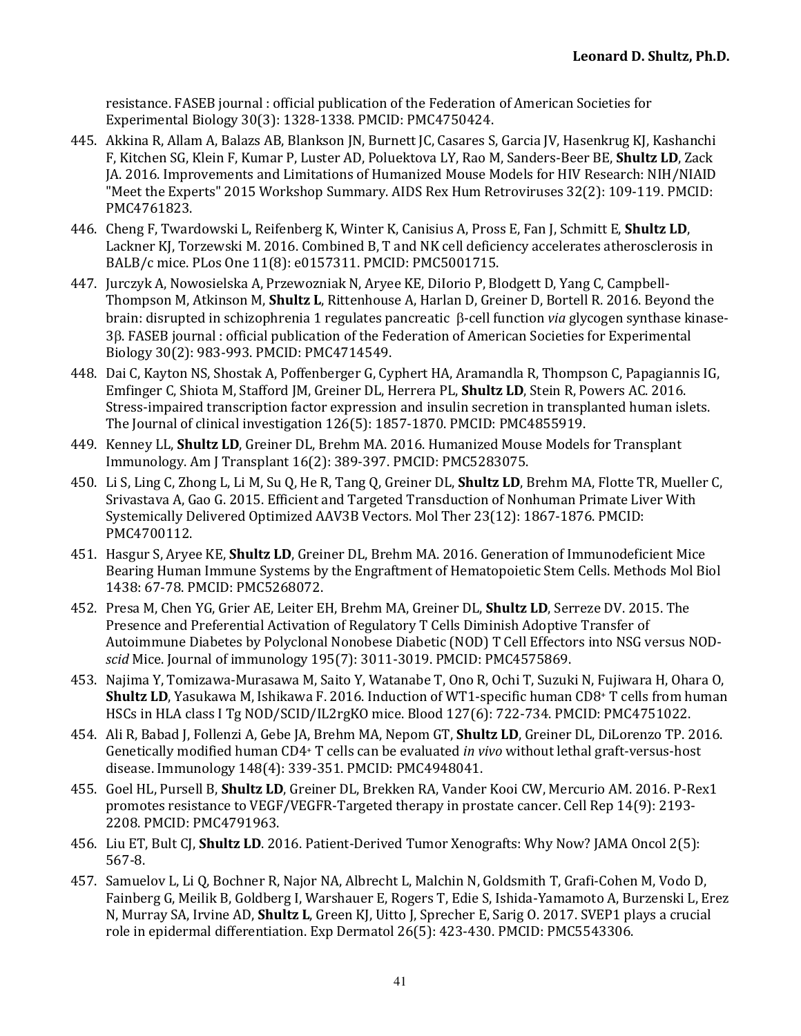resistance. FASEB journal : official publication of the Federation of American Societies for Experimental Biology 30(3): 1328-1338. PMCID: PMC4750424.

- 445. Akkina R, Allam A, Balazs AB, Blankson JN, Burnett JC, Casares S, Garcia JV, Hasenkrug KJ, Kashanchi F, Kitchen SG, Klein F, Kumar P, Luster AD, Poluektova LY, Rao M, Sanders-Beer BE, Shultz LD, Zack JA. 2016. Improvements and Limitations of Humanized Mouse Models for HIV Research: NIH/NIAID "Meet the Experts" 2015 Workshop Summary. AIDS Rex Hum Retroviruses 32(2): 109-119. PMCID: PMC4761823.
- 446. Cheng F, Twardowski L, Reifenberg K, Winter K, Canisius A, Pross E, Fan J, Schmitt E, **Shultz LD**, Lackner KJ, Torzewski M. 2016. Combined B, T and NK cell deficiency accelerates atherosclerosis in BALB/c mice. PLos One 11(8): e0157311. PMCID: PMC5001715.
- 447. Jurczyk A, Nowosielska A, Przewozniak N, Aryee KE, Dilorio P, Blodgett D, Yang C, Campbell-Thompson M, Atkinson M, **Shultz L**, Rittenhouse A, Harlan D, Greiner D, Bortell R. 2016. Beyond the brain: disrupted in schizophrenia 1 regulates pancreatic β-cell function *via* glycogen synthase kinase-3B. FASEB journal: official publication of the Federation of American Societies for Experimental Biology 30(2): 983-993. PMCID: PMC4714549.
- 448. Dai C, Kayton NS, Shostak A, Poffenberger G, Cyphert HA, Aramandla R, Thompson C, Papagiannis IG, Emfinger C, Shiota M, Stafford JM, Greiner DL, Herrera PL, **Shultz LD**, Stein R, Powers AC. 2016. Stress-impaired transcription factor expression and insulin secretion in transplanted human islets. The Journal of clinical investigation  $126(5)$ :  $1857-1870$ . PMCID: PMC4855919.
- 449. Kenney LL, **Shultz LD**, Greiner DL, Brehm MA. 2016. Humanized Mouse Models for Transplant Immunology. Am J Transplant 16(2): 389-397. PMCID: PMC5283075.
- 450. Li S, Ling C, Zhong L, Li M, Su Q, He R, Tang Q, Greiner DL, **Shultz LD**, Brehm MA, Flotte TR, Mueller C, Srivastava A, Gao G. 2015. Efficient and Targeted Transduction of Nonhuman Primate Liver With Systemically Delivered Optimized AAV3B Vectors. Mol Ther 23(12): 1867-1876. PMCID: PMC4700112.
- 451. Hasgur S, Aryee KE, **Shultz LD**, Greiner DL, Brehm MA. 2016. Generation of Immunodeficient Mice Bearing Human Immune Systems by the Engraftment of Hematopoietic Stem Cells. Methods Mol Biol 1438: 67-78. PMCID: PMC5268072.
- 452. Presa M, Chen YG, Grier AE, Leiter EH, Brehm MA, Greiner DL, **Shultz LD**, Serreze DV. 2015. The Presence and Preferential Activation of Regulatory T Cells Diminish Adoptive Transfer of Autoimmune Diabetes by Polyclonal Nonobese Diabetic (NOD) T Cell Effectors into NSG versus NOD*scid* Mice. Journal of immunology 195(7): 3011-3019. PMCID: PMC4575869.
- 453. Najima Y, Tomizawa-Murasawa M, Saito Y, Watanabe T, Ono R, Ochi T, Suzuki N, Fujiwara H, Ohara O, **Shultz LD**, Yasukawa M, Ishikawa F. 2016. Induction of WT1-specific human CD8<sup>+</sup> T cells from human HSCs in HLA class I Tg NOD/SCID/IL2rgKO mice. Blood 127(6): 722-734. PMCID: PMC4751022.
- 454. Ali R, Babad J, Follenzi A, Gebe JA, Brehm MA, Nepom GT, **Shultz LD**, Greiner DL, DiLorenzo TP. 2016. Genetically modified human CD4+ T cells can be evaluated *in vivo* without lethal graft-versus-host disease. Immunology 148(4): 339-351. PMCID: PMC4948041.
- 455. Goel HL, Pursell B, Shultz LD, Greiner DL, Brekken RA, Vander Kooi CW, Mercurio AM. 2016. P-Rex1 promotes resistance to VEGF/VEGFR-Targeted therapy in prostate cancer. Cell Rep 14(9): 2193-2208. PMCID: PMC4791963.
- 456. Liu ET, Bult CJ, **Shultz LD**. 2016. Patient-Derived Tumor Xenografts: Why Now? JAMA Oncol 2(5): 567-8.
- 457. Samuelov L, Li Q, Bochner R, Najor NA, Albrecht L, Malchin N, Goldsmith T, Grafi-Cohen M, Vodo D, Fainberg G, Meilik B, Goldberg I, Warshauer E, Rogers T, Edie S, Ishida-Yamamoto A, Burzenski L, Erez N, Murray SA, Irvine AD, **Shultz L**, Green KJ, Uitto J, Sprecher E, Sarig O. 2017. SVEP1 plays a crucial role in epidermal differentiation. Exp Dermatol 26(5): 423-430. PMCID: PMC5543306.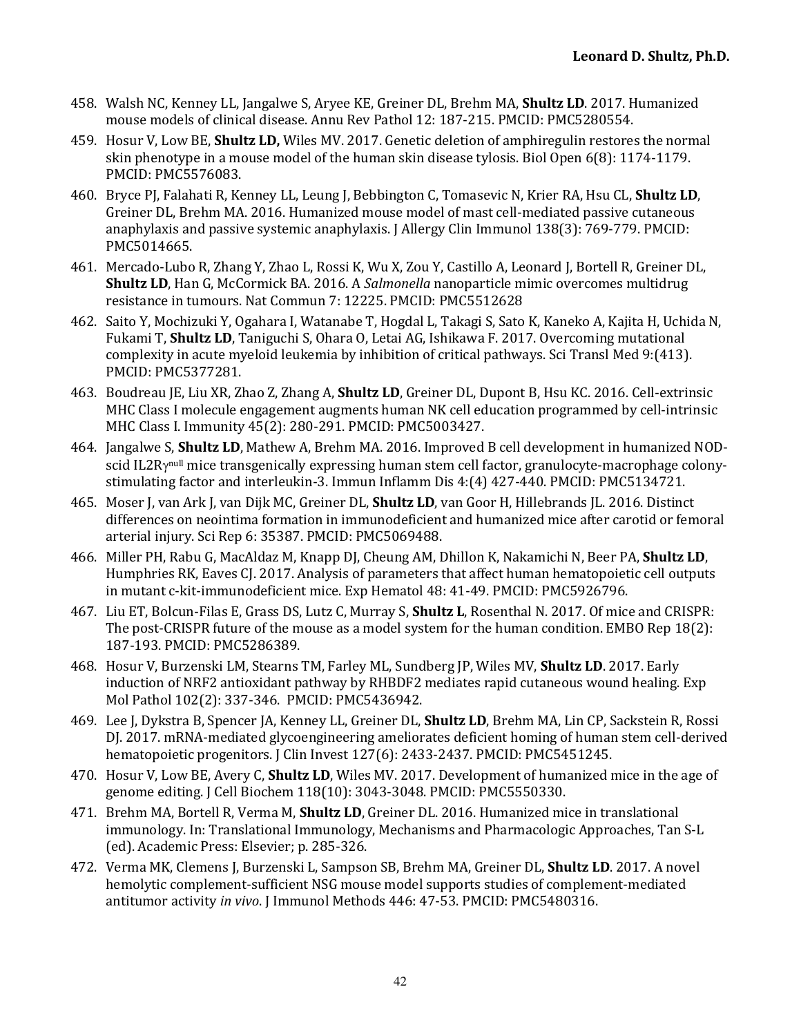- 458. Walsh NC, Kenney LL, Jangalwe S, Aryee KE, Greiner DL, Brehm MA, **Shultz LD**. 2017. Humanized mouse models of clinical disease. Annu Rev Pathol 12: 187-215. PMCID: PMC5280554.
- 459. Hosur V, Low BE, **Shultz LD,** Wiles MV. 2017. Genetic deletion of amphiregulin restores the normal skin phenotype in a mouse model of the human skin disease tylosis. Biol Open  $6(8)$ : 1174-1179. PMCID: PMC5576083.
- 460. Bryce PJ, Falahati R, Kenney LL, Leung J, Bebbington C, Tomasevic N, Krier RA, Hsu CL, **Shultz LD**, Greiner DL, Brehm MA. 2016. Humanized mouse model of mast cell-mediated passive cutaneous anaphylaxis and passive systemic anaphylaxis. J Allergy Clin Immunol 138(3):  $769-779$ . PMCID: PMC5014665.
- 461. Mercado-Lubo R, Zhang Y, Zhao L, Rossi K, Wu X, Zou Y, Castillo A, Leonard J, Bortell R, Greiner DL, **Shultz LD**, Han G, McCormick BA. 2016. A *Salmonella* nanoparticle mimic overcomes multidrug resistance in tumours. Nat Commun 7: 12225. PMCID: PMC5512628
- 462. Saito Y, Mochizuki Y, Ogahara I, Watanabe T, Hogdal L, Takagi S, Sato K, Kaneko A, Kajita H, Uchida N, Fukami T, **Shultz LD**, Taniguchi S, Ohara O, Letai AG, Ishikawa F. 2017. Overcoming mutational complexity in acute myeloid leukemia by inhibition of critical pathways. Sci Transl Med 9:(413). PMCID: PMC5377281.
- 463. Boudreau JE, Liu XR, Zhao Z, Zhang A, **Shultz LD**, Greiner DL, Dupont B, Hsu KC. 2016. Cell-extrinsic MHC Class I molecule engagement augments human NK cell education programmed by cell-intrinsic MHC Class I. Immunity 45(2): 280-291. PMCID: PMC5003427.
- 464. Jangalwe S, **Shultz LD**, Mathew A, Brehm MA. 2016. Improved B cell development in humanized NODscid IL2R<sub>ynull</sub> mice transgenically expressing human stem cell factor, granulocyte-macrophage colonystimulating factor and interleukin-3. Immun Inflamm Dis 4:(4) 427-440. PMCID: PMC5134721.
- 465. Moser J, van Ark J, van Dijk MC, Greiner DL, **Shultz LD**, van Goor H, Hillebrands JL. 2016. Distinct differences on neointima formation in immunodeficient and humanized mice after carotid or femoral arterial injury. Sci Rep 6: 35387. PMCID: PMC5069488.
- 466. Miller PH, Rabu G, MacAldaz M, Knapp DJ, Cheung AM, Dhillon K, Nakamichi N, Beer PA, **Shultz LD**, Humphries RK, Eaves CJ. 2017. Analysis of parameters that affect human hematopoietic cell outputs in mutant c-kit-immunodeficient mice. Exp Hematol 48: 41-49. PMCID: PMC5926796.
- 467. Liu ET, Bolcun-Filas E, Grass DS, Lutz C, Murray S, **Shultz L**, Rosenthal N. 2017. Of mice and CRISPR: The post-CRISPR future of the mouse as a model system for the human condition. EMBO Rep 18(2): 187-193. PMCID: PMC5286389.
- 468. Hosur V, Burzenski LM, Stearns TM, Farley ML, Sundberg JP, Wiles MV, **Shultz LD**. 2017. Early induction of NRF2 antioxidant pathway by RHBDF2 mediates rapid cutaneous wound healing. Exp Mol Pathol 102(2): 337-346. PMCID: PMC5436942.
- 469. Lee J, Dykstra B, Spencer JA, Kenney LL, Greiner DL, **Shultz LD**, Brehm MA, Lin CP, Sackstein R, Rossi DJ. 2017. mRNA-mediated glycoengineering ameliorates deficient homing of human stem cell-derived hematopoietic progenitors. J Clin Invest 127(6): 2433-2437. PMCID: PMC5451245.
- 470. Hosur V, Low BE, Avery C, **Shultz LD**, Wiles MV. 2017. Development of humanized mice in the age of genome editing. J Cell Biochem 118(10): 3043-3048. PMCID: PMC5550330.
- 471. Brehm MA, Bortell R, Verma M, **Shultz LD**, Greiner DL. 2016. Humanized mice in translational immunology. In: Translational Immunology, Mechanisms and Pharmacologic Approaches, Tan S-L (ed). Academic Press: Elsevier; p. 285-326.
- 472. Verma MK, Clemens J, Burzenski L, Sampson SB, Brehm MA, Greiner DL, **Shultz LD**. 2017. A novel hemolytic complement-sufficient NSG mouse model supports studies of complement-mediated antitumor activity *in vivo*. [Immunol Methods 446: 47-53. PMCID: PMC5480316.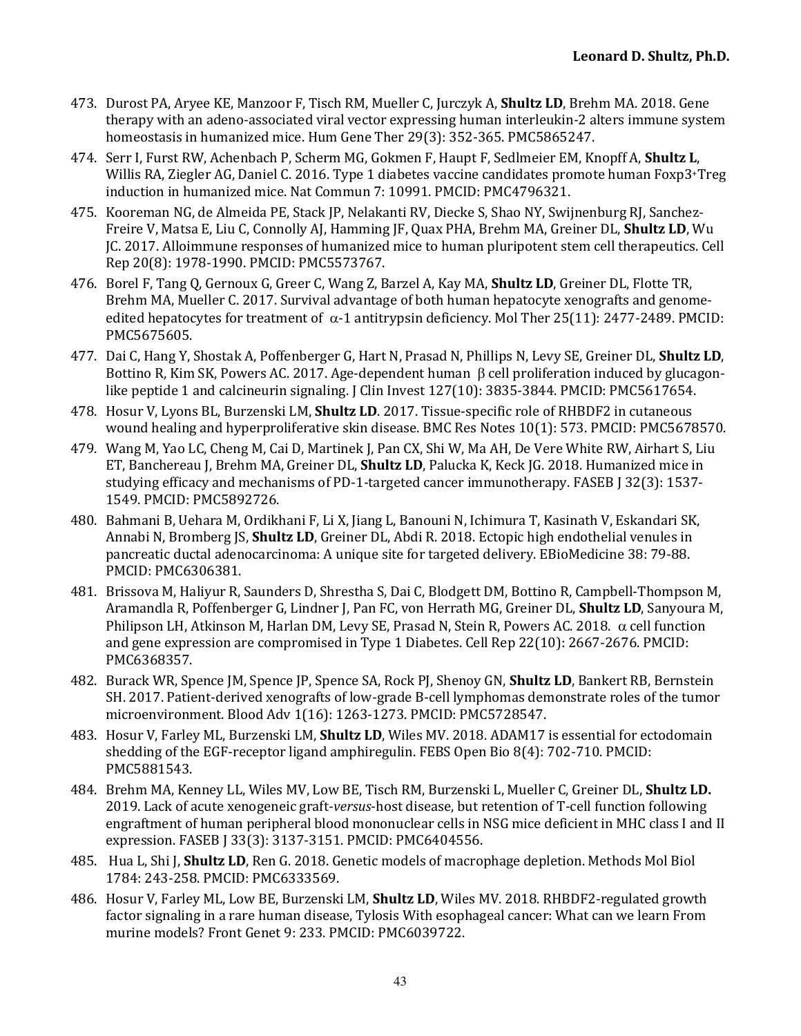- 473. Durost PA, Aryee KE, Manzoor F, Tisch RM, Mueller C, Jurczyk A, **Shultz LD**, Brehm MA. 2018. Gene therapy with an adeno-associated viral vector expressing human interleukin-2 alters immune system homeostasis in humanized mice. Hum Gene Ther 29(3): 352-365. PMC5865247.
- 474. Serr I. Furst RW. Achenbach P, Scherm MG, Gokmen F, Haupt F, Sedlmeier EM, Knopff A, Shultz L, Willis RA, Ziegler AG, Daniel C. 2016. Type 1 diabetes vaccine candidates promote human Foxp3+Treg induction in humanized mice. Nat Commun 7: 10991. PMCID: PMC4796321.
- 475. Kooreman NG, de Almeida PE, Stack JP, Nelakanti RV, Diecke S, Shao NY, Swijnenburg RJ, Sanchez-Freire V, Matsa E, Liu C, Connolly AJ, Hamming JF, Quax PHA, Brehm MA, Greiner DL, **Shultz LD**, Wu JC. 2017. Alloimmune responses of humanized mice to human pluripotent stem cell therapeutics. Cell Rep 20(8): 1978-1990. PMCID: PMC5573767.
- 476. Borel F, Tang Q, Gernoux G, Greer C, Wang Z, Barzel A, Kay MA, **Shultz LD**, Greiner DL, Flotte TR, Brehm MA, Mueller C. 2017. Survival advantage of both human hepatocyte xenografts and genomeedited hepatocytes for treatment of  $\alpha$ -1 antitrypsin deficiency. Mol Ther 25(11): 2477-2489. PMCID: PMC5675605.
- 477. Dai C, Hang Y, Shostak A, Poffenberger G, Hart N, Prasad N, Phillips N, Levy SE, Greiner DL, **Shultz LD**, Bottino R, Kim SK, Powers AC. 2017. Age-dependent human  $\beta$  cell proliferation induced by glucagonlike peptide 1 and calcineurin signaling.  $\int$  Clin Invest 127(10): 3835-3844. PMCID: PMC5617654.
- 478. Hosur V, Lyons BL, Burzenski LM, **Shultz LD**. 2017. Tissue-specific role of RHBDF2 in cutaneous wound healing and hyperproliferative skin disease. BMC Res Notes 10(1): 573. PMCID: PMC5678570.
- 479. Wang M, Yao LC, Cheng M, Cai D, Martinek J, Pan CX, Shi W, Ma AH, De Vere White RW, Airhart S, Liu ET, Banchereau J, Brehm MA, Greiner DL, **Shultz LD**, Palucka K, Keck JG. 2018. Humanized mice in studying efficacy and mechanisms of PD-1-targeted cancer immunotherapy. FASEB J 32(3): 1537-1549. PMCID: PMC5892726.
- 480. Bahmani B, Uehara M, Ordikhani F, Li X, Jiang L, Banouni N, Ichimura T, Kasinath V, Eskandari SK, Annabi N, Bromberg JS, **Shultz LD**, Greiner DL, Abdi R. 2018. Ectopic high endothelial venules in pancreatic ductal adenocarcinoma: A unique site for targeted delivery. EBioMedicine 38: 79-88. PMCID: PMC6306381.
- 481. Brissova M, Haliyur R, Saunders D, Shrestha S, Dai C, Blodgett DM, Bottino R, Campbell-Thompson M, Aramandla R, Poffenberger G, Lindner J, Pan FC, von Herrath MG, Greiner DL, **Shultz LD**, Sanyoura M, Philipson LH, Atkinson M, Harlan DM, Levy SE, Prasad N, Stein R, Powers AC. 2018.  $\alpha$  cell function and gene expression are compromised in Type 1 Diabetes. Cell Rep  $22(10)$ : 2667-2676. PMCID: PMC6368357.
- 482. Burack WR, Spence JM, Spence JP, Spence SA, Rock PJ, Shenoy GN, **Shultz LD**, Bankert RB, Bernstein SH. 2017. Patient-derived xenografts of low-grade B-cell lymphomas demonstrate roles of the tumor microenvironment. Blood Adv 1(16): 1263-1273. PMCID: PMC5728547.
- 483. Hosur V, Farley ML, Burzenski LM, **Shultz LD**, Wiles MV. 2018. ADAM17 is essential for ectodomain shedding of the EGF-receptor ligand amphiregulin. FEBS Open Bio  $8(4)$ : 702-710. PMCID: PMC5881543.
- 484. Brehm MA, Kenney LL, Wiles MV, Low BE, Tisch RM, Burzenski L, Mueller C, Greiner DL, Shultz LD. 2019. Lack of acute xenogeneic graft-*versus*-host disease, but retention of T-cell function following engraftment of human peripheral blood mononuclear cells in NSG mice deficient in MHC class I and II expression. FASEB J 33(3): 3137-3151. PMCID: PMC6404556.
- 485. Hua L, Shi J, **Shultz LD**, Ren G. 2018. Genetic models of macrophage depletion. Methods Mol Biol 1784: 243-258. PMCID: PMC6333569.
- 486. Hosur V, Farley ML, Low BE, Burzenski LM, Shultz LD, Wiles MV. 2018. RHBDF2-regulated growth factor signaling in a rare human disease, Tylosis With esophageal cancer: What can we learn From murine models? Front Genet 9: 233. PMCID: PMC6039722.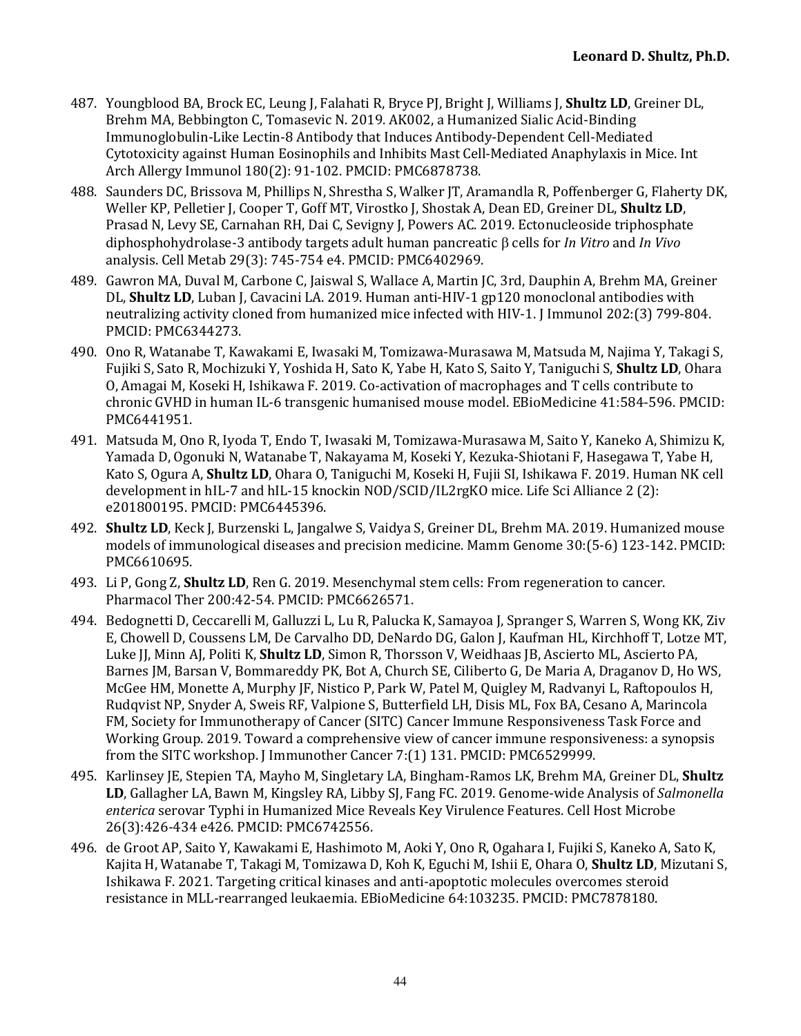- 487. Youngblood BA, Brock EC, Leung I, Falahati R, Bryce PI, Bright I, Williams I, **Shultz LD**, Greiner DL, Brehm MA, Bebbington C, Tomasevic N. 2019. AK002, a Humanized Sialic Acid-Binding Immunoglobulin-Like Lectin-8 Antibody that Induces Antibody-Dependent Cell-Mediated Cytotoxicity against Human Eosinophils and Inhibits Mast Cell-Mediated Anaphylaxis in Mice. Int Arch Allergy Immunol 180(2): 91-102. PMCID: PMC6878738.
- 488. Saunders DC, Brissova M, Phillips N, Shrestha S, Walker JT, Aramandla R, Poffenberger G, Flaherty DK, Weller KP, Pelletier J, Cooper T, Goff MT, Virostko J, Shostak A, Dean ED, Greiner DL, Shultz LD, Prasad N, Levy SE, Carnahan RH, Dai C, Sevigny J, Powers AC. 2019. Ectonucleoside triphosphate diphosphohydrolase-3 antibody targets adult human pancreatic b cells for *In Vitro* and *In Vivo* analysis. Cell Metab 29(3): 745-754 e4. PMCID: PMC6402969.
- 489. Gawron MA, Duval M, Carbone C, Jaiswal S, Wallace A, Martin JC, 3rd, Dauphin A, Brehm MA, Greiner DL, **Shultz LD**, Luban J, Cavacini LA. 2019. Human anti-HIV-1 gp120 monoclonal antibodies with neutralizing activity cloned from humanized mice infected with HIV-1. J Immunol 202:(3) 799-804. PMCID: PMC6344273.
- 490. Ono R, Watanabe T, Kawakami E, Iwasaki M, Tomizawa-Murasawa M, Matsuda M, Najima Y, Takagi S, Fujiki S, Sato R, Mochizuki Y, Yoshida H, Sato K, Yabe H, Kato S, Saito Y, Taniguchi S, **Shultz LD**, Ohara O, Amagai M, Koseki H, Ishikawa F. 2019. Co-activation of macrophages and T cells contribute to chronic GVHD in human IL-6 transgenic humanised mouse model. EBioMedicine 41:584-596. PMCID: PMC6441951.
- 491. Matsuda M, Ono R, Iyoda T, Endo T, Iwasaki M, Tomizawa-Murasawa M, Saito Y, Kaneko A, Shimizu K, Yamada D, Ogonuki N, Watanabe T, Nakayama M, Koseki Y, Kezuka-Shiotani F, Hasegawa T, Yabe H, Kato S, Ogura A, **Shultz LD**, Ohara O, Taniguchi M, Koseki H, Fujii SI, Ishikawa F. 2019. Human NK cell development in  $\text{hIL-7}$  and  $\text{hIL-15}$  knockin NOD/SCID/IL2rgKO mice. Life Sci Alliance 2 (2): e201800195. PMCID: PMC6445396.
- 492. **Shultz LD**, Keck J, Burzenski L, Jangalwe S, Vaidya S, Greiner DL, Brehm MA. 2019. Humanized mouse models of immunological diseases and precision medicine. Mamm Genome 30:(5-6) 123-142. PMCID: PMC6610695.
- 493. Li P, Gong Z, **Shultz LD**, Ren G. 2019. Mesenchymal stem cells: From regeneration to cancer. Pharmacol Ther 200:42-54. PMCID: PMC6626571.
- 494. Bedognetti D, Ceccarelli M, Galluzzi L, Lu R, Palucka K, Samayoa J, Spranger S, Warren S, Wong KK, Ziv E, Chowell D, Coussens LM, De Carvalho DD, DeNardo DG, Galon J, Kaufman HL, Kirchhoff T, Lotze MT, Luke JJ, Minn AJ, Politi K, **Shultz LD**, Simon R, Thorsson V, Weidhaas JB, Ascierto ML, Ascierto PA, Barnes JM, Barsan V, Bommareddy PK, Bot A, Church SE, Ciliberto G, De Maria A, Draganov D, Ho WS, McGee HM, Monette A, Murphy JF, Nistico P, Park W, Patel M, Quigley M, Radvanyi L, Raftopoulos H, Rudqvist NP, Snyder A, Sweis RF, Valpione S, Butterfield LH, Disis ML, Fox BA, Cesano A, Marincola FM, Society for Immunotherapy of Cancer (SITC) Cancer Immune Responsiveness Task Force and Working Group. 2019. Toward a comprehensive view of cancer immune responsiveness: a synopsis from the SITC workshop. J Immunother Cancer 7:(1) 131. PMCID: PMC6529999.
- 495. Karlinsey JE, Stepien TA, Mayho M, Singletary LA, Bingham-Ramos LK, Brehm MA, Greiner DL, **Shultz LD**, Gallagher LA, Bawn M, Kingsley RA, Libby SI, Fang FC. 2019. Genome-wide Analysis of *Salmonella* enterica serovar Typhi in Humanized Mice Reveals Key Virulence Features. Cell Host Microbe 26(3):426-434 e426. PMCID: PMC6742556.
- 496. de Groot AP, Saito Y, Kawakami E, Hashimoto M, Aoki Y, Ono R, Ogahara I, Fujiki S, Kaneko A, Sato K, Kajita H, Watanabe T, Takagi M, Tomizawa D, Koh K, Eguchi M, Ishii E, Ohara O, **Shultz LD**, Mizutani S, Ishikawa F. 2021. Targeting critical kinases and anti-apoptotic molecules overcomes steroid resistance in MLL-rearranged leukaemia. EBioMedicine 64:103235. PMCID: PMC7878180.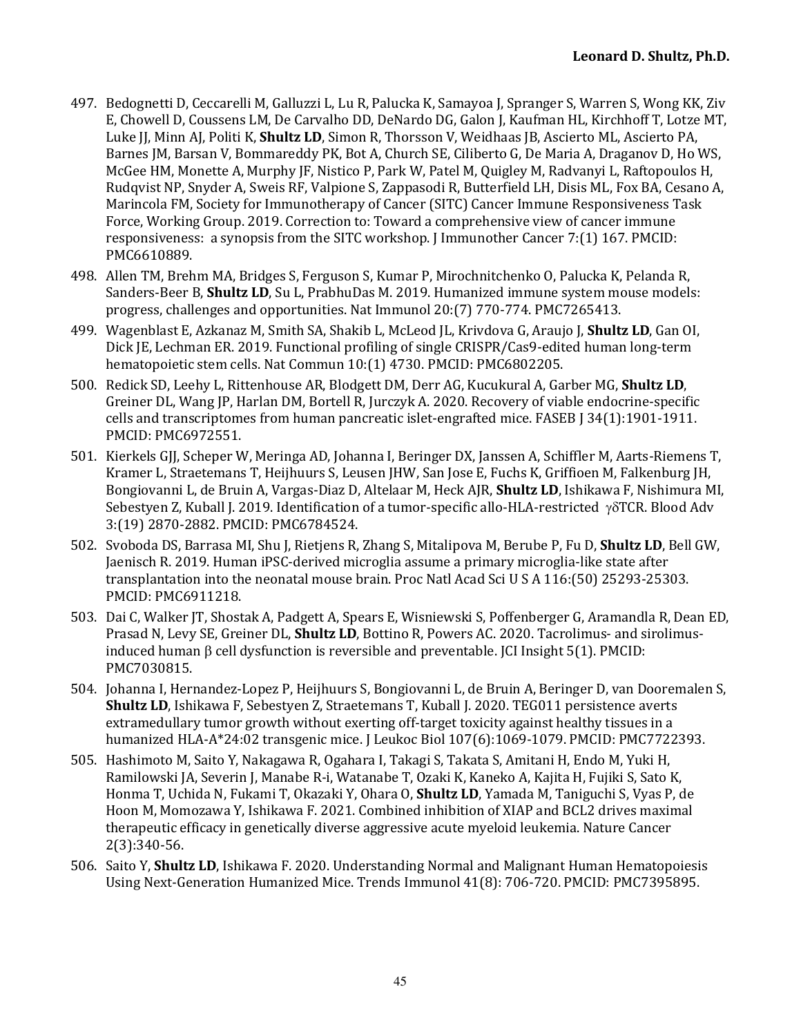- 497. Bedognetti D, Ceccarelli M, Galluzzi L, Lu R, Palucka K, Samayoa J, Spranger S, Warren S, Wong KK, Ziv E, Chowell D, Coussens LM, De Carvalho DD, DeNardo DG, Galon J, Kaufman HL, Kirchhoff T, Lotze MT, Luke JJ, Minn AJ, Politi K, **Shultz LD**, Simon R, Thorsson V, Weidhaas JB, Ascierto ML, Ascierto PA, Barnes JM, Barsan V, Bommareddy PK, Bot A, Church SE, Ciliberto G, De Maria A, Draganov D, Ho WS, McGee HM, Monette A, Murphy JF, Nistico P, Park W, Patel M, Quigley M, Radvanyi L, Raftopoulos H, Rudqvist NP, Snyder A, Sweis RF, Valpione S, Zappasodi R, Butterfield LH, Disis ML, Fox BA, Cesano A, Marincola FM, Society for Immunotherapy of Cancer (SITC) Cancer Immune Responsiveness Task Force, Working Group. 2019. Correction to: Toward a comprehensive view of cancer immune responsiveness: a synopsis from the SITC workshop. J Immunother Cancer  $7:(1)$  167. PMCID: PMC6610889.
- 498. Allen TM, Brehm MA, Bridges S, Ferguson S, Kumar P, Mirochnitchenko O, Palucka K, Pelanda R, Sanders-Beer B, **Shultz LD**, Su L, PrabhuDas M. 2019. Humanized immune system mouse models: progress, challenges and opportunities. Nat Immunol 20:(7) 770-774. PMC7265413.
- 499. Wagenblast E, Azkanaz M, Smith SA, Shakib L, McLeod JL, Krivdova G, Araujo J, **Shultz LD**, Gan OI, Dick JE, Lechman ER. 2019. Functional profiling of single CRISPR/Cas9-edited human long-term hematopoietic stem cells. Nat Commun 10:(1) 4730. PMCID: PMC6802205.
- 500. Redick SD, Leehy L, Rittenhouse AR, Blodgett DM, Derr AG, Kucukural A, Garber MG, **Shultz LD**, Greiner DL, Wang JP, Harlan DM, Bortell R, Jurczyk A. 2020. Recovery of viable endocrine-specific cells and transcriptomes from human pancreatic islet-engrafted mice. FASEB [34(1):1901-1911. PMCID: PMC6972551.
- 501. Kierkels GJJ, Scheper W, Meringa AD, Johanna I, Beringer DX, Janssen A, Schiffler M, Aarts-Riemens T, Kramer L, Straetemans T, Heijhuurs S, Leusen JHW, San Jose E, Fuchs K, Griffioen M, Falkenburg JH, Bongiovanni L, de Bruin A, Vargas-Diaz D, Altelaar M, Heck AJR, **Shultz LD**, Ishikawa F, Nishimura MI, Sebestyen Z, Kuball J. 2019. Identification of a tumor-specific allo-HLA-restricted  $\gamma\delta$ TCR. Blood Adv 3:(19) 2870-2882. PMCID: PMC6784524.
- 502. Svoboda DS, Barrasa MI, Shu J, Rietjens R, Zhang S, Mitalipova M, Berube P, Fu D, **Shultz LD**, Bell GW, Jaenisch R. 2019. Human iPSC-derived microglia assume a primary microglia-like state after transplantation into the neonatal mouse brain. Proc Natl Acad Sci U S A 116:(50) 25293-25303. PMCID: PMC6911218.
- 503. Dai C, Walker JT, Shostak A, Padgett A, Spears E, Wisniewski S, Poffenberger G, Aramandla R, Dean ED, Prasad N, Levy SE, Greiner DL, **Shultz LD**, Bottino R, Powers AC. 2020. Tacrolimus- and sirolimusinduced human  $\beta$  cell dysfunction is reversible and preventable. [CI Insight 5(1). PMCID: PMC7030815.
- 504. Johanna I, Hernandez-Lopez P, Heijhuurs S, Bongiovanni L, de Bruin A, Beringer D, van Dooremalen S, **Shultz LD**, Ishikawa F, Sebestyen Z, Straetemans T, Kuball J. 2020. TEG011 persistence averts extramedullary tumor growth without exerting off-target toxicity against healthy tissues in a humanized HLA-A\*24:02 transgenic mice. J Leukoc Biol 107(6):1069-1079. PMCID: PMC7722393.
- 505. Hashimoto M, Saito Y, Nakagawa R, Ogahara I, Takagi S, Takata S, Amitani H, Endo M, Yuki H, Ramilowski JA, Severin J, Manabe R-i, Watanabe T, Ozaki K, Kaneko A, Kajita H, Fujiki S, Sato K, Honma T, Uchida N, Fukami T, Okazaki Y, Ohara O, **Shultz LD**, Yamada M, Taniguchi S, Vyas P, de Hoon M, Momozawa Y, Ishikawa F. 2021. Combined inhibition of XIAP and BCL2 drives maximal therapeutic efficacy in genetically diverse aggressive acute myeloid leukemia. Nature Cancer 2(3):340-56.
- 506. Saito Y, **Shultz LD**, Ishikawa F. 2020. Understanding Normal and Malignant Human Hematopoiesis Using Next-Generation Humanized Mice. Trends Immunol 41(8): 706-720. PMCID: PMC7395895.